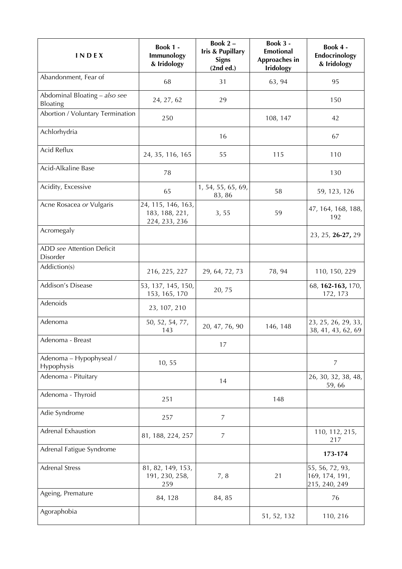| INDEX                                            | Book 1 -<br>Immunology<br>& Iridology                 | Book 2-<br><b>Iris &amp; Pupillary</b><br><b>Signs</b><br>(2nd ed.) | Book 3 -<br><b>Emotional</b><br>Approaches in<br><b>Iridology</b> | Book 4 -<br>Endocrinology<br>& Iridology           |
|--------------------------------------------------|-------------------------------------------------------|---------------------------------------------------------------------|-------------------------------------------------------------------|----------------------------------------------------|
| Abandonment, Fear of                             | 68                                                    | 31                                                                  | 63, 94                                                            | 95                                                 |
| Abdominal Bloating - also see<br><b>Bloating</b> | 24, 27, 62                                            | 29                                                                  |                                                                   | 150                                                |
| Abortion / Voluntary Termination                 | 250                                                   |                                                                     | 108, 147                                                          | 42                                                 |
| Achlorhydria                                     |                                                       | 16                                                                  |                                                                   | 67                                                 |
| Acid Reflux                                      | 24, 35, 116, 165                                      | 55                                                                  | 115                                                               | 110                                                |
| Acid-Alkaline Base                               | 78                                                    |                                                                     |                                                                   | 130                                                |
| Acidity, Excessive                               | 65                                                    | 1, 54, 55, 65, 69,<br>83, 86                                        | 58                                                                | 59, 123, 126                                       |
| Acne Rosacea or Vulgaris                         | 24, 115, 146, 163,<br>183, 188, 221,<br>224, 233, 236 | 3, 55                                                               | 59                                                                | 47, 164, 168, 188,<br>192                          |
| Acromegaly                                       |                                                       |                                                                     |                                                                   | 23, 25, 26-27, 29                                  |
| ADD see Attention Deficit<br>Disorder            |                                                       |                                                                     |                                                                   |                                                    |
| Addiction(s)                                     | 216, 225, 227                                         | 29, 64, 72, 73                                                      | 78, 94                                                            | 110, 150, 229                                      |
| Addison's Disease                                | 53, 137, 145, 150,<br>153, 165, 170                   | 20,75                                                               |                                                                   | 68, 162-163, 170,<br>172, 173                      |
| Adenoids                                         | 23, 107, 210                                          |                                                                     |                                                                   |                                                    |
| Adenoma                                          | 50, 52, 54, 77,<br>143                                | 20, 47, 76, 90                                                      | 146, 148                                                          | 23, 25, 26, 29, 33,<br>38, 41, 43, 62, 69          |
| Adenoma - Breast                                 |                                                       | 17                                                                  |                                                                   |                                                    |
| Adenoma - Hypophyseal /<br>Hypophysis            | 10, 55                                                |                                                                     |                                                                   | $\overline{7}$                                     |
| Adenoma - Pituitary                              |                                                       | 14                                                                  |                                                                   | 26, 30, 32, 38, 48,<br>59,66                       |
| Adenoma - Thyroid                                | 251                                                   |                                                                     | 148                                                               |                                                    |
| Adie Syndrome                                    | 257                                                   | 7                                                                   |                                                                   |                                                    |
| <b>Adrenal Exhaustion</b>                        | 81, 188, 224, 257                                     | $\overline{7}$                                                      |                                                                   | 110, 112, 215,<br>217                              |
| Adrenal Fatigue Syndrome                         |                                                       |                                                                     |                                                                   | 173-174                                            |
| <b>Adrenal Stress</b>                            | 81, 82, 149, 153,<br>191, 230, 258,<br>259            | 7, 8                                                                | 21                                                                | 55, 56, 72, 93,<br>169, 174, 191,<br>215, 240, 249 |
| Ageing, Premature                                | 84, 128                                               | 84, 85                                                              |                                                                   | 76                                                 |
| Agoraphobia                                      |                                                       |                                                                     | 51, 52, 132                                                       | 110, 216                                           |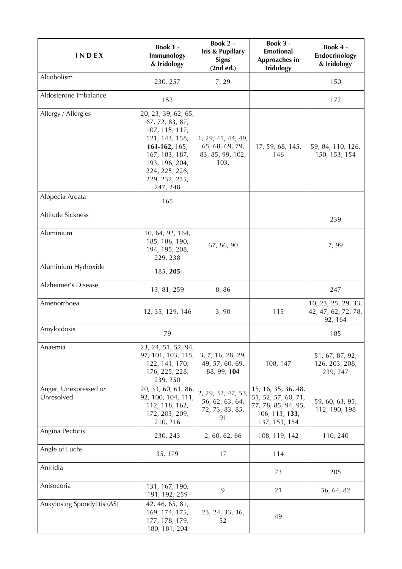| INDEX                               | Book 1 -<br>Immunology<br>& Iridology                                                                                                                                           | Book 2-<br><b>Iris &amp; Pupillary</b><br><b>Signs</b><br>(2nd ed.) | Book 3 -<br><b>Emotional</b><br>Approaches in<br><b>Iridology</b>                                    | Book 4 -<br>Endocrinology<br>& Iridology              |
|-------------------------------------|---------------------------------------------------------------------------------------------------------------------------------------------------------------------------------|---------------------------------------------------------------------|------------------------------------------------------------------------------------------------------|-------------------------------------------------------|
| Alcoholism                          | 230, 257                                                                                                                                                                        | 7,29                                                                |                                                                                                      | 150                                                   |
| Aldosterone Imbalance               | 152                                                                                                                                                                             |                                                                     |                                                                                                      | 172                                                   |
| Allergy / Allergies                 | 20, 23, 39, 62, 65,<br>67, 72, 83, 87,<br>107, 115, 117,<br>121, 143, 158,<br>161-162, 165,<br>167, 183, 187,<br>193, 196, 204,<br>224, 225, 226,<br>229, 232, 235,<br>247, 248 | 1, 29, 41, 44, 49,<br>65, 68, 69, 79,<br>83, 85, 99, 102,<br>103,   | 17, 59, 68, 145,<br>146                                                                              | 59, 84, 110, 126,<br>150, 153, 154                    |
| Alopecia Areata                     | 165                                                                                                                                                                             |                                                                     |                                                                                                      |                                                       |
| Altitude Sickness                   |                                                                                                                                                                                 |                                                                     |                                                                                                      | 239                                                   |
| Aluminium                           | 10, 64, 92, 164,<br>185, 186, 190,<br>194, 195, 208,<br>229, 238                                                                                                                | 67, 86, 90                                                          |                                                                                                      | 7,99                                                  |
| Aluminium Hydroxide                 | 185, 205                                                                                                                                                                        |                                                                     |                                                                                                      |                                                       |
| Alzheimer's Disease                 | 13, 81, 259                                                                                                                                                                     | 8,86                                                                |                                                                                                      | 247                                                   |
| Amenorrhoea                         | 12, 35, 129, 146                                                                                                                                                                | 3,90                                                                | 115                                                                                                  | 10, 23, 25, 29, 33,<br>42, 47, 62, 72, 78,<br>92, 164 |
| Amyloidosis                         | 79                                                                                                                                                                              |                                                                     |                                                                                                      | 185                                                   |
| Anaemia                             | 23, 24, 51, 52, 94,<br>97, 101, 103, 115,<br>122, 141, 170,<br>176, 225, 228,<br>239, 250                                                                                       | 3, 7, 16, 28, 29,<br>49, 57, 60, 69,<br>88, 99, 104                 | 108, 147                                                                                             | 51, 67, 87, 92,<br>126, 203, 208,<br>239, 247         |
| Anger, Unexpressed or<br>Unresolved | 20, 33, 60, 61, 86,<br>92, 100, 104, 111,<br>112, 118, 162,<br>172, 203, 209,<br>210, 216                                                                                       | 2, 29, 32, 47, 53,<br>56, 62, 63, 64,<br>72, 73, 83, 85,<br>91      | 15, 16, 35, 36, 48,<br>51, 52, 57, 60, 71,<br>77, 78, 85, 94, 95,<br>106, 113, 133,<br>137, 153, 154 | 59, 60, 63, 95,<br>112, 190, 198                      |
| Angina Pectoris                     | 230, 243                                                                                                                                                                        | 2, 60, 62, 66                                                       | 108, 119, 142                                                                                        | 110, 240                                              |
| Angle of Fuchs                      | 35, 179                                                                                                                                                                         | 17                                                                  | 114                                                                                                  |                                                       |
| Aniridia                            |                                                                                                                                                                                 |                                                                     | 73                                                                                                   | 205                                                   |
| Anisocoria                          | 131, 167, 190,<br>191, 192, 259                                                                                                                                                 | 9                                                                   | 21                                                                                                   | 56, 64, 82                                            |
| Ankylosing Spondylitis (AS)         | 42, 46, 65, 81,<br>169, 174, 175,<br>177, 178, 179,<br>180, 181, 204                                                                                                            | 23, 24, 33, 36,<br>52                                               | 49                                                                                                   |                                                       |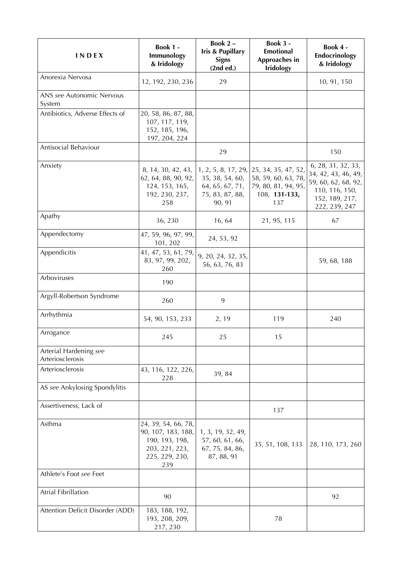| <b>INDEX</b>                               | <b>Book 1 -</b><br>Immunology<br>& Iridology                                                           | Book 2-<br>Iris & Pupillary<br><b>Signs</b><br>(2nd ed.)                               | Book 3 -<br><b>Emotional</b><br>Approaches in<br><b>Iridology</b>                         | Book 4 -<br>Endocrinology<br>& Iridology                                                                              |
|--------------------------------------------|--------------------------------------------------------------------------------------------------------|----------------------------------------------------------------------------------------|-------------------------------------------------------------------------------------------|-----------------------------------------------------------------------------------------------------------------------|
| Anorexia Nervosa                           | 12, 192, 230, 236                                                                                      | 29                                                                                     |                                                                                           | 10, 91, 150                                                                                                           |
| ANS see Autonomic Nervous<br>System        |                                                                                                        |                                                                                        |                                                                                           |                                                                                                                       |
| Antibiotics, Adverse Effects of            | 20, 58, 86, 87, 88,<br>107, 117, 119,<br>152, 185, 196,<br>197, 204, 224                               |                                                                                        |                                                                                           |                                                                                                                       |
| Antisocial Behaviour                       |                                                                                                        | 29                                                                                     |                                                                                           | 150                                                                                                                   |
| Anxiety                                    | 8, 14, 30, 42, 43,<br>62, 64, 88, 90, 92,<br>124, 153, 165,<br>192, 230, 237,<br>258                   | 1, 2, 5, 8, 17, 29,<br>35, 38, 54, 60,<br>64, 65, 67, 71,<br>75, 83, 87, 88,<br>90, 91 | 25, 34, 35, 47, 52,<br>58, 59, 60, 63, 78,<br>79, 80, 81, 94, 95,<br>108, 131-133,<br>137 | 6, 28, 31, 32, 33,<br>34, 42, 43, 46, 49,<br>59, 60, 62, 68, 92,<br>110, 116, 150,<br>152, 189, 217,<br>222, 239, 247 |
| Apathy                                     | 36, 230                                                                                                | 16, 64                                                                                 | 21, 95, 115                                                                               | 67                                                                                                                    |
| Appendectomy                               | 47, 59, 96, 97, 99,<br>101, 202                                                                        | 24, 53, 92                                                                             |                                                                                           |                                                                                                                       |
| Appendicitis                               | 41, 47, 53, 61, 79,<br>83, 97, 99, 202,<br>260                                                         | 9, 20, 24, 32, 35,<br>56, 63, 76, 83                                                   |                                                                                           | 59, 68, 188                                                                                                           |
| Arboviruses                                | 190                                                                                                    |                                                                                        |                                                                                           |                                                                                                                       |
| Argyll-Robertson Syndrome                  | 260                                                                                                    | 9                                                                                      |                                                                                           |                                                                                                                       |
| Arrhythmia                                 | 54, 90, 153, 233                                                                                       | 2, 19                                                                                  | 119                                                                                       | 240                                                                                                                   |
| Arrogance                                  | 245                                                                                                    | 25                                                                                     | 15                                                                                        |                                                                                                                       |
| Arterial Hardening see<br>Arteriosclerosis |                                                                                                        |                                                                                        |                                                                                           |                                                                                                                       |
| Arteriosclerosis                           | 43, 116, 122, 226,<br>228                                                                              | 39, 84                                                                                 |                                                                                           |                                                                                                                       |
| AS see Ankylosing Spondylitis              |                                                                                                        |                                                                                        |                                                                                           |                                                                                                                       |
| Assertiveness, Lack of                     |                                                                                                        |                                                                                        | 137                                                                                       |                                                                                                                       |
| Asthma                                     | 24, 39, 54, 66, 78,<br>90, 107, 183, 188,<br>190, 193, 198,<br>203, 221, 223,<br>225, 229, 230,<br>239 | 1, 3, 19, 32, 49,<br>57, 60, 61, 66,<br>67, 75, 84, 86,<br>87, 88, 91                  | 35, 51, 108, 133                                                                          | 28, 110, 173, 260                                                                                                     |
| Athlete's Foot see Feet                    |                                                                                                        |                                                                                        |                                                                                           |                                                                                                                       |
| Atrial Fibrillation                        | 90                                                                                                     |                                                                                        |                                                                                           | 92                                                                                                                    |
| Attention Deficit Disorder (ADD)           | 183, 188, 192,<br>193, 208, 209,<br>217, 230                                                           |                                                                                        | 78                                                                                        |                                                                                                                       |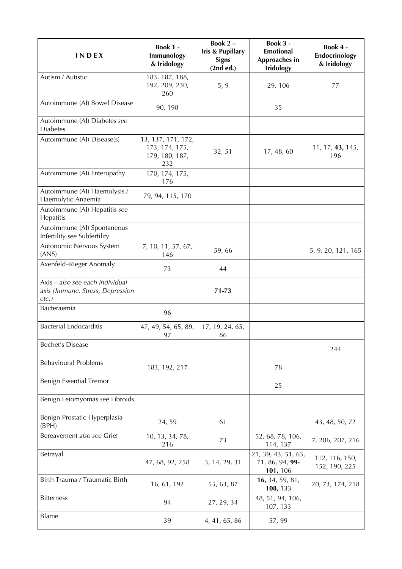| <b>INDEX</b>                                                                    | <b>Book 1 -</b><br>Immunology<br>& Iridology                  | Book 2-<br><b>Iris &amp; Pupillary</b><br><b>Signs</b><br>(2nd ed.) | Book 3 -<br><b>Emotional</b><br>Approaches in<br><b>Iridology</b> | Book 4 -<br>Endocrinology<br>& Iridology |
|---------------------------------------------------------------------------------|---------------------------------------------------------------|---------------------------------------------------------------------|-------------------------------------------------------------------|------------------------------------------|
| Autism / Autistic                                                               | 183, 187, 188,<br>192, 209, 230,<br>260                       | 5, 9                                                                | 29, 106                                                           | 77                                       |
| Autoimmune (AI) Bowel Disease                                                   | 90, 198                                                       |                                                                     | 35                                                                |                                          |
| Autoimmune (AI) Diabetes see<br><b>Diabetes</b>                                 |                                                               |                                                                     |                                                                   |                                          |
| Autoimmune (AI) Disease(s)                                                      | 13, 137, 171, 172,<br>173, 174, 175,<br>179, 180, 187,<br>232 | 32, 51                                                              | 17, 48, 60                                                        | 11, 17, 43, 145,<br>196                  |
| Autoimmune (AI) Enteropathy                                                     | 170, 174, 175,<br>176                                         |                                                                     |                                                                   |                                          |
| Autoimmune (AI) Haemolysis /<br>Haemolytic Anaemia                              | 79, 94, 115, 170                                              |                                                                     |                                                                   |                                          |
| Autoimmune (AI) Hepatitis see<br>Hepatitis                                      |                                                               |                                                                     |                                                                   |                                          |
| Autoimmune (AI) Spontaneous<br>Infertility see Subfertility                     |                                                               |                                                                     |                                                                   |                                          |
| Autonomic Nervous System<br>(ANS)                                               | 7, 10, 11, 57, 67,<br>146                                     | 59,66                                                               |                                                                   | 5, 9, 20, 121, 165                       |
| Axenfeld-Rieger Anomaly                                                         | 73                                                            | 44                                                                  |                                                                   |                                          |
| Axis - also see each individual<br>axis (Immune, Stress, Depression<br>$etc.$ ) |                                                               | 71-73                                                               |                                                                   |                                          |
| Bacteraemia                                                                     | 96                                                            |                                                                     |                                                                   |                                          |
| <b>Bacterial Endocarditis</b>                                                   | 47, 49, 54, 65, 89,<br>97                                     | 17, 19, 24, 65,<br>86                                               |                                                                   |                                          |
| Bechet's Disease                                                                |                                                               |                                                                     |                                                                   | 244                                      |
| <b>Behavioural Problems</b>                                                     | 183, 192, 217                                                 |                                                                     | 78                                                                |                                          |
| Benign Essential Tremor                                                         |                                                               |                                                                     | 25                                                                |                                          |
| Benign Leiomyomas see Fibroids                                                  |                                                               |                                                                     |                                                                   |                                          |
| Benign Prostatic Hyperplasia<br>(BPH)                                           | 24,59                                                         | 61                                                                  |                                                                   | 43, 48, 50, 72                           |
| Bereavement also see Grief                                                      | 10, 13, 34, 78,<br>216                                        | 73                                                                  | 52, 68, 78, 106,<br>114, 137                                      | 7, 206, 207, 216                         |
| Betrayal                                                                        | 47, 68, 92, 258                                               | 3, 14, 29, 31                                                       | 21, 39, 43, 51, 63,<br>71, 86, 94, 99-<br>101, 106                | 112, 116, 150,<br>152, 190, 225          |
| Birth Trauma / Traumatic Birth                                                  | 16, 61, 192                                                   | 55, 63, 87                                                          | 16, 34, 59, 81,<br>108, 133                                       | 20, 73, 174, 218                         |
| <b>Bitterness</b>                                                               | 94                                                            | 27, 29, 34                                                          | 48, 51, 94, 106,<br>107, 133                                      |                                          |
| Blame                                                                           | 39                                                            | 4, 41, 65, 86                                                       | 57, 99                                                            |                                          |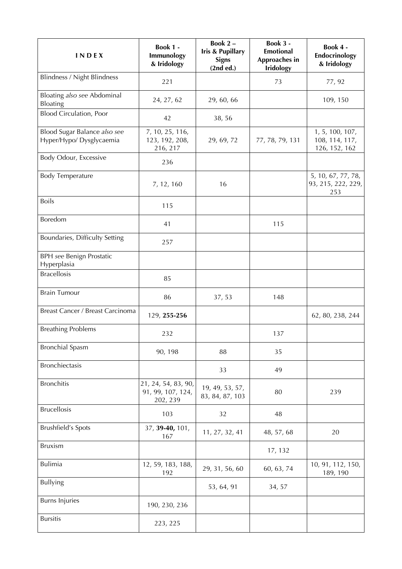| INDEX                                                    | Book 1 -<br>Immunology<br>& Iridology                | Book 2-<br><b>Iris &amp; Pupillary</b><br><b>Signs</b><br>(2nd ed.) | Book 3 -<br><b>Emotional</b><br>Approaches in<br><b>Iridology</b> | Book 4 -<br>Endocrinology<br>& Iridology           |
|----------------------------------------------------------|------------------------------------------------------|---------------------------------------------------------------------|-------------------------------------------------------------------|----------------------------------------------------|
| Blindness / Night Blindness                              | 221                                                  |                                                                     | 73                                                                | 77, 92                                             |
| Bloating also see Abdominal<br>Bloating                  | 24, 27, 62                                           | 29, 60, 66                                                          |                                                                   | 109, 150                                           |
| <b>Blood Circulation, Poor</b>                           | 42                                                   | 38,56                                                               |                                                                   |                                                    |
| Blood Sugar Balance also see<br>Hyper/Hypo/ Dysglycaemia | 7, 10, 25, 116,<br>123, 192, 208,<br>216, 217        | 29, 69, 72                                                          | 77, 78, 79, 131                                                   | 1, 5, 100, 107,<br>108, 114, 117,<br>126, 152, 162 |
| Body Odour, Excessive                                    | 236                                                  |                                                                     |                                                                   |                                                    |
| <b>Body Temperature</b>                                  | 7, 12, 160                                           | 16                                                                  |                                                                   | 5, 10, 67, 77, 78,<br>93, 215, 222, 229,<br>253    |
| <b>Boils</b>                                             | 115                                                  |                                                                     |                                                                   |                                                    |
| Boredom                                                  | 41                                                   |                                                                     | 115                                                               |                                                    |
| Boundaries, Difficulty Setting                           | 257                                                  |                                                                     |                                                                   |                                                    |
| <b>BPH</b> see Benign Prostatic<br>Hyperplasia           |                                                      |                                                                     |                                                                   |                                                    |
| <b>Bracellosis</b>                                       | 85                                                   |                                                                     |                                                                   |                                                    |
| <b>Brain Tumour</b>                                      | 86                                                   | 37, 53                                                              | 148                                                               |                                                    |
| Breast Cancer / Breast Carcinoma                         | 129, 255-256                                         |                                                                     |                                                                   | 62, 80, 238, 244                                   |
| <b>Breathing Problems</b>                                | 232                                                  |                                                                     | 137                                                               |                                                    |
| <b>Bronchial Spasm</b>                                   | 90, 198                                              | 88                                                                  | 35                                                                |                                                    |
| <b>Bronchiectasis</b>                                    |                                                      | 33                                                                  | 49                                                                |                                                    |
| <b>Bronchitis</b>                                        | 21, 24, 54, 83, 90,<br>91, 99, 107, 124,<br>202, 239 | 19, 49, 53, 57,<br>83, 84, 87, 103                                  | 80                                                                | 239                                                |
| <b>Brucellosis</b>                                       | 103                                                  | 32                                                                  | 48                                                                |                                                    |
| <b>Brushfield's Spots</b>                                | 37, 39-40, 101,<br>167                               | 11, 27, 32, 41                                                      | 48, 57, 68                                                        | 20                                                 |
| <b>Bruxism</b>                                           |                                                      |                                                                     | 17, 132                                                           |                                                    |
| <b>Bulimia</b>                                           | 12, 59, 183, 188,<br>192                             | 29, 31, 56, 60                                                      | 60, 63, 74                                                        | 10, 91, 112, 150,<br>189, 190                      |
| <b>Bullying</b>                                          |                                                      | 53, 64, 91                                                          | 34, 57                                                            |                                                    |
| <b>Burns Injuries</b>                                    | 190, 230, 236                                        |                                                                     |                                                                   |                                                    |
| <b>Bursitis</b>                                          | 223, 225                                             |                                                                     |                                                                   |                                                    |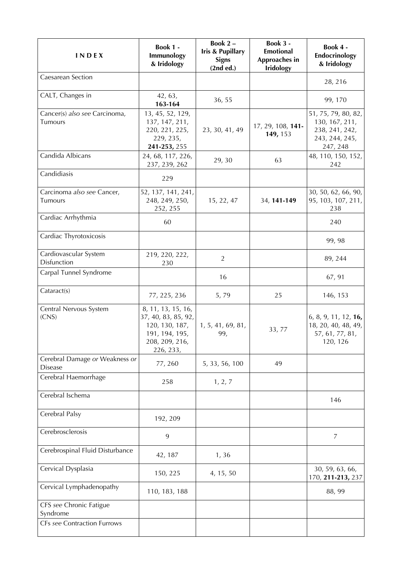| <b>INDEX</b>                                     | <b>Book 1 -</b><br>Immunology<br>& Iridology                                                                 | Book 2-<br><b>Iris &amp; Pupillary</b><br><b>Signs</b><br>(2nd ed.) | Book 3 -<br><b>Emotional</b><br>Approaches in<br><b>Iridology</b> | Book 4 -<br>Endocrinology<br>& Iridology                                              |
|--------------------------------------------------|--------------------------------------------------------------------------------------------------------------|---------------------------------------------------------------------|-------------------------------------------------------------------|---------------------------------------------------------------------------------------|
| Caesarean Section                                |                                                                                                              |                                                                     |                                                                   | 28, 216                                                                               |
| CALT, Changes in                                 | 42, 63,<br>163-164                                                                                           | 36, 55                                                              |                                                                   | 99, 170                                                                               |
| Cancer(s) also see Carcinoma,<br>Tumours         | 13, 45, 52, 129,<br>137, 147, 211,<br>220, 221, 225,<br>229, 235,<br>241-253, 255                            | 23, 30, 41, 49                                                      | 17, 29, 108, 141-<br>149, 153                                     | 51, 75, 79, 80, 82,<br>130, 167, 211,<br>238, 241, 242,<br>243, 244, 245,<br>247, 248 |
| Candida Albicans                                 | 24, 68, 117, 226,<br>237, 239, 262                                                                           | 29, 30                                                              | 63                                                                | 48, 110, 150, 152,<br>242                                                             |
| Candidiasis                                      | 229                                                                                                          |                                                                     |                                                                   |                                                                                       |
| Carcinoma also see Cancer,<br>Tumours            | 52, 137, 141, 241,<br>248, 249, 250,<br>252, 255                                                             | 15, 22, 47                                                          | 34, 141-149                                                       | 30, 50, 62, 66, 90,<br>95, 103, 107, 211,<br>238                                      |
| Cardiac Arrhythmia                               | 60                                                                                                           |                                                                     |                                                                   | 240                                                                                   |
| Cardiac Thyrotoxicosis                           |                                                                                                              |                                                                     |                                                                   | 99, 98                                                                                |
| Cardiovascular System<br>Disfunction             | 219, 220, 222,<br>230                                                                                        | $\overline{2}$                                                      |                                                                   | 89, 244                                                                               |
| Carpal Tunnel Syndrome                           |                                                                                                              | 16                                                                  |                                                                   | 67, 91                                                                                |
| Cataract(s)                                      | 77, 225, 236                                                                                                 | 5,79                                                                | 25                                                                | 146, 153                                                                              |
| Central Nervous System<br>(CNS)                  | 8, 11, 13, 15, 16,<br>37, 40, 83, 85, 92,<br>120, 130, 187,<br>191, 194, 195,<br>208, 209, 216,<br>226, 233, | 1, 5, 41, 69, 81,<br>99,                                            | 33,77                                                             | 6, 8, 9, 11, 12, 16,<br>18, 20, 40, 48, 49,<br>57, 61, 77, 81,<br>120, 126            |
| Cerebral Damage or Weakness or<br><b>Disease</b> | 77,260                                                                                                       | 5, 33, 56, 100                                                      | 49                                                                |                                                                                       |
| Cerebral Haemorrhage                             | 258                                                                                                          | 1, 2, 7                                                             |                                                                   |                                                                                       |
| Cerebral Ischema                                 |                                                                                                              |                                                                     |                                                                   | 146                                                                                   |
| Cerebral Palsy                                   | 192, 209                                                                                                     |                                                                     |                                                                   |                                                                                       |
| Cerebrosclerosis                                 | 9                                                                                                            |                                                                     |                                                                   | 7                                                                                     |
| Cerebrospinal Fluid Disturbance                  | 42, 187                                                                                                      | 1, 36                                                               |                                                                   |                                                                                       |
| Cervical Dysplasia                               | 150, 225                                                                                                     | 4, 15, 50                                                           |                                                                   | 30, 59, 63, 66,<br>170, 211-213, 237                                                  |
| Cervical Lymphadenopathy                         | 110, 183, 188                                                                                                |                                                                     |                                                                   | 88, 99                                                                                |
| CFS see Chronic Fatigue<br>Syndrome              |                                                                                                              |                                                                     |                                                                   |                                                                                       |
| <b>CFs see Contraction Furrows</b>               |                                                                                                              |                                                                     |                                                                   |                                                                                       |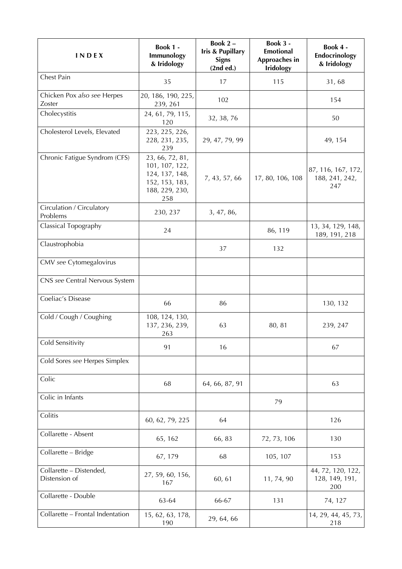| INDEX                                    | Book 1 -<br>Immunology<br>& Iridology                                                          | Book 2-<br>Iris & Pupillary<br><b>Signs</b><br>(2nd ed.) | Book 3 -<br><b>Emotional</b><br>Approaches in<br><b>Iridology</b> | Book 4 -<br>Endocrinology<br>& Iridology    |
|------------------------------------------|------------------------------------------------------------------------------------------------|----------------------------------------------------------|-------------------------------------------------------------------|---------------------------------------------|
| Chest Pain                               | 35                                                                                             | 17                                                       | 115                                                               | 31,68                                       |
| Chicken Pox also see Herpes<br>Zoster    | 20, 186, 190, 225,<br>239, 261                                                                 | 102                                                      |                                                                   | 154                                         |
| Cholecystitis                            | 24, 61, 79, 115,<br>120                                                                        | 32, 38, 76                                               |                                                                   | 50                                          |
| Cholesterol Levels, Elevated             | 223, 225, 226,<br>228, 231, 235,<br>239                                                        | 29, 47, 79, 99                                           |                                                                   | 49, 154                                     |
| Chronic Fatigue Syndrom (CFS)            | 23, 66, 72, 81,<br>101, 107, 122,<br>124, 137, 148,<br>152, 153, 183,<br>188, 229, 230,<br>258 | 7, 43, 57, 66                                            | 17, 80, 106, 108                                                  | 87, 116, 167, 172,<br>188, 241, 242,<br>247 |
| Circulation / Circulatory<br>Problems    | 230, 237                                                                                       | 3, 47, 86,                                               |                                                                   |                                             |
| Classical Topography                     | 24                                                                                             |                                                          | 86, 119                                                           | 13, 34, 129, 148,<br>189, 191, 218          |
| Claustrophobia                           |                                                                                                | 37                                                       | 132                                                               |                                             |
| CMV see Cytomegalovirus                  |                                                                                                |                                                          |                                                                   |                                             |
| CNS see Central Nervous System           |                                                                                                |                                                          |                                                                   |                                             |
| Coeliac's Disease                        | 66                                                                                             | 86                                                       |                                                                   | 130, 132                                    |
| Cold / Cough / Coughing                  | 108, 124, 130,<br>137, 236, 239,<br>263                                                        | 63                                                       | 80, 81                                                            | 239, 247                                    |
| Cold Sensitivity                         | 91                                                                                             | 16                                                       |                                                                   | 67                                          |
| Cold Sores see Herpes Simplex            |                                                                                                |                                                          |                                                                   |                                             |
| Colic                                    | 68                                                                                             | 64, 66, 87, 91                                           |                                                                   | 63                                          |
| Colic in Infants                         |                                                                                                |                                                          | 79                                                                |                                             |
| Colitis                                  | 60, 62, 79, 225                                                                                | 64                                                       |                                                                   | 126                                         |
| Collarette - Absent                      | 65, 162                                                                                        | 66, 83                                                   | 72, 73, 106                                                       | 130                                         |
| Collarette - Bridge                      | 67, 179                                                                                        | 68                                                       | 105, 107                                                          | 153                                         |
| Collarette - Distended,<br>Distension of | 27, 59, 60, 156,<br>167                                                                        | 60, 61                                                   | 11, 74, 90                                                        | 44, 72, 120, 122,<br>128, 149, 191,<br>200  |
| Collarette - Double                      | 63-64                                                                                          | 66-67                                                    | 131                                                               | 74, 127                                     |
| Collarette - Frontal Indentation         | 15, 62, 63, 178,<br>190                                                                        | 29, 64, 66                                               |                                                                   | 14, 29, 44, 45, 73,<br>218                  |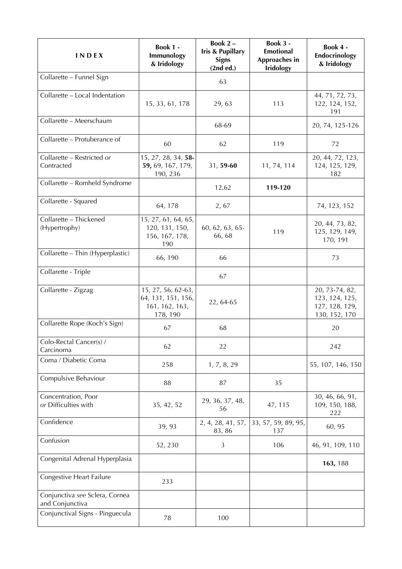| INDEX                                             | <b>Book 1 -</b><br>Immunology<br>& Iridology                           | Book 2-<br><b>Iris &amp; Pupillary</b><br><b>Signs</b><br>(2nd ed.) | Book 3 -<br><b>Emotional</b><br>Approaches in<br><b>Iridology</b> | Book 4 -<br>Endocrinology<br>& Iridology                            |
|---------------------------------------------------|------------------------------------------------------------------------|---------------------------------------------------------------------|-------------------------------------------------------------------|---------------------------------------------------------------------|
| Collarette - Funnel Sign                          |                                                                        | 63                                                                  |                                                                   |                                                                     |
| Collarette - Local Indentation                    | 15, 33, 61, 178                                                        | 29, 63                                                              | 113                                                               | 44, 71, 72, 73,<br>122, 124, 152,<br>191                            |
| Collarette - Meerschaum                           |                                                                        | 68-69                                                               |                                                                   | 20, 74, 125-126                                                     |
| Collarette - Protuberance of                      | 60                                                                     | 62                                                                  | 119                                                               | 72                                                                  |
| Collarette - Restricted or<br>Contracted          | 15, 27, 28, 34, 58-<br>59, 69, 167, 179,<br>190, 236                   | 31, 59-60                                                           | 11, 74, 114                                                       | 20, 44, 72, 123,<br>124, 125, 129,<br>182                           |
| Collarette - Romheld Syndrome                     |                                                                        | 12,62                                                               | 119-120                                                           |                                                                     |
| Collarette - Squared                              | 64, 178                                                                | 2,67                                                                |                                                                   | 74, 123, 152                                                        |
| Collarette - Thickened<br>(Hypertrophy)           | 15, 27, 61, 64, 65,<br>120, 131, 150,<br>156, 167, 178,<br>190         | 60, 62, 63, 65-<br>66,68                                            | 119                                                               | 20, 44, 73, 82,<br>125, 129, 149,<br>170, 191                       |
| Collarette - Thin (Hyperplastic)                  | 66, 190                                                                | 66                                                                  |                                                                   | 73                                                                  |
| Collarette - Triple                               |                                                                        | 67                                                                  |                                                                   |                                                                     |
| Collarette - Zigzag                               | 15, 27, 56, 62-63,<br>64, 131, 151, 156,<br>161, 162, 163,<br>178, 190 | 22, 64-65                                                           |                                                                   | 20, 73-74, 82,<br>123, 124, 125,<br>127, 128, 129,<br>130, 152, 170 |
| Collarette Rope (Koch's Sign)                     | 67                                                                     | 68                                                                  |                                                                   | 20                                                                  |
| Colo-Rectal Cancer(s) /<br>Carcinoma              | 62                                                                     | 22                                                                  |                                                                   | 242                                                                 |
| Coma / Diabetic Coma                              | 258                                                                    | 1, 7, 8, 29                                                         |                                                                   | 55, 107, 146, 150                                                   |
| Compulsive Behaviour                              | 88                                                                     | 87                                                                  | 35                                                                |                                                                     |
| Concentration, Poor<br>or Difficulties with       | 35, 42, 52                                                             | 29, 36, 37, 48,<br>56                                               | 47, 115                                                           | 30, 46, 66, 91,<br>109, 150, 188,<br>222                            |
| Confidence                                        | 39, 93                                                                 | 2, 4, 28, 41, 57,<br>83, 86                                         | 33, 57, 59, 89, 95,<br>137                                        | 60, 95                                                              |
| Confusion                                         | 52, 230                                                                | 3                                                                   | 106                                                               | 46, 91, 109, 110                                                    |
| Congenital Adrenal Hyperplasia                    |                                                                        |                                                                     |                                                                   | 163, 188                                                            |
| Congestive Heart Failure                          | 233                                                                    |                                                                     |                                                                   |                                                                     |
| Conjunctiva see Sclera, Cornea<br>and Conjunctiva |                                                                        |                                                                     |                                                                   |                                                                     |
| Conjunctival Signs - Pinguecula                   | 78                                                                     | 100                                                                 |                                                                   |                                                                     |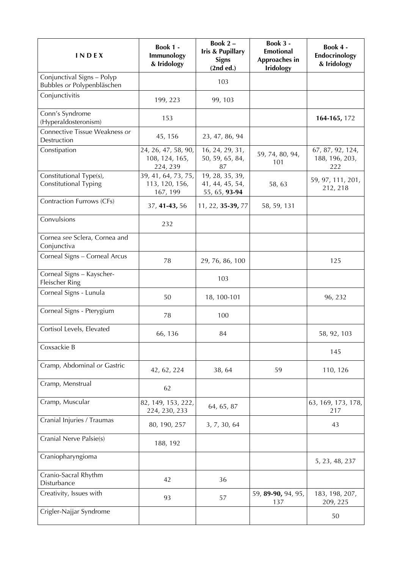| <b>INDEX</b>                                             | <b>Book 1 -</b><br>Immunology<br>& Iridology      | Book 2-<br><b>Iris &amp; Pupillary</b><br><b>Signs</b><br>(2nd ed.) | <b>Book 3 -</b><br><b>Emotional</b><br>Approaches in<br><b>Iridology</b> | Book 4 -<br>Endocrinology<br>& Iridology  |
|----------------------------------------------------------|---------------------------------------------------|---------------------------------------------------------------------|--------------------------------------------------------------------------|-------------------------------------------|
| Conjunctival Signs - Polyp<br>Bubbles or Polypenbläschen |                                                   | 103                                                                 |                                                                          |                                           |
| Conjunctivitis                                           | 199, 223                                          | 99, 103                                                             |                                                                          |                                           |
| Conn's Syndrome<br>(Hyperaldosteronism)                  | 153                                               |                                                                     |                                                                          | 164-165, 172                              |
| Connective Tissue Weakness or<br>Destruction             | 45, 156                                           | 23, 47, 86, 94                                                      |                                                                          |                                           |
| Constipation                                             | 24, 26, 47, 58, 90,<br>108, 124, 165,<br>224, 239 | 16, 24, 29, 31,<br>50, 59, 65, 84,<br>87                            | 59, 74, 80, 94,<br>101                                                   | 67, 87, 92, 124,<br>188, 196, 203,<br>222 |
| Constitutional Type(s),<br>Constitutional Typing         | 39, 41, 64, 73, 75,<br>113, 120, 156,<br>167, 199 | 19, 28, 35, 39,<br>41, 44, 45, 54,<br>55, 65, 93-94                 | 58,63                                                                    | 59, 97, 111, 201,<br>212, 218             |
| Contraction Furrows (CFs)                                | 37, 41-43, 56                                     | 11, 22, 35-39, 77                                                   | 58, 59, 131                                                              |                                           |
| Convulsions                                              | 232                                               |                                                                     |                                                                          |                                           |
| Cornea see Sclera, Cornea and<br>Conjunctiva             |                                                   |                                                                     |                                                                          |                                           |
| Corneal Signs - Corneal Arcus                            | 78                                                | 29, 76, 86, 100                                                     |                                                                          | 125                                       |
| Corneal Signs - Kayscher-<br>Fleischer Ring              |                                                   | 103                                                                 |                                                                          |                                           |
| Corneal Signs - Lunula                                   | 50                                                | 18, 100-101                                                         |                                                                          | 96, 232                                   |
| Corneal Signs - Pterygium                                | 78                                                | 100                                                                 |                                                                          |                                           |
| Cortisol Levels, Elevated                                | 66, 136                                           | 84                                                                  |                                                                          | 58, 92, 103                               |
| Coxsackie B                                              |                                                   |                                                                     |                                                                          | 145                                       |
| Cramp, Abdominal or Gastric                              | 42, 62, 224                                       | 38, 64                                                              | 59                                                                       | 110, 126                                  |
| Cramp, Menstrual                                         | 62                                                |                                                                     |                                                                          |                                           |
| Cramp, Muscular                                          | 82, 149, 153, 222,<br>224, 230, 233               | 64, 65, 87                                                          |                                                                          | 63, 169, 173, 178,<br>217                 |
| Cranial Injuries / Traumas                               | 80, 190, 257                                      | 3, 7, 30, 64                                                        |                                                                          | 43                                        |
| Cranial Nerve Palsie(s)                                  | 188, 192                                          |                                                                     |                                                                          |                                           |
| Craniopharyngioma                                        |                                                   |                                                                     |                                                                          | 5, 23, 48, 237                            |
| Cranio-Sacral Rhythm<br>Disturbance                      | 42                                                | 36                                                                  |                                                                          |                                           |
| Creativity, Issues with                                  | 93                                                | 57                                                                  | 59, 89-90, 94, 95,<br>137                                                | 183, 198, 207,<br>209, 225                |
| Crigler-Najjar Syndrome                                  |                                                   |                                                                     |                                                                          | 50                                        |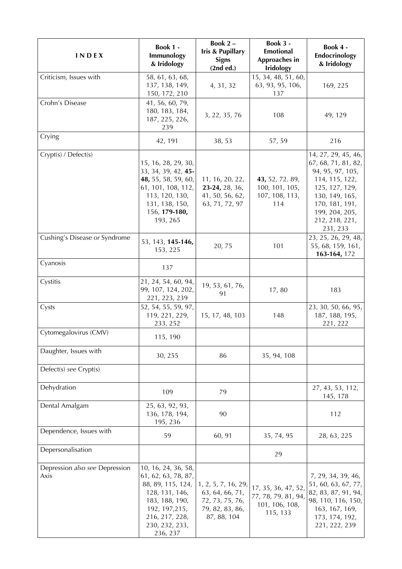| <b>INDEX</b>                           | Book 1 -<br>Immunology<br>& Iridology                                                                                                                                 | Book 2-<br>Iris & Pupillary<br><b>Signs</b><br>(2nd ed.)                                    | Book 3 -<br>Emotional<br>Approaches in<br><b>Iridology</b>               | Book 4 -<br>Endocrinology<br>& Iridology                                                                                                                                               |
|----------------------------------------|-----------------------------------------------------------------------------------------------------------------------------------------------------------------------|---------------------------------------------------------------------------------------------|--------------------------------------------------------------------------|----------------------------------------------------------------------------------------------------------------------------------------------------------------------------------------|
| Criticism, Issues with                 | 58, 61, 63, 68,<br>137, 138, 149,<br>150, 172, 210                                                                                                                    | 4, 31, 32                                                                                   | 15, 34, 48, 51, 60,<br>63, 93, 95, 106,<br>137                           | 169, 225                                                                                                                                                                               |
| Crohn's Disease                        | 41, 56, 60, 79,<br>180, 183, 184,<br>187, 225, 226,<br>239                                                                                                            | 3, 22, 35, 76                                                                               | 108                                                                      | 49, 129                                                                                                                                                                                |
| Crying                                 | 42, 191                                                                                                                                                               | 38, 53                                                                                      | 57, 59                                                                   | 216                                                                                                                                                                                    |
| Crypt(s) / Defect(s)                   | 15, 16, 28, 29, 30,<br>33, 34, 39, 42, 45-<br>48, 55, 58, 59, 60,<br>61, 101, 108, 112,<br>113, 120, 130,<br>131, 138, 150,<br>156, 179-180,<br>193, 265              | 11, 16, 20, 22,<br>23-24, 28, 36,<br>41, 50, 56, 62,<br>63, 71, 72, 97                      | 43, 52, 72. 89,<br>100, 101, 105,<br>107, 108, 113,<br>114               | 14, 27, 29, 45, 46,<br>67, 68, 71, 81, 82,<br>94, 95, 97, 105,<br>114, 115, 122,<br>125, 127, 129,<br>130, 149, 165,<br>170, 181, 191,<br>199, 204, 205,<br>212, 218, 221,<br>231, 233 |
| Cushing's Disease or Syndrome          | 53, 143, 145-146,<br>153, 225                                                                                                                                         | 20,75                                                                                       | 101                                                                      | 23, 25, 26, 29, 48,<br>55, 68, 159, 161,<br>163-164, 172                                                                                                                               |
| Cyanosis                               | 137                                                                                                                                                                   |                                                                                             |                                                                          |                                                                                                                                                                                        |
| Cystitis                               | 21, 24, 54, 60, 94,<br>99, 107, 124, 202,<br>221, 223, 239                                                                                                            | 19, 53, 61, 76,<br>91                                                                       | 17,80                                                                    | 183                                                                                                                                                                                    |
| Cysts                                  | 52, 54, 55, 59, 97,<br>119, 221, 229,<br>233, 252                                                                                                                     | 15, 17, 48, 103                                                                             | 148                                                                      | 23, 30, 50, 66, 95,<br>187, 188, 195,<br>221, 222                                                                                                                                      |
| Cytomegalovirus (CMV)                  | 115, 190                                                                                                                                                              |                                                                                             |                                                                          |                                                                                                                                                                                        |
| Daughter, Issues with                  | 30, 255                                                                                                                                                               | 86                                                                                          | 35, 94, 108                                                              |                                                                                                                                                                                        |
| Defect(s) see Crypt(s)                 |                                                                                                                                                                       |                                                                                             |                                                                          |                                                                                                                                                                                        |
| Dehydration                            | 109                                                                                                                                                                   | 79                                                                                          |                                                                          | 27, 43, 53, 112,<br>145, 178                                                                                                                                                           |
| Dental Amalgam                         | 25, 63, 92, 93,<br>136, 178, 194,<br>195, 236                                                                                                                         | 90                                                                                          |                                                                          | 112                                                                                                                                                                                    |
| Dependence, Issues with                | 59                                                                                                                                                                    | 60, 91                                                                                      | 35, 74, 95                                                               | 28, 63, 225                                                                                                                                                                            |
| Depersonalisation                      |                                                                                                                                                                       |                                                                                             | 29                                                                       |                                                                                                                                                                                        |
| Depression also see Depression<br>Axis | 10, 16, 24, 36, 58,<br>61, 62, 63, 78, 87,<br>88, 89, 115, 124,<br>128, 131, 146,<br>183, 188, 190,<br>192, 197, 215,<br>216, 217, 228,<br>230, 232, 233,<br>236, 237 | 1, 2, 5, 7, 16, 29,<br>63, 64, 66, 71,<br>72, 73, 75, 76,<br>79, 82, 83, 86,<br>87, 88, 104 | 17, 35, 36, 47, 52,<br>77, 78, 79, 81, 94,<br>101, 106, 108,<br>115, 133 | 7, 29, 34, 39, 46,<br>51, 60, 63, 67, 77,<br>82, 83, 87, 91, 94,<br>98, 110, 116, 150,<br>163, 167, 169,<br>173, 174, 192,<br>221, 222, 239                                            |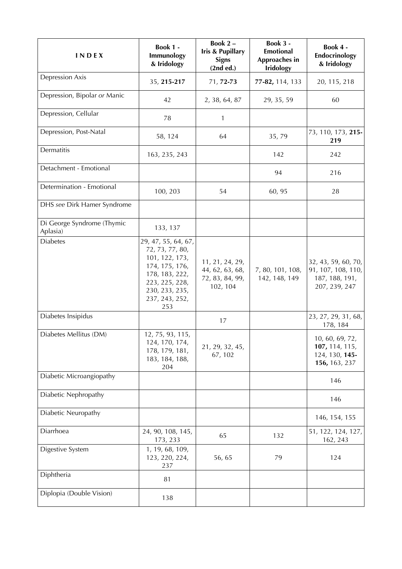| INDEX                                  | Book 1 -<br>Immunology<br>& Iridology                                                                                                                     | Book 2-<br><b>Iris &amp; Pupillary</b><br><b>Signs</b><br>(2nd ed.) | Book 3 -<br><b>Emotional</b><br>Approaches in<br><b>Iridology</b> | Book 4 -<br>Endocrinology<br>& Iridology                                     |
|----------------------------------------|-----------------------------------------------------------------------------------------------------------------------------------------------------------|---------------------------------------------------------------------|-------------------------------------------------------------------|------------------------------------------------------------------------------|
| <b>Depression Axis</b>                 | 35, 215-217                                                                                                                                               | 71, 72-73                                                           | 77-82, 114, 133                                                   | 20, 115, 218                                                                 |
| Depression, Bipolar or Manic           | 42                                                                                                                                                        | 2, 38, 64, 87                                                       | 29, 35, 59                                                        | 60                                                                           |
| Depression, Cellular                   | 78                                                                                                                                                        | $\mathbf{1}$                                                        |                                                                   |                                                                              |
| Depression, Post-Natal                 | 58, 124                                                                                                                                                   | 64                                                                  | 35,79                                                             | 73, 110, 173, 215-<br>219                                                    |
| Dermatitis                             | 163, 235, 243                                                                                                                                             |                                                                     | 142                                                               | 242                                                                          |
| Detachment - Emotional                 |                                                                                                                                                           |                                                                     | 94                                                                | 216                                                                          |
| Determination - Emotional              | 100, 203                                                                                                                                                  | 54                                                                  | 60, 95                                                            | 28                                                                           |
| DHS see Dirk Hamer Syndrome            |                                                                                                                                                           |                                                                     |                                                                   |                                                                              |
| Di George Syndrome (Thymic<br>Aplasia) | 133, 137                                                                                                                                                  |                                                                     |                                                                   |                                                                              |
| <b>Diabetes</b>                        | 29, 47, 55, 64, 67,<br>72, 73, 77, 80,<br>101, 122, 173,<br>174, 175, 176,<br>178, 183, 222,<br>223, 225, 228,<br>230, 233, 235,<br>237, 243, 252,<br>253 | 11, 21, 24, 29,<br>44, 62, 63, 68,<br>72, 83, 84, 99,<br>102, 104   | 7, 80, 101, 108,<br>142, 148, 149                                 | 32, 43, 59, 60, 70,<br>91, 107, 108, 110,<br>187, 188, 191,<br>207, 239, 247 |
| Diabetes Insipidus                     |                                                                                                                                                           | 17                                                                  |                                                                   | 23, 27, 29, 31, 68,<br>178, 184                                              |
| Diabetes Mellitus (DM)                 | 12, 75, 93, 115,<br>124, 170, 174,<br>178, 179, 181,<br>183, 184, 188,<br>204                                                                             | 21, 29, 32, 45,<br>67, 102                                          |                                                                   | 10, 60, 69, 72,<br>107, 114, 115,<br>124, 130, 145-<br>156, 163, 237         |
| Diabetic Microangiopathy               |                                                                                                                                                           |                                                                     |                                                                   | 146                                                                          |
| Diabetic Nephropathy                   |                                                                                                                                                           |                                                                     |                                                                   | 146                                                                          |
| Diabetic Neuropathy                    |                                                                                                                                                           |                                                                     |                                                                   | 146, 154, 155                                                                |
| Diarrhoea                              | 24, 90, 108, 145,<br>173, 233                                                                                                                             | 65                                                                  | 132                                                               | 51, 122, 124, 127,<br>162, 243                                               |
| Digestive System                       | 1, 19, 68, 109,<br>123, 220, 224,<br>237                                                                                                                  | 56, 65                                                              | 79                                                                | 124                                                                          |
| Diphtheria                             | 81                                                                                                                                                        |                                                                     |                                                                   |                                                                              |
| Diplopia (Double Vision)               | 138                                                                                                                                                       |                                                                     |                                                                   |                                                                              |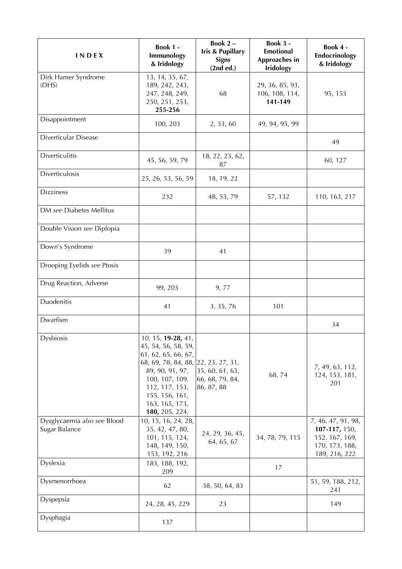| INDEX                                        | Book 1 -<br>Immunology<br>& Iridology                                                                                                                                                                                | Book $2 -$<br><b>Iris &amp; Pupillary</b><br><b>Signs</b><br>(2nd ed.) | Book 3 -<br><b>Emotional</b><br>Approaches in<br><b>Iridology</b> | Book 4 -<br>Endocrinology<br>& Iridology                                                 |
|----------------------------------------------|----------------------------------------------------------------------------------------------------------------------------------------------------------------------------------------------------------------------|------------------------------------------------------------------------|-------------------------------------------------------------------|------------------------------------------------------------------------------------------|
| Dirk Hamer Syndrome<br>(DHS)                 | 13, 14, 35, 67,<br>189, 242, 243,<br>247, 248, 249,<br>250, 251, 253,<br>255-256                                                                                                                                     | 68                                                                     | 29, 36, 85, 93,<br>106, 108, 114,<br>141-149                      | 95, 153                                                                                  |
| Disappointment                               | 100, 203                                                                                                                                                                                                             | 2, 33, 60                                                              | 49, 94, 95, 99                                                    |                                                                                          |
| Diverticular Disease                         |                                                                                                                                                                                                                      |                                                                        |                                                                   | 49                                                                                       |
| Diverticulitis                               | 45, 56, 59, 79                                                                                                                                                                                                       | 18, 22, 23, 62,<br>87                                                  |                                                                   | 60, 127                                                                                  |
| Diverticulosis                               | 25, 26, 53, 56, 59                                                                                                                                                                                                   | 18, 19, 22                                                             |                                                                   |                                                                                          |
| <b>Dizziness</b>                             | 232                                                                                                                                                                                                                  | 48, 53, 79                                                             | 57, 132                                                           | 110, 163, 217                                                                            |
| DM see Diabetes Mellitus                     |                                                                                                                                                                                                                      |                                                                        |                                                                   |                                                                                          |
| Double Vision see Diplopia                   |                                                                                                                                                                                                                      |                                                                        |                                                                   |                                                                                          |
| Down's Syndrome                              | 39                                                                                                                                                                                                                   | 41                                                                     |                                                                   |                                                                                          |
| Drooping Eyelids see Ptosis                  |                                                                                                                                                                                                                      |                                                                        |                                                                   |                                                                                          |
| Drug Reaction, Adverse                       | 99, 203                                                                                                                                                                                                              | 9,77                                                                   |                                                                   |                                                                                          |
| Duodenitis                                   | 41                                                                                                                                                                                                                   | 3, 35, 76                                                              | 101                                                               |                                                                                          |
| Dwarfism                                     |                                                                                                                                                                                                                      |                                                                        |                                                                   | 34                                                                                       |
| Dysbiosis                                    | 10, 15, 19-28, 41,<br>45, 54, 56, 58, 59,<br>61, 62, 65, 66, 67,<br>68, 69, 78, 84, 88, 22, 23, 27, 31,<br>89, 90, 91, 97,<br>100, 107, 109,<br>112, 117, 153,<br>155, 156, 161,<br>163, 165, 173,<br>180, 205, 224, | 35, 60, 61, 63,<br>66, 68, 79, 84,<br>86, 87, 88                       | 68,74                                                             | 7, 49, 63, 112,<br>124, 153, 181,<br>201                                                 |
| Dysglycaemia also see Blood<br>Sugar Balance | 10, 15, 16, 24, 28,<br>35, 42, 47, 80,<br>101, 115, 124,<br>148, 149, 150,<br>153, 192, 216                                                                                                                          | 24, 29, 36, 45,<br>64, 65, 67                                          | 34, 78, 79, 115                                                   | 7, 46, 47, 91, 98,<br>107-117, 150,<br>152, 167, 169,<br>170, 173, 188,<br>189, 216, 222 |
| Dyslexia                                     | 183, 188, 192,<br>209                                                                                                                                                                                                |                                                                        | 17                                                                |                                                                                          |
| Dysmenorrhoea                                | 62                                                                                                                                                                                                                   | 38, 50, 64, 83                                                         |                                                                   | 51, 59, 188, 212,<br>241                                                                 |
| Dyspepsia                                    | 24, 28, 45, 229                                                                                                                                                                                                      | 23                                                                     |                                                                   | 149                                                                                      |
| Dysphagia                                    | 137                                                                                                                                                                                                                  |                                                                        |                                                                   |                                                                                          |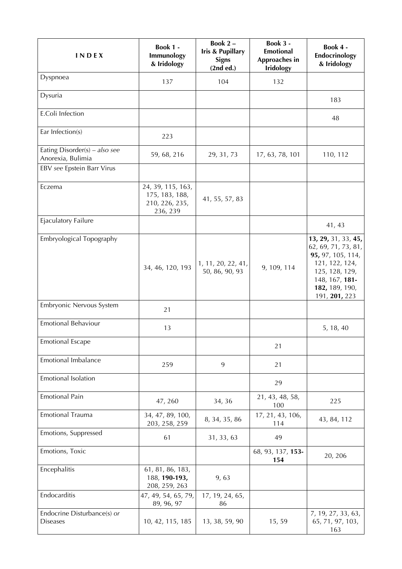| <b>INDEX</b>                                       | <b>Book 1 -</b><br>Immunology<br>& Iridology                      | Book 2-<br><b>Iris &amp; Pupillary</b><br><b>Signs</b><br>(2nd ed.) | Book 3 -<br><b>Emotional</b><br>Approaches in<br><b>Iridology</b> | Book 4 -<br>Endocrinology<br>& Iridology                                                                                                                 |
|----------------------------------------------------|-------------------------------------------------------------------|---------------------------------------------------------------------|-------------------------------------------------------------------|----------------------------------------------------------------------------------------------------------------------------------------------------------|
| Dyspnoea                                           | 137                                                               | 104                                                                 | 132                                                               |                                                                                                                                                          |
| Dysuria                                            |                                                                   |                                                                     |                                                                   | 183                                                                                                                                                      |
| E.Coli Infection                                   |                                                                   |                                                                     |                                                                   | 48                                                                                                                                                       |
| Ear Infection(s)                                   | 223                                                               |                                                                     |                                                                   |                                                                                                                                                          |
| Eating Disorder(s) – also see<br>Anorexia, Bulimia | 59, 68, 216                                                       | 29, 31, 73                                                          | 17, 63, 78, 101                                                   | 110, 112                                                                                                                                                 |
| EBV see Epstein Barr Virus                         |                                                                   |                                                                     |                                                                   |                                                                                                                                                          |
| Eczema                                             | 24, 39, 115, 163,<br>175, 183, 188,<br>210, 226, 235,<br>236, 239 | 41, 55, 57, 83                                                      |                                                                   |                                                                                                                                                          |
| Ejaculatory Failure                                |                                                                   |                                                                     |                                                                   | 41, 43                                                                                                                                                   |
| Embryological Topography                           | 34, 46, 120, 193                                                  | 1, 11, 20, 22, 41,<br>50, 86, 90, 93                                | 9, 109, 114                                                       | 13, 29, 31, 33, 45,<br>62, 69, 71, 73, 81,<br>95, 97, 105, 114,<br>121, 122, 124,<br>125, 128, 129,<br>148, 167, 181-<br>182, 189, 190,<br>191, 201, 223 |
| Embryonic Nervous System                           | 21                                                                |                                                                     |                                                                   |                                                                                                                                                          |
| Emotional Behaviour                                | 13                                                                |                                                                     |                                                                   | 5, 18, 40                                                                                                                                                |
| <b>Emotional Escape</b>                            |                                                                   |                                                                     | 21                                                                |                                                                                                                                                          |
| Emotional Imbalance                                | 259                                                               | 9                                                                   | 21                                                                |                                                                                                                                                          |
| Emotional Isolation                                |                                                                   |                                                                     | 29                                                                |                                                                                                                                                          |
| <b>Emotional Pain</b>                              | 47,260                                                            | 34, 36                                                              | 21, 43, 48, 58,<br>100                                            | 225                                                                                                                                                      |
| Emotional Trauma                                   | 34, 47, 89, 100,<br>203, 258, 259                                 | 8, 34, 35, 86                                                       | 17, 21, 43, 106,<br>114                                           | 43, 84, 112                                                                                                                                              |
| Emotions, Suppressed                               | 61                                                                | 31, 33, 63                                                          | 49                                                                |                                                                                                                                                          |
| Emotions, Toxic                                    |                                                                   |                                                                     | 68, 93, 137, 153-<br>154                                          | 20, 206                                                                                                                                                  |
| Encephalitis                                       | 61, 81, 86, 183,<br>188, 190-193,<br>208, 259, 263                | 9,63                                                                |                                                                   |                                                                                                                                                          |
| Endocarditis                                       | 47, 49, 54, 65, 79,<br>89, 96, 97                                 | 17, 19, 24, 65,<br>86                                               |                                                                   |                                                                                                                                                          |
| Endocrine Disturbance(s) or<br><b>Diseases</b>     | 10, 42, 115, 185                                                  | 13, 38, 59, 90                                                      | 15,59                                                             | 7, 19, 27, 33, 63,<br>65, 71, 97, 103,<br>163                                                                                                            |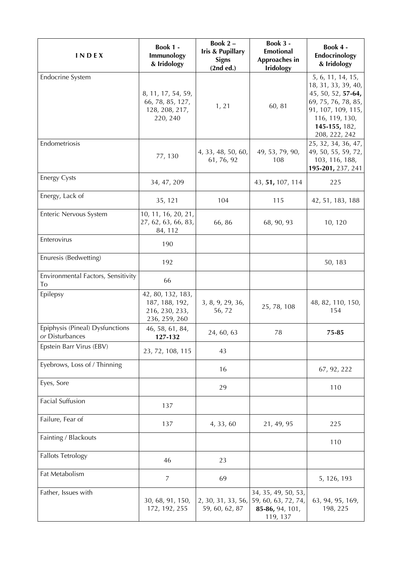| INDEX                                              | Book 1 -<br>Immunology<br>& Iridology                                  | Book 2-<br>Iris & Pupillary<br><b>Signs</b><br>(2nd ed.) | Book 3 -<br>Emotional<br>Approaches in<br><b>Iridology</b>                | Book 4 -<br>Endocrinology<br>& Iridology                                                                                                                        |
|----------------------------------------------------|------------------------------------------------------------------------|----------------------------------------------------------|---------------------------------------------------------------------------|-----------------------------------------------------------------------------------------------------------------------------------------------------------------|
| <b>Endocrine System</b>                            | 8, 11, 17, 54, 59,<br>66, 78, 85, 127,<br>128, 208, 217,<br>220, 240   | 1, 21                                                    | 60, 81                                                                    | 5, 6, 11, 14, 15,<br>18, 31, 33, 39, 40,<br>45, 50, 52, 57-64,<br>69, 75, 76, 78, 85,<br>91, 107, 109, 115,<br>116, 119, 130,<br>145-155, 182,<br>208, 222, 242 |
| Endometriosis                                      | 77, 130                                                                | 4, 33, 48, 50, 60,<br>61, 76, 92                         | 49, 53, 79, 90,<br>108                                                    | 25, 32, 34, 36, 47,<br>49, 50, 55, 59, 72,<br>103, 116, 188,<br>195-201, 237, 241                                                                               |
| <b>Energy Cysts</b>                                | 34, 47, 209                                                            |                                                          | 43, 51, 107, 114                                                          | 225                                                                                                                                                             |
| Energy, Lack of                                    | 35, 121                                                                | 104                                                      | 115                                                                       | 42, 51, 183, 188                                                                                                                                                |
| Enteric Nervous System                             | 10, 11, 16, 20, 21,<br>27, 62, 63, 66, 83,<br>84, 112                  | 66,86                                                    | 68, 90, 93                                                                | 10, 120                                                                                                                                                         |
| Enterovirus                                        | 190                                                                    |                                                          |                                                                           |                                                                                                                                                                 |
| Enuresis (Bedwetting)                              | 192                                                                    |                                                          |                                                                           | 50, 183                                                                                                                                                         |
| Environmental Factors, Sensitivity<br>To           | 66                                                                     |                                                          |                                                                           |                                                                                                                                                                 |
| Epilepsy                                           | 42, 80, 132, 183,<br>187, 188, 192,<br>216, 230, 233,<br>236, 259, 260 | 3, 8, 9, 29, 36,<br>56,72                                | 25, 78, 108                                                               | 48, 82, 110, 150,<br>154                                                                                                                                        |
| Epiphysis (Pineal) Dysfunctions<br>or Disturbances | 46, 58, 61, 84,<br>127-132                                             | 24, 60, 63                                               | 78                                                                        | 75-85                                                                                                                                                           |
| Epstein Barr Virus (EBV)                           | 23, 72, 108, 115                                                       | 43                                                       |                                                                           |                                                                                                                                                                 |
| Eyebrows, Loss of / Thinning                       |                                                                        | 16                                                       |                                                                           | 67, 92, 222                                                                                                                                                     |
| Eyes, Sore                                         |                                                                        | 29                                                       |                                                                           | 110                                                                                                                                                             |
| <b>Facial Suffusion</b>                            | 137                                                                    |                                                          |                                                                           |                                                                                                                                                                 |
| Failure, Fear of                                   | 137                                                                    | 4, 33, 60                                                | 21, 49, 95                                                                | 225                                                                                                                                                             |
| Fainting / Blackouts                               |                                                                        |                                                          |                                                                           | 110                                                                                                                                                             |
| <b>Fallots Tetrology</b>                           | 46                                                                     | 23                                                       |                                                                           |                                                                                                                                                                 |
| Fat Metabolism                                     | $\overline{7}$                                                         | 69                                                       |                                                                           | 5, 126, 193                                                                                                                                                     |
| Father, Issues with                                | 30, 68, 91, 150,<br>172, 192, 255                                      | 2, 30, 31, 33, 56,<br>59, 60, 62, 87                     | 34, 35, 49, 50, 53,<br>59, 60, 63, 72, 74,<br>85-86, 94, 101,<br>119, 137 | 63, 94, 95, 169,<br>198, 225                                                                                                                                    |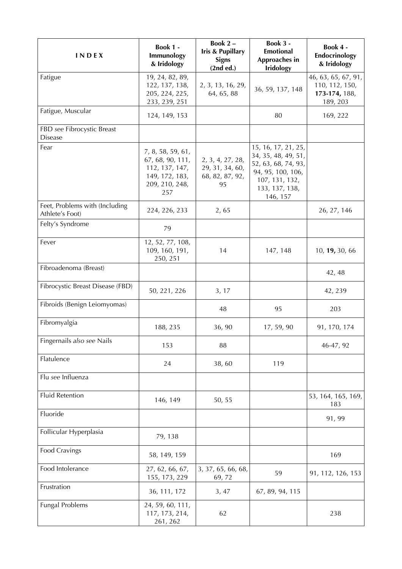| <b>INDEX</b>                                      | Book 1 -<br>Immunology<br>& Iridology                                                              | Book 2-<br>Iris & Pupillary<br><b>Signs</b><br>(2nd ed.)     | Book 3 -<br><b>Emotional</b><br>Approaches in<br><b>Iridology</b>                                                                      | Book 4 -<br>Endocrinology<br>& Iridology                           |
|---------------------------------------------------|----------------------------------------------------------------------------------------------------|--------------------------------------------------------------|----------------------------------------------------------------------------------------------------------------------------------------|--------------------------------------------------------------------|
| Fatigue                                           | 19, 24, 82, 89,<br>122, 137, 138,<br>205, 224, 225,<br>233, 239, 251                               | 2, 3, 13, 16, 29,<br>64, 65, 88                              | 36, 59, 137, 148                                                                                                                       | 46, 63, 65, 67, 91,<br>110, 112, 150,<br>173-174, 188,<br>189, 203 |
| Fatigue, Muscular                                 | 124, 149, 153                                                                                      |                                                              | 80                                                                                                                                     | 169, 222                                                           |
| FBD see Fibrocystic Breast<br><b>Disease</b>      |                                                                                                    |                                                              |                                                                                                                                        |                                                                    |
| Fear                                              | 7, 8, 58, 59, 61,<br>67, 68, 90, 111,<br>112, 137, 147,<br>149, 172, 183,<br>209, 210, 248,<br>257 | 2, 3, 4, 27, 28,<br>29, 31, 34, 60,<br>68, 82, 87, 92,<br>95 | 15, 16, 17, 21, 25,<br>34, 35, 48, 49, 51,<br>52, 63, 68, 74, 93,<br>94, 95, 100, 106,<br>107, 131, 132,<br>133, 137, 138,<br>146, 157 |                                                                    |
| Feet, Problems with (Including<br>Athlete's Foot) | 224, 226, 233                                                                                      | 2,65                                                         |                                                                                                                                        | 26, 27, 146                                                        |
| Felty's Syndrome                                  | 79                                                                                                 |                                                              |                                                                                                                                        |                                                                    |
| Fever                                             | 12, 52, 77, 108,<br>109, 160, 191,<br>250, 251                                                     | 14                                                           | 147, 148                                                                                                                               | 10, 19, 30, 66                                                     |
| Fibroadenoma (Breast)                             |                                                                                                    |                                                              |                                                                                                                                        | 42, 48                                                             |
| Fibrocystic Breast Disease (FBD)                  | 50, 221, 226                                                                                       | 3, 17                                                        |                                                                                                                                        | 42, 239                                                            |
| Fibroids (Benign Leiomyomas)                      |                                                                                                    | 48                                                           | 95                                                                                                                                     | 203                                                                |
| Fibromyalgia                                      | 188, 235                                                                                           | 36, 90                                                       | 17, 59, 90                                                                                                                             | 91, 170, 174                                                       |
| Fingernails also see Nails                        | 153                                                                                                | 88                                                           |                                                                                                                                        | 46-47, 92                                                          |
| Flatulence                                        | 24                                                                                                 | 38,60                                                        | 119                                                                                                                                    |                                                                    |
| Flu see Influenza                                 |                                                                                                    |                                                              |                                                                                                                                        |                                                                    |
| <b>Fluid Retention</b>                            | 146, 149                                                                                           | 50, 55                                                       |                                                                                                                                        | 53, 164, 165, 169,<br>183                                          |
| Fluoride                                          |                                                                                                    |                                                              |                                                                                                                                        | 91, 99                                                             |
| Follicular Hyperplasia                            | 79, 138                                                                                            |                                                              |                                                                                                                                        |                                                                    |
| Food Cravings                                     | 58, 149, 159                                                                                       |                                                              |                                                                                                                                        | 169                                                                |
| Food Intolerance                                  | 27, 62, 66, 67,<br>155, 173, 229                                                                   | 3, 37, 65, 66, 68,<br>69,72                                  | 59                                                                                                                                     | 91, 112, 126, 153                                                  |
| Frustration                                       | 36, 111, 172                                                                                       | 3,47                                                         | 67, 89, 94, 115                                                                                                                        |                                                                    |
| <b>Fungal Problems</b>                            | 24, 59, 60, 111,<br>117, 173, 214,<br>261, 262                                                     | 62                                                           |                                                                                                                                        | 238                                                                |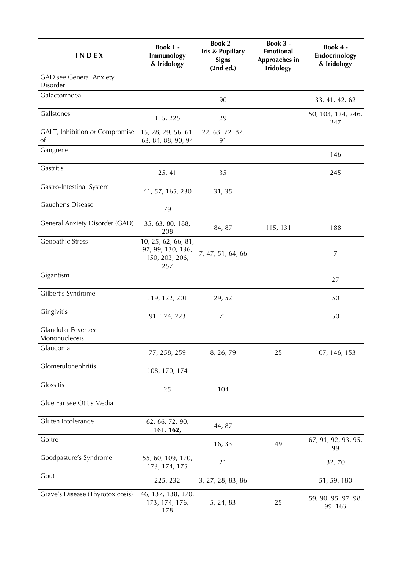| <b>INDEX</b>                               | Book 1 -<br>Immunology<br>& Iridology                             | Book 2-<br><b>Iris &amp; Pupillary</b><br><b>Signs</b><br>(2nd ed.) | Book 3 -<br><b>Emotional</b><br>Approaches in<br><b>Iridology</b> | Book 4 -<br>Endocrinology<br>& Iridology |
|--------------------------------------------|-------------------------------------------------------------------|---------------------------------------------------------------------|-------------------------------------------------------------------|------------------------------------------|
| <b>GAD</b> see General Anxiety<br>Disorder |                                                                   |                                                                     |                                                                   |                                          |
| Galactorrhoea                              |                                                                   | 90                                                                  |                                                                   | 33, 41, 42, 62                           |
| Gallstones                                 | 115, 225                                                          | 29                                                                  |                                                                   | 50, 103, 124, 246,<br>247                |
| GALT, Inhibition or Compromise<br>οf       | 15, 28, 29, 56, 61,<br>63, 84, 88, 90, 94                         | 22, 63, 72, 87,<br>91                                               |                                                                   |                                          |
| Gangrene                                   |                                                                   |                                                                     |                                                                   | 146                                      |
| Gastritis                                  | 25, 41                                                            | 35                                                                  |                                                                   | 245                                      |
| Gastro-Intestinal System                   | 41, 57, 165, 230                                                  | 31, 35                                                              |                                                                   |                                          |
| Gaucher's Disease                          | 79                                                                |                                                                     |                                                                   |                                          |
| General Anxiety Disorder (GAD)             | 35, 63, 80, 188,<br>208                                           | 84, 87                                                              | 115, 131                                                          | 188                                      |
| Geopathic Stress                           | 10, 25, 62, 66, 81,<br>97, 99, 130, 136,<br>150, 203, 206,<br>257 | 7, 47, 51, 64, 66                                                   |                                                                   | $\overline{7}$                           |
| Gigantism                                  |                                                                   |                                                                     |                                                                   | 27                                       |
| Gilbert's Syndrome                         | 119, 122, 201                                                     | 29, 52                                                              |                                                                   | 50                                       |
| Gingivitis                                 | 91, 124, 223                                                      | 71                                                                  |                                                                   | 50                                       |
| Glandular Fever see<br>Mononucleosis       |                                                                   |                                                                     |                                                                   |                                          |
| Glaucoma                                   | 77, 258, 259                                                      | 8, 26, 79                                                           | 25                                                                | 107, 146, 153                            |
| Glomerulonephritis                         | 108, 170, 174                                                     |                                                                     |                                                                   |                                          |
| Glossitis                                  | 25                                                                | 104                                                                 |                                                                   |                                          |
| Glue Ear see Otitis Media                  |                                                                   |                                                                     |                                                                   |                                          |
| Gluten Intolerance                         | 62, 66, 72, 90,<br>161, 162,                                      | 44, 87                                                              |                                                                   |                                          |
| Goitre                                     |                                                                   | 16, 33                                                              | 49                                                                | 67, 91, 92, 93, 95,<br>99                |
| Goodpasture's Syndrome                     | 55, 60, 109, 170,<br>173, 174, 175                                | 21                                                                  |                                                                   | 32,70                                    |
| Gout                                       | 225, 232                                                          | 3, 27, 28, 83, 86                                                   |                                                                   | 51, 59, 180                              |
| Grave's Disease (Thyrotoxicosis)           | 46, 137, 138, 170,<br>173, 174, 176,<br>178                       | 5, 24, 83                                                           | 25                                                                | 59, 90, 95, 97, 98,<br>99.163            |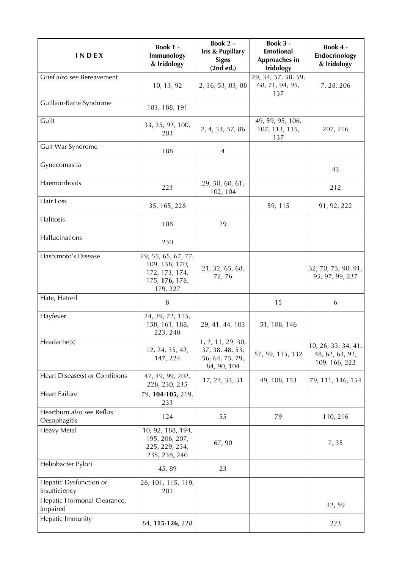| <b>INDEX</b>                              | <b>Book 1 -</b><br>Immunology<br>& Iridology                                          | Book 2-<br><b>Iris &amp; Pupillary</b><br><b>Signs</b><br>(2nd ed.)    | <b>Book 3 -</b><br><b>Emotional</b><br>Approaches in<br><b>Iridology</b> | Book 4 -<br>Endocrinology<br>& Iridology                |
|-------------------------------------------|---------------------------------------------------------------------------------------|------------------------------------------------------------------------|--------------------------------------------------------------------------|---------------------------------------------------------|
| Grief also see Bereavement                | 10, 13, 92                                                                            | 2, 36, 53, 83, 88                                                      | 29, 34, 57, 58, 59,<br>68, 71, 94, 95,<br>137                            | 7, 28, 206                                              |
| Guillain-Barre Syndrome                   | 183, 188, 191                                                                         |                                                                        |                                                                          |                                                         |
| Guilt                                     | 33, 35, 92, 100,<br>203                                                               | 2, 4, 33, 57, 86                                                       | 49, 59, 95, 106,<br>107, 113, 115,<br>137                                | 207, 216                                                |
| Gulf War Syndrome                         | 188                                                                                   | $\overline{4}$                                                         |                                                                          |                                                         |
| Gynecomastia                              |                                                                                       |                                                                        |                                                                          | 43                                                      |
| Haemorrhoids                              | 223                                                                                   | 29, 50, 60, 61,<br>102, 104                                            |                                                                          | 212                                                     |
| Hair Loss                                 | 35, 165, 226                                                                          |                                                                        | 59, 115                                                                  | 91, 92, 222                                             |
| Halitosis                                 | 108                                                                                   | 29                                                                     |                                                                          |                                                         |
| Hallucinations                            | 230                                                                                   |                                                                        |                                                                          |                                                         |
| Hashimoto's Disease                       | 29, 55, 65, 67, 77,<br>109, 138, 170,<br>172, 173, 174,<br>175, 176, 178,<br>179, 227 | 21, 32, 65, 68,<br>72,76                                               |                                                                          | 32, 70, 73, 90, 91,<br>95, 97, 99, 237                  |
| Hate, Hatred                              | $\, 8$                                                                                |                                                                        | 15                                                                       | 6                                                       |
| Hayfever                                  | 24, 39, 72, 115,<br>158, 161, 188,<br>223, 248                                        | 29, 41, 44, 103                                                        | 51, 108, 146                                                             |                                                         |
| Headache(s)                               | 12, 24, 35, 42,<br>147, 224                                                           | 1, 2, 11, 29, 30,<br>37, 38, 48, 53,<br>56, 64, 75, 79,<br>84, 90, 104 | 57, 59, 115, 132                                                         | 10, 26, 33, 34, 41,<br>48, 62, 63, 92,<br>109, 166, 222 |
| Heart Disease(s) or Conditions            | 47, 49, 99, 202,<br>228, 230, 235                                                     | 17, 24, 33, 51                                                         | 49, 108, 153                                                             | 79, 111, 146, 154                                       |
| <b>Heart Failure</b>                      | 79, 104-105, 219,<br>233                                                              |                                                                        |                                                                          |                                                         |
| Heartburn also see Reflux<br>Oesophagitis | 124                                                                                   | 55                                                                     | 79                                                                       | 110, 216                                                |
| Heavy Metal                               | 10, 92, 188, 194,<br>195, 206, 207,<br>225, 229, 234,<br>235, 238, 240                | 67, 90                                                                 |                                                                          | 7,35                                                    |
| Heliobacter Pylori                        | 45,89                                                                                 | 23                                                                     |                                                                          |                                                         |
| Hepatic Dysfunction or<br>Insufficiency   | 26, 101, 115, 119,<br>201                                                             |                                                                        |                                                                          |                                                         |
| Hepatic Hormonal Clearance,<br>Impaired   |                                                                                       |                                                                        |                                                                          | 32, 59                                                  |
| Hepatic Immunity                          | 84, 115-126, 228                                                                      |                                                                        |                                                                          | 223                                                     |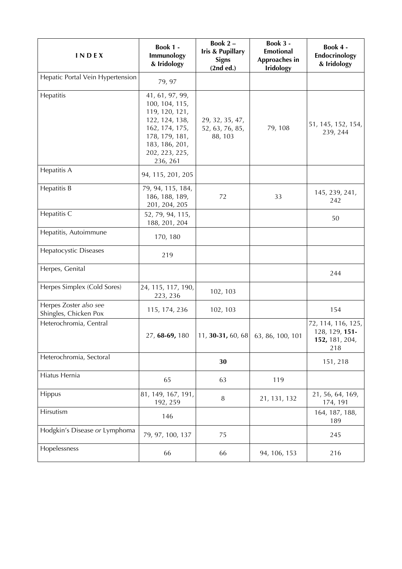| INDEX                                           | Book 1 -<br>Immunology<br>& Iridology                                                                                                                     | Book 2-<br>Iris & Pupillary<br><b>Signs</b><br>(2nd ed.) | Book 3 -<br>Emotional<br>Approaches in<br><b>Iridology</b> | Book 4 -<br>Endocrinology<br>& Iridology                      |
|-------------------------------------------------|-----------------------------------------------------------------------------------------------------------------------------------------------------------|----------------------------------------------------------|------------------------------------------------------------|---------------------------------------------------------------|
| Hepatic Portal Vein Hypertension                | 79, 97                                                                                                                                                    |                                                          |                                                            |                                                               |
| Hepatitis                                       | 41, 61, 97, 99,<br>100, 104, 115,<br>119, 120, 121,<br>122, 124, 138,<br>162, 174, 175,<br>178, 179, 181,<br>183, 186, 201,<br>202, 223, 225,<br>236, 261 | 29, 32, 35, 47,<br>52, 63, 76, 85,<br>88, 103            | 79, 108                                                    | 51, 145, 152, 154,<br>239, 244                                |
| Hepatitis A                                     | 94, 115, 201, 205                                                                                                                                         |                                                          |                                                            |                                                               |
| Hepatitis B                                     | 79, 94, 115, 184,<br>186, 188, 189,<br>201, 204, 205                                                                                                      | 72                                                       | 33                                                         | 145, 239, 241,<br>242                                         |
| Hepatitis C                                     | 52, 79, 94, 115,<br>188, 201, 204                                                                                                                         |                                                          |                                                            | 50                                                            |
| Hepatitis, Autoimmune                           | 170, 180                                                                                                                                                  |                                                          |                                                            |                                                               |
| <b>Hepatocystic Diseases</b>                    | 219                                                                                                                                                       |                                                          |                                                            |                                                               |
| Herpes, Genital                                 |                                                                                                                                                           |                                                          |                                                            | 244                                                           |
| Herpes Simplex (Cold Sores)                     | 24, 115, 117, 190,<br>223, 236                                                                                                                            | 102, 103                                                 |                                                            |                                                               |
| Herpes Zoster also see<br>Shingles, Chicken Pox | 115, 174, 236                                                                                                                                             | 102, 103                                                 |                                                            | 154                                                           |
| Heterochromia, Central                          | 27, 68-69, 180                                                                                                                                            | 11, <b>30-31,</b> 60, 68 63, 86, 100, 101                |                                                            | 72, 114, 116, 125,<br>128, 129, 151-<br>152, 181, 204,<br>218 |
| Heterochromia, Sectoral                         |                                                                                                                                                           | 30                                                       |                                                            | 151, 218                                                      |
| Hiatus Hernia                                   | 65                                                                                                                                                        | 63                                                       | 119                                                        |                                                               |
| Hippus                                          | 81, 149, 167, 191,<br>192, 259                                                                                                                            | $\, 8$                                                   | 21, 131, 132                                               | 21, 56, 64, 169,<br>174, 191                                  |
| Hirsutism                                       | 146                                                                                                                                                       |                                                          |                                                            | 164, 187, 188,<br>189                                         |
| Hodgkin's Disease or Lymphoma                   | 79, 97, 100, 137                                                                                                                                          | 75                                                       |                                                            | 245                                                           |
| Hopelessness                                    | 66                                                                                                                                                        | 66                                                       | 94, 106, 153                                               | 216                                                           |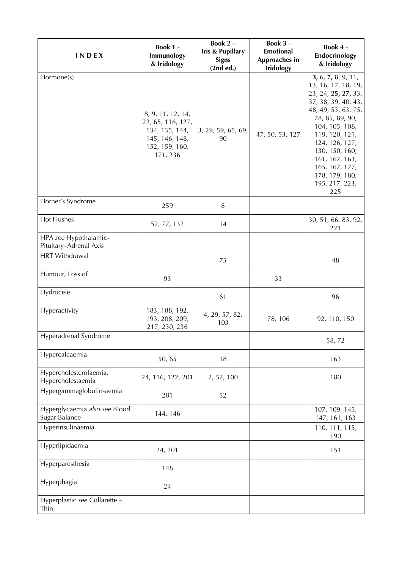| <b>INDEX</b>                                    | Book 1 -<br>Immunology<br>& Iridology                                                                    | Book 2-<br><b>Iris &amp; Pupillary</b><br><b>Signs</b><br>(2nd ed.) | Book 3 -<br>Emotional<br>Approaches in<br><b>Iridology</b> | Book 4 -<br>Endocrinology<br>& Iridology                                                                                                                                                                                                                                                 |
|-------------------------------------------------|----------------------------------------------------------------------------------------------------------|---------------------------------------------------------------------|------------------------------------------------------------|------------------------------------------------------------------------------------------------------------------------------------------------------------------------------------------------------------------------------------------------------------------------------------------|
| Hormone(s)                                      | 8, 9, 11, 12, 14,<br>22, 65, 116, 127,<br>134, 135, 144,<br>145, 146, 148,<br>152, 159, 160,<br>171, 236 | 3, 29, 59, 65, 69,<br>90                                            | 47, 50, 53, 127                                            | 3, 6, 7, 8, 9, 11,<br>13, 16, 17, 18, 19,<br>23, 24, 25, 27, 33,<br>37, 38, 39, 40, 43,<br>48, 49, 53, 63, 75,<br>78, 85, 89, 90,<br>104, 105, 108,<br>119, 120, 121,<br>124, 126, 127,<br>130, 150, 160,<br>161, 162, 163,<br>165, 167, 177,<br>178, 179, 180,<br>195, 217, 223,<br>225 |
| Horner's Syndrome                               | 259                                                                                                      | 8                                                                   |                                                            |                                                                                                                                                                                                                                                                                          |
| Hot Flushes                                     | 52, 77, 132                                                                                              | 14                                                                  |                                                            | 30, 51, 66, 83, 92,<br>221                                                                                                                                                                                                                                                               |
| HPA see Hypothalamic-<br>Pituitary-Adrenal Axis |                                                                                                          |                                                                     |                                                            |                                                                                                                                                                                                                                                                                          |
| <b>HRT</b> Withdrawal                           |                                                                                                          | 75                                                                  |                                                            | 48                                                                                                                                                                                                                                                                                       |
| Humour, Loss of                                 | 93                                                                                                       |                                                                     | 33                                                         |                                                                                                                                                                                                                                                                                          |
| Hydrocele                                       |                                                                                                          | 61                                                                  |                                                            | 96                                                                                                                                                                                                                                                                                       |
| Hyperactivity                                   | 183, 188, 192,<br>193, 208, 209,<br>217, 230, 236                                                        | 4, 29, 57, 82,<br>103                                               | 78, 106                                                    | 92, 110, 150                                                                                                                                                                                                                                                                             |
| Hyperadrenal Syndrome                           |                                                                                                          |                                                                     |                                                            | 58,72                                                                                                                                                                                                                                                                                    |
| Hypercalcaemia                                  | 50,65                                                                                                    | 18                                                                  |                                                            | 163                                                                                                                                                                                                                                                                                      |
| Hypercholesterolaemia,<br>Hypercholestaemia     | 24, 116, 122, 201                                                                                        | 2, 52, 100                                                          |                                                            | 180                                                                                                                                                                                                                                                                                      |
| Hypergammaglobulin-aemia                        | 201                                                                                                      | 52                                                                  |                                                            |                                                                                                                                                                                                                                                                                          |
| Hyperglycaemia also see Blood<br>Sugar Balance  | 144, 146                                                                                                 |                                                                     |                                                            | 107, 109, 145,<br>147, 161, 163                                                                                                                                                                                                                                                          |
| Hyperinsulinaemia                               |                                                                                                          |                                                                     |                                                            | 110, 111, 115,<br>190                                                                                                                                                                                                                                                                    |
| Hyperlipidaemia                                 | 24, 201                                                                                                  |                                                                     |                                                            | 151                                                                                                                                                                                                                                                                                      |
| Hyperparesthesia                                | 148                                                                                                      |                                                                     |                                                            |                                                                                                                                                                                                                                                                                          |
| Hyperphagia                                     | 24                                                                                                       |                                                                     |                                                            |                                                                                                                                                                                                                                                                                          |
| Hyperplastic see Collarette -<br>Thin           |                                                                                                          |                                                                     |                                                            |                                                                                                                                                                                                                                                                                          |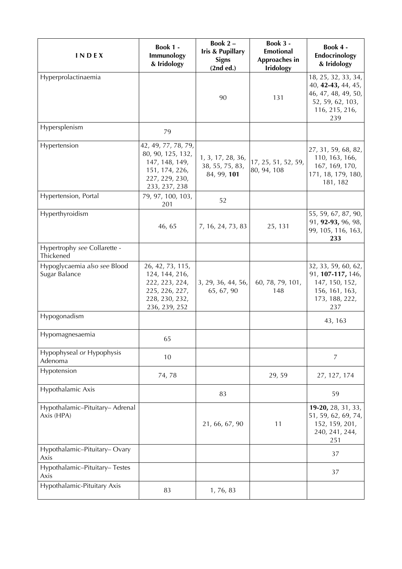| <b>INDEX</b>                                  | <b>Book 1 -</b><br>Immunology<br>& Iridology                                                                    | Book 2-<br><b>Iris &amp; Pupillary</b><br><b>Signs</b><br>(2nd ed.) | Book 3 -<br><b>Emotional</b><br>Approaches in<br><b>Iridology</b> | Book 4 -<br>Endocrinology<br>& Iridology                                                                      |
|-----------------------------------------------|-----------------------------------------------------------------------------------------------------------------|---------------------------------------------------------------------|-------------------------------------------------------------------|---------------------------------------------------------------------------------------------------------------|
| Hyperprolactinaemia                           |                                                                                                                 | 90                                                                  | 131                                                               | 18, 25, 32, 33, 34,<br>40, 42-43, 44, 45,<br>46, 47, 48, 49, 50,<br>52, 59, 62, 103,<br>116, 215, 216,<br>239 |
| Hypersplenism                                 | 79                                                                                                              |                                                                     |                                                                   |                                                                                                               |
| Hypertension                                  | 42, 49, 77, 78, 79,<br>80, 90, 125, 132,<br>147, 148, 149,<br>151, 174, 226,<br>227, 229, 230,<br>233, 237, 238 | 1, 3, 17, 28, 36,<br>38, 55, 75, 83,<br>84, 99, 101                 | 17, 25, 51, 52, 59,<br>80, 94, 108                                | 27, 31, 59, 68, 82,<br>110, 163, 166,<br>167, 169, 170,<br>171, 18, 179, 180,<br>181, 182                     |
| Hypertension, Portal                          | 79, 97, 100, 103,<br>201                                                                                        | 52                                                                  |                                                                   |                                                                                                               |
| Hyperthyroidism                               | 46, 65                                                                                                          | 7, 16, 24, 73, 83                                                   | 25, 131                                                           | 55, 59, 67, 87, 90,<br>91, 92-93, 96, 98,<br>99, 105, 116, 163,<br>233                                        |
| Hypertrophy see Collarette -<br>Thickened     |                                                                                                                 |                                                                     |                                                                   |                                                                                                               |
| Hypoglycaemia also see Blood<br>Sugar Balance | 26, 42, 73, 115,<br>124, 144, 216,<br>222, 223, 224,<br>225, 226, 227,<br>228, 230, 232,<br>236, 239, 252       | 3, 29, 36, 44, 56,<br>65, 67, 90                                    | 60, 78, 79, 101,<br>148                                           | 32, 33, 59, 60, 62,<br>91, 107-117, 146,<br>147, 150, 152,<br>156, 161, 163,<br>173, 188, 222,<br>237         |
| Hypogonadism                                  |                                                                                                                 |                                                                     |                                                                   | 43, 163                                                                                                       |
| Hypomagnesaemia                               | 65                                                                                                              |                                                                     |                                                                   |                                                                                                               |
| Hypophyseal or Hypophysis<br>Adenoma          | 10                                                                                                              |                                                                     |                                                                   | $\overline{7}$                                                                                                |
| Hypotension                                   | 74,78                                                                                                           |                                                                     | 29,59                                                             | 27, 127, 174                                                                                                  |
| Hypothalamic Axis                             |                                                                                                                 | 83                                                                  |                                                                   | 59                                                                                                            |
| Hypothalamic-Pituitary- Adrenal<br>Axis (HPA) |                                                                                                                 | 21, 66, 67, 90                                                      | 11                                                                | $19-20, 28, 31, 33,$<br>51, 59, 62, 69, 74,<br>152, 159, 201,<br>240, 241, 244,<br>251                        |
| Hypothalamic-Pituitary-Ovary<br>Axis          |                                                                                                                 |                                                                     |                                                                   | 37                                                                                                            |
| Hypothalamic-Pituitary-Testes<br>Axis         |                                                                                                                 |                                                                     |                                                                   | 37                                                                                                            |
| Hypothalamic-Pituitary Axis                   | 83                                                                                                              | 1, 76, 83                                                           |                                                                   |                                                                                                               |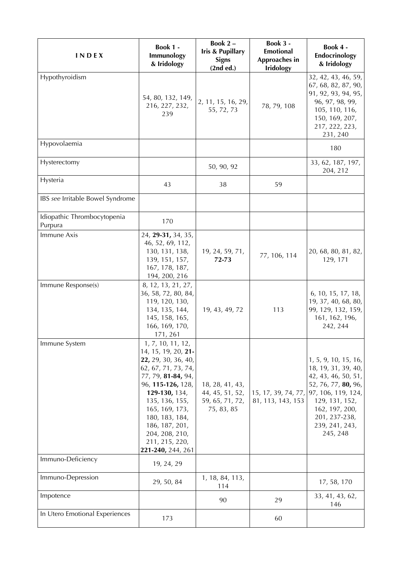| INDEX                                  | Book 1 -<br>Immunology<br>& Iridology                                                                                                                                                                                                                                               | Book $2 -$<br><b>Iris &amp; Pupillary</b><br><b>Signs</b><br>(2nd ed.) | Book 3 -<br><b>Emotional</b><br>Approaches in<br><b>Iridology</b> | Book 4 -<br>Endocrinology<br>& Iridology                                                                                                                                                                               |
|----------------------------------------|-------------------------------------------------------------------------------------------------------------------------------------------------------------------------------------------------------------------------------------------------------------------------------------|------------------------------------------------------------------------|-------------------------------------------------------------------|------------------------------------------------------------------------------------------------------------------------------------------------------------------------------------------------------------------------|
| Hypothyroidism                         | 54, 80, 132, 149,<br>216, 227, 232,<br>239                                                                                                                                                                                                                                          | 2, 11, 15, 16, 29,<br>55, 72, 73                                       | 78, 79, 108                                                       | 32, 42, 43, 46, 59,<br>67, 68, 82, 87, 90,<br>91, 92, 93, 94, 95,<br>96, 97, 98, 99,<br>105, 110, 116,<br>150, 169, 207,<br>217, 222, 223,<br>231, 240                                                                 |
| Hypovolaemia                           |                                                                                                                                                                                                                                                                                     |                                                                        |                                                                   | 180                                                                                                                                                                                                                    |
| Hysterectomy                           |                                                                                                                                                                                                                                                                                     | 50, 90, 92                                                             |                                                                   | 33, 62, 187, 197,<br>204, 212                                                                                                                                                                                          |
| Hysteria                               | 43                                                                                                                                                                                                                                                                                  | 38                                                                     | 59                                                                |                                                                                                                                                                                                                        |
| IBS see Irritable Bowel Syndrome       |                                                                                                                                                                                                                                                                                     |                                                                        |                                                                   |                                                                                                                                                                                                                        |
| Idiopathic Thrombocytopenia<br>Purpura | 170                                                                                                                                                                                                                                                                                 |                                                                        |                                                                   |                                                                                                                                                                                                                        |
| Immune Axis                            | 24, 29-31, 34, 35,<br>46, 52, 69, 112,<br>130, 131, 138,<br>139, 151, 157,<br>167, 178, 187,<br>194, 200, 216                                                                                                                                                                       | 19, 24, 59, 71,<br>72-73                                               | 77, 106, 114                                                      | 20, 68, 80, 81, 82,<br>129, 171                                                                                                                                                                                        |
| Immune Response(s)                     | 8, 12, 13, 21, 27,<br>36, 58, 72, 80, 84,<br>119, 120, 130,<br>134, 135, 144,<br>145, 158, 165,<br>166, 169, 170,<br>171, 261                                                                                                                                                       | 19, 43, 49, 72                                                         | 113                                                               | 6, 10, 15, 17, 18,<br>19, 37, 40, 68, 80,<br>99, 129, 132, 159,<br>161, 162, 196,<br>242, 244                                                                                                                          |
| Immune System                          | 1, 7, 10, 11, 12,<br>14, 15, 19, 20, 21-<br>22, 29, 30, 36, 40,<br>62, 67, 71, 73, 74,<br>77, 79, 81-84, 94,<br>96, 115-126, 128,<br>129-130, 134,<br>135, 136, 155,<br>165, 169, 173,<br>180, 183, 184,<br>186, 187, 201,<br>204, 208, 210,<br>211, 215, 220,<br>221-240, 244, 261 | 18, 28, 41, 43,<br>44, 45, 51, 52,<br>59, 65, 71, 72,<br>75, 83, 85    | 81, 113, 143, 153                                                 | 1, 5, 9, 10, 15, 16,<br>18, 19, 31, 39, 40,<br>42, 43, 46, 50, 51,<br>52, 76, 77, 80, 96,<br>15, 17, 39, 74, 77, 97, 106, 119, 124,<br>129, 131, 152,<br>162, 197, 200,<br>201, 237-238,<br>239, 241, 243,<br>245, 248 |
| Immuno-Deficiency                      | 19, 24, 29                                                                                                                                                                                                                                                                          |                                                                        |                                                                   |                                                                                                                                                                                                                        |
| Immuno-Depression                      | 29, 50, 84                                                                                                                                                                                                                                                                          | 1, 18, 84, 113,<br>114                                                 |                                                                   | 17, 58, 170                                                                                                                                                                                                            |
| Impotence                              |                                                                                                                                                                                                                                                                                     | 90                                                                     | 29                                                                | 33, 41, 43, 62,<br>146                                                                                                                                                                                                 |
| In Utero Emotional Experiences         | 173                                                                                                                                                                                                                                                                                 |                                                                        | 60                                                                |                                                                                                                                                                                                                        |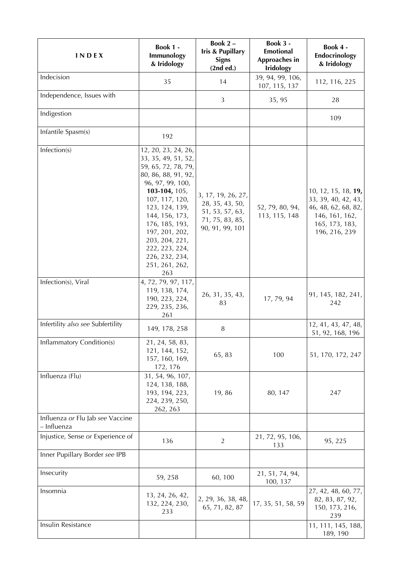| INDEX                                           | Book 1 -<br>Immunology<br>& Iridology                                                                                                                                                                                                                                                                  | Book 2-<br>Iris & Pupillary<br><b>Signs</b><br>(2nd ed.)                                       | Book 3 -<br><b>Emotional</b><br>Approaches in<br><b>Iridology</b> | Book 4 -<br>Endocrinology<br>& Iridology                                                                               |
|-------------------------------------------------|--------------------------------------------------------------------------------------------------------------------------------------------------------------------------------------------------------------------------------------------------------------------------------------------------------|------------------------------------------------------------------------------------------------|-------------------------------------------------------------------|------------------------------------------------------------------------------------------------------------------------|
| Indecision                                      | 35                                                                                                                                                                                                                                                                                                     | 14                                                                                             | 39, 94, 99, 106,<br>107, 115, 137                                 | 112, 116, 225                                                                                                          |
| Independence, Issues with                       |                                                                                                                                                                                                                                                                                                        | $\mathfrak{Z}$                                                                                 | 35, 95                                                            | 28                                                                                                                     |
| Indigestion                                     |                                                                                                                                                                                                                                                                                                        |                                                                                                |                                                                   | 109                                                                                                                    |
| Infantile Spasm(s)                              | 192                                                                                                                                                                                                                                                                                                    |                                                                                                |                                                                   |                                                                                                                        |
| Infection(s)                                    | 12, 20, 23, 24, 26,<br>33, 35, 49, 51, 52,<br>59, 65, 72, 78, 79,<br>80, 86, 88, 91, 92,<br>96, 97, 99, 100,<br>103-104, 105,<br>107, 117, 120,<br>123, 124, 139,<br>144, 156, 173,<br>176, 185, 193,<br>197, 201, 202,<br>203, 204, 221,<br>222, 223, 224,<br>226, 232, 234,<br>251, 261, 262,<br>263 | 3, 17, 19, 26, 27,<br>28, 35, 43, 50,<br>51, 53, 57, 63,<br>71, 75, 83, 85,<br>90, 91, 99, 101 | 52, 79, 80, 94,<br>113, 115, 148                                  | 10, 12, 15, 18, 19,<br>33, 39, 40, 42, 43,<br>46, 48, 62, 68, 82,<br>146, 161, 162,<br>165, 173, 183,<br>196, 216, 239 |
| Infection(s), Viral                             | 4, 72, 79, 97, 117,<br>119, 138, 174,<br>190, 223, 224,<br>229, 235, 236,<br>261                                                                                                                                                                                                                       | 26, 31, 35, 43,<br>83                                                                          | 17, 79, 94                                                        | 91, 145, 182, 241,<br>242                                                                                              |
| Infertility also see Subfertility               | 149, 178, 258                                                                                                                                                                                                                                                                                          | $\, 8$                                                                                         |                                                                   | 12, 41, 43, 47, 48,<br>51, 92, 168, 196                                                                                |
| <b>Inflammatory Condition(s)</b>                | 21, 24, 58, 83,<br>121, 144, 152,<br>157, 160, 169,<br>172, 176                                                                                                                                                                                                                                        | 65, 83                                                                                         | 100                                                               | 51, 170, 172, 247                                                                                                      |
| Influenza (Flu)                                 | 31, 54, 96, 107,<br>124, 138, 188,<br>193, 194, 223,<br>224, 239, 250,<br>262, 263                                                                                                                                                                                                                     | 19,86                                                                                          | 80, 147                                                           | 247                                                                                                                    |
| Influenza or Flu Jab see Vaccine<br>– Influenza |                                                                                                                                                                                                                                                                                                        |                                                                                                |                                                                   |                                                                                                                        |
| Injustice, Sense or Experience of               | 136                                                                                                                                                                                                                                                                                                    | $\overline{2}$                                                                                 | 21, 72, 95, 106,<br>133                                           | 95, 225                                                                                                                |
| Inner Pupillary Border see IPB                  |                                                                                                                                                                                                                                                                                                        |                                                                                                |                                                                   |                                                                                                                        |
| Insecurity                                      | 59, 258                                                                                                                                                                                                                                                                                                | 60,100                                                                                         | 21, 51, 74, 94,<br>100, 137                                       |                                                                                                                        |
| Insomnia                                        | 13, 24, 26, 42,<br>132, 224, 230,<br>233                                                                                                                                                                                                                                                               | 2, 29, 36, 38, 48,<br>65, 71, 82, 87                                                           | 17, 35, 51, 58, 59                                                | 27, 42, 48, 60, 77,<br>82, 83, 87, 92,<br>150, 173, 216,<br>239                                                        |
| Insulin Resistance                              |                                                                                                                                                                                                                                                                                                        |                                                                                                |                                                                   | 11, 111, 145, 188,<br>189, 190                                                                                         |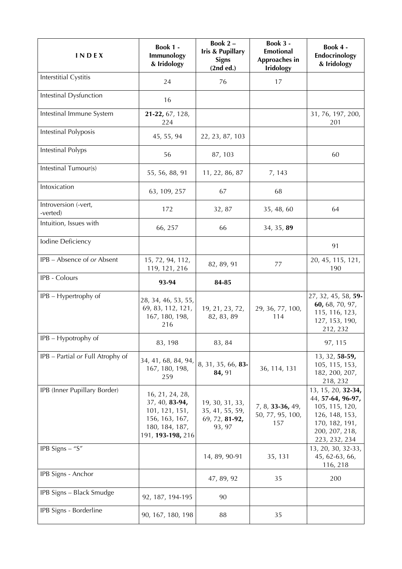| <b>INDEX</b>                     | <b>Book 1 -</b><br>Immunology<br>& Iridology                                                                 | Book 2-<br>Iris & Pupillary<br><b>Signs</b><br>(2nd ed.)       | Book 3 -<br><b>Emotional</b><br>Approaches in<br><b>Iridology</b> | Book 4 -<br>Endocrinology<br>& Iridology                                                                                         |
|----------------------------------|--------------------------------------------------------------------------------------------------------------|----------------------------------------------------------------|-------------------------------------------------------------------|----------------------------------------------------------------------------------------------------------------------------------|
| Interstitial Cystitis            | 24                                                                                                           | 76                                                             | 17                                                                |                                                                                                                                  |
| Intestinal Dysfunction           | 16                                                                                                           |                                                                |                                                                   |                                                                                                                                  |
| Intestinal Immune System         | 21-22, 67, 128,<br>224                                                                                       |                                                                |                                                                   | 31, 76, 197, 200,<br>201                                                                                                         |
| Intestinal Polyposis             | 45, 55, 94                                                                                                   | 22, 23, 87, 103                                                |                                                                   |                                                                                                                                  |
| Intestinal Polyps                | 56                                                                                                           | 87, 103                                                        |                                                                   | 60                                                                                                                               |
| Intestinal Tumour(s)             | 55, 56, 88, 91                                                                                               | 11, 22, 86, 87                                                 | 7, 143                                                            |                                                                                                                                  |
| Intoxication                     | 63, 109, 257                                                                                                 | 67                                                             | 68                                                                |                                                                                                                                  |
| Introversion (-vert,<br>-verted) | 172                                                                                                          | 32, 87                                                         | 35, 48, 60                                                        | 64                                                                                                                               |
| Intuition, Issues with           | 66, 257                                                                                                      | 66                                                             | 34, 35, 89                                                        |                                                                                                                                  |
| Iodine Deficiency                |                                                                                                              |                                                                |                                                                   | 91                                                                                                                               |
| IPB - Absence of or Absent       | 15, 72, 94, 112,<br>119, 121, 216                                                                            | 82, 89, 91                                                     | 77                                                                | 20, 45, 115, 121,<br>190                                                                                                         |
| IPB - Colours                    | 93-94                                                                                                        | 84-85                                                          |                                                                   |                                                                                                                                  |
| IPB - Hypertrophy of             | 28, 34, 46, 53, 55,<br>69, 83, 112, 121,<br>167, 180, 198,<br>216                                            | 19, 21, 23, 72,<br>82, 83, 89                                  | 29, 36, 77, 100,<br>114                                           | 27, 32, 45, 58, 59-<br>60, 68, 70, 97,<br>115, 116, 123,<br>127, 153, 190,<br>212, 232                                           |
| IPB - Hypotrophy of              | 83, 198                                                                                                      | 83, 84                                                         |                                                                   | 97, 115                                                                                                                          |
| IPB - Partial or Full Atrophy of | 34, 41, 68, 84, 94,<br>167, 180, 198,<br>259                                                                 | 8, 31, 35, 66, 83-<br>84, 91                                   | 36, 114, 131                                                      | 13, 32, 58-59,<br>105, 115, 153,<br>182, 200, 207,<br>218, 232                                                                   |
| IPB (Inner Pupillary Border)     | 16, 21, 24, 28,<br>37, 40, 83-94,<br>101, 121, 151,<br>156, 163, 167,<br>180, 184, 187,<br>191, 193-198, 216 | 19, 30, 31, 33,<br>35, 41, 55, 59,<br>69, 72, 81-92,<br>93, 97 | 7, 8, 33-36, 49,<br>50, 77, 95, 100,<br>157                       | 13, 15, 20, 32-34,<br>44, 57-64, 96-97,<br>105, 115, 120,<br>126, 148, 153,<br>170, 182, 191,<br>200, 207, 218,<br>223, 232, 234 |
| IPB Signs $-$ "S"                |                                                                                                              | 14, 89, 90-91                                                  | 35, 131                                                           | 13, 20, 30, 32-33,<br>45, 62-63, 66,<br>116, 218                                                                                 |
| IPB Signs - Anchor               |                                                                                                              | 47, 89, 92                                                     | 35                                                                | 200                                                                                                                              |
| IPB Signs - Black Smudge         | 92, 187, 194-195                                                                                             | 90                                                             |                                                                   |                                                                                                                                  |
| IPB Signs - Borderline           | 90, 167, 180, 198                                                                                            | 88                                                             | 35                                                                |                                                                                                                                  |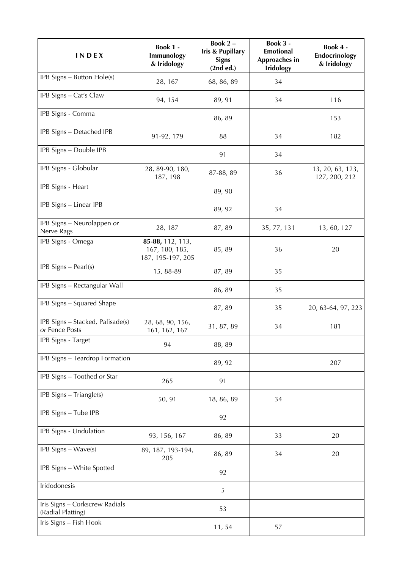| <b>INDEX</b>                                        | <b>Book 1 -</b><br>Immunology<br>& Iridology            | Book 2-<br><b>Iris &amp; Pupillary</b><br><b>Signs</b><br>(2nd ed.) | <b>Book 3 -</b><br><b>Emotional</b><br>Approaches in<br><b>Iridology</b> | Book 4 -<br>Endocrinology<br>& Iridology |
|-----------------------------------------------------|---------------------------------------------------------|---------------------------------------------------------------------|--------------------------------------------------------------------------|------------------------------------------|
| IPB Signs - Button Hole(s)                          | 28, 167                                                 | 68, 86, 89                                                          | 34                                                                       |                                          |
| IPB Signs - Cat's Claw                              | 94, 154                                                 | 89, 91                                                              | 34                                                                       | 116                                      |
| IPB Signs - Comma                                   |                                                         | 86, 89                                                              |                                                                          | 153                                      |
| IPB Signs - Detached IPB                            | 91-92, 179                                              | 88                                                                  | 34                                                                       | 182                                      |
| IPB Signs - Double IPB                              |                                                         | 91                                                                  | 34                                                                       |                                          |
| IPB Signs - Globular                                | 28, 89-90, 180,<br>187, 198                             | 87-88, 89                                                           | 36                                                                       | 13, 20, 63, 123,<br>127, 200, 212        |
| IPB Signs - Heart                                   |                                                         | 89, 90                                                              |                                                                          |                                          |
| IPB Signs - Linear IPB                              |                                                         | 89, 92                                                              | 34                                                                       |                                          |
| IPB Signs - Neurolappen or<br>Nerve Rags            | 28, 187                                                 | 87, 89                                                              | 35, 77, 131                                                              | 13, 60, 127                              |
| IPB Signs - Omega                                   | 85-88, 112, 113,<br>167, 180, 185,<br>187, 195-197, 205 | 85, 89                                                              | 36                                                                       | 20                                       |
| $IPB$ Signs - Pearl(s)                              | 15, 88-89                                               | 87,89                                                               | 35                                                                       |                                          |
| IPB Signs - Rectangular Wall                        |                                                         | 86, 89                                                              | 35                                                                       |                                          |
| IPB Signs - Squared Shape                           |                                                         | 87,89                                                               | 35                                                                       | 20, 63-64, 97, 223                       |
| IPB Signs - Stacked, Palisade(s)<br>or Fence Posts  | 28, 68, 90, 156,<br>161, 162, 167                       | 31, 87, 89                                                          | 34                                                                       | 181                                      |
| IPB Signs - Target                                  | 94                                                      | 88, 89                                                              |                                                                          |                                          |
| IPB Signs - Teardrop Formation                      |                                                         | 89, 92                                                              |                                                                          | 207                                      |
| IPB Signs - Toothed or Star                         | 265                                                     | 91                                                                  |                                                                          |                                          |
| IPB Signs - Triangle(s)                             | 50, 91                                                  | 18, 86, 89                                                          | 34                                                                       |                                          |
| IPB Signs - Tube IPB                                |                                                         | 92                                                                  |                                                                          |                                          |
| IPB Signs - Undulation                              | 93, 156, 167                                            | 86, 89                                                              | 33                                                                       | 20                                       |
| IPB Signs - Wave(s)                                 | 89, 187, 193-194,<br>205                                | 86, 89                                                              | 34                                                                       | 20                                       |
| IPB Signs - White Spotted                           |                                                         | 92                                                                  |                                                                          |                                          |
| Iridodonesis                                        |                                                         | 5                                                                   |                                                                          |                                          |
| Iris Signs - Corkscrew Radials<br>(Radial Platting) |                                                         | 53                                                                  |                                                                          |                                          |
| Iris Signs - Fish Hook                              |                                                         | 11,54                                                               | 57                                                                       |                                          |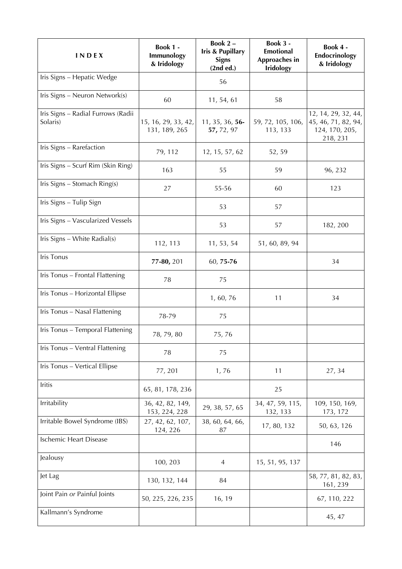| INDEX                                          | <b>Book 1 -</b><br>Immunology<br>& Iridology | Book 2-<br><b>Iris &amp; Pupillary</b><br><b>Signs</b><br>(2nd ed.) | Book 3 -<br><b>Emotional</b><br>Approaches in<br><b>Iridology</b> | Book 4 -<br>Endocrinology<br>& Iridology                                 |
|------------------------------------------------|----------------------------------------------|---------------------------------------------------------------------|-------------------------------------------------------------------|--------------------------------------------------------------------------|
| Iris Signs - Hepatic Wedge                     |                                              | 56                                                                  |                                                                   |                                                                          |
| Iris Signs - Neuron Network(s)                 | 60                                           | 11, 54, 61                                                          | 58                                                                |                                                                          |
| Iris Signs - Radial Furrows (Radii<br>Solaris) | 15, 16, 29, 33, 42,<br>131, 189, 265         | 11, 35, 36, 56-<br>57, 72, 97                                       | 59, 72, 105, 106,<br>113, 133                                     | 12, 14, 29, 32, 44,<br>45, 46, 71, 82, 94,<br>124, 170, 205,<br>218, 231 |
| Iris Signs - Rarefaction                       | 79, 112                                      | 12, 15, 57, 62                                                      | 52, 59                                                            |                                                                          |
| Iris Signs - Scurf Rim (Skin Ring)             | 163                                          | 55                                                                  | 59                                                                | 96, 232                                                                  |
| Iris Signs - Stomach Ring(s)                   | 27                                           | 55-56                                                               | 60                                                                | 123                                                                      |
| Iris Signs - Tulip Sign                        |                                              | 53                                                                  | 57                                                                |                                                                          |
| Iris Signs - Vascularized Vessels              |                                              | 53                                                                  | 57                                                                | 182, 200                                                                 |
| Iris Signs - White Radial(s)                   | 112, 113                                     | 11, 53, 54                                                          | 51, 60, 89, 94                                                    |                                                                          |
| Iris Tonus                                     | 77-80, 201                                   | 60, 75-76                                                           |                                                                   | 34                                                                       |
| Iris Tonus - Frontal Flattening                | 78                                           | 75                                                                  |                                                                   |                                                                          |
| Iris Tonus - Horizontal Ellipse                |                                              | 1, 60, 76                                                           | 11                                                                | 34                                                                       |
| Iris Tonus - Nasal Flattening                  | 78-79                                        | 75                                                                  |                                                                   |                                                                          |
| Iris Tonus - Temporal Flattening               | 78, 79, 80                                   | 75,76                                                               |                                                                   |                                                                          |
| Iris Tonus - Ventral Flattening                | 78                                           | 75                                                                  |                                                                   |                                                                          |
| Iris Tonus - Vertical Ellipse                  | 77, 201                                      | 1,76                                                                | 11                                                                | 27, 34                                                                   |
| Iritis                                         | 65, 81, 178, 236                             |                                                                     | 25                                                                |                                                                          |
| Irritability                                   | 36, 42, 82, 149,<br>153, 224, 228            | 29, 38, 57, 65                                                      | 34, 47, 59, 115,<br>132, 133                                      | 109, 150, 169,<br>173, 172                                               |
| Irritable Bowel Syndrome (IBS)                 | 27, 42, 62, 107,<br>124, 226                 | 38, 60, 64, 66,<br>87                                               | 17, 80, 132                                                       | 50, 63, 126                                                              |
| <b>Ischemic Heart Disease</b>                  |                                              |                                                                     |                                                                   | 146                                                                      |
| Jealousy                                       | 100, 203                                     | $\overline{4}$                                                      | 15, 51, 95, 137                                                   |                                                                          |
| Jet Lag                                        | 130, 132, 144                                | 84                                                                  |                                                                   | 58, 77, 81, 82, 83,<br>161, 239                                          |
| Joint Pain or Painful Joints                   | 50, 225, 226, 235                            | 16, 19                                                              |                                                                   | 67, 110, 222                                                             |
| Kallmann's Syndrome                            |                                              |                                                                     |                                                                   | 45, 47                                                                   |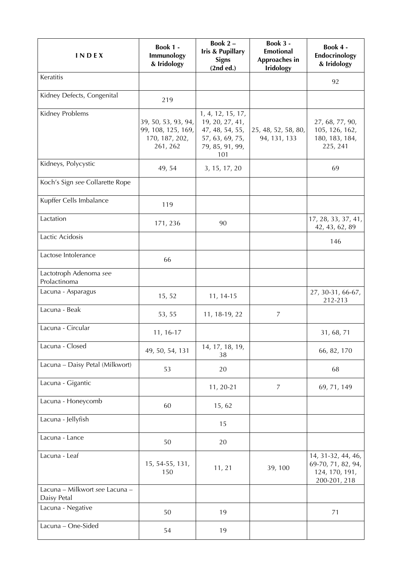| INDEX                                         | Book 1 -<br>Immunology<br>& Iridology                                   | Book 2-<br><b>Iris &amp; Pupillary</b><br><b>Signs</b><br>(2nd ed.)                                  | Book 3 -<br><b>Emotional</b><br>Approaches in<br><b>Iridology</b> | Book 4 -<br>Endocrinology<br>& Iridology                                   |
|-----------------------------------------------|-------------------------------------------------------------------------|------------------------------------------------------------------------------------------------------|-------------------------------------------------------------------|----------------------------------------------------------------------------|
| Keratitis                                     |                                                                         |                                                                                                      |                                                                   | 92                                                                         |
| Kidney Defects, Congenital                    | 219                                                                     |                                                                                                      |                                                                   |                                                                            |
| Kidney Problems                               | 39, 50, 53, 93, 94,<br>99, 108, 125, 169,<br>170, 187, 202,<br>261, 262 | 1, 4, 12, 15, 17,<br>19, 20, 27, 41,<br>47, 48, 54, 55,<br>57, 63, 69, 75,<br>79, 85, 91, 99,<br>101 | 25, 48, 52, 58, 80,<br>94, 131, 133                               | 27, 68, 77, 90,<br>105, 126, 162,<br>180, 183, 184,<br>225, 241            |
| Kidneys, Polycystic                           | 49, 54                                                                  | 3, 15, 17, 20                                                                                        |                                                                   | 69                                                                         |
| Koch's Sign see Collarette Rope               |                                                                         |                                                                                                      |                                                                   |                                                                            |
| Kupffer Cells Imbalance                       | 119                                                                     |                                                                                                      |                                                                   |                                                                            |
| Lactation                                     | 171, 236                                                                | 90                                                                                                   |                                                                   | 17, 28, 33, 37, 41,<br>42, 43, 62, 89                                      |
| Lactic Acidosis                               |                                                                         |                                                                                                      |                                                                   | 146                                                                        |
| Lactose Intolerance                           | 66                                                                      |                                                                                                      |                                                                   |                                                                            |
| Lactotroph Adenoma see<br>Prolactinoma        |                                                                         |                                                                                                      |                                                                   |                                                                            |
| Lacuna - Asparagus                            | 15, 52                                                                  | 11, 14-15                                                                                            |                                                                   | 27, 30-31, 66-67,<br>212-213                                               |
| Lacuna - Beak                                 | 53, 55                                                                  | 11, 18-19, 22                                                                                        | $\overline{7}$                                                    |                                                                            |
| Lacuna - Circular                             | 11, 16-17                                                               |                                                                                                      |                                                                   | 31, 68, 71                                                                 |
| Lacuna - Closed                               | 49, 50, 54, 131                                                         | 14, 17, 18, 19,<br>38                                                                                |                                                                   | 66, 82, 170                                                                |
| Lacuna - Daisy Petal (Milkwort)               | 53                                                                      | 20                                                                                                   |                                                                   | 68                                                                         |
| Lacuna - Gigantic                             |                                                                         | 11, 20-21                                                                                            | 7                                                                 | 69, 71, 149                                                                |
| Lacuna - Honeycomb                            | 60                                                                      | 15, 62                                                                                               |                                                                   |                                                                            |
| Lacuna - Jellyfish                            |                                                                         | 15                                                                                                   |                                                                   |                                                                            |
| Lacuna - Lance                                | 50                                                                      | 20                                                                                                   |                                                                   |                                                                            |
| Lacuna - Leaf                                 | 15, 54-55, 131,<br>150                                                  | 11, 21                                                                                               | 39, 100                                                           | 14, 31-32, 44, 46,<br>69-70, 71, 82, 94,<br>124, 170, 191,<br>200-201, 218 |
| Lacuna - Milkwort see Lacuna -<br>Daisy Petal |                                                                         |                                                                                                      |                                                                   |                                                                            |
| Lacuna - Negative                             | 50                                                                      | 19                                                                                                   |                                                                   | 71                                                                         |
| Lacuna - One-Sided                            | 54                                                                      | 19                                                                                                   |                                                                   |                                                                            |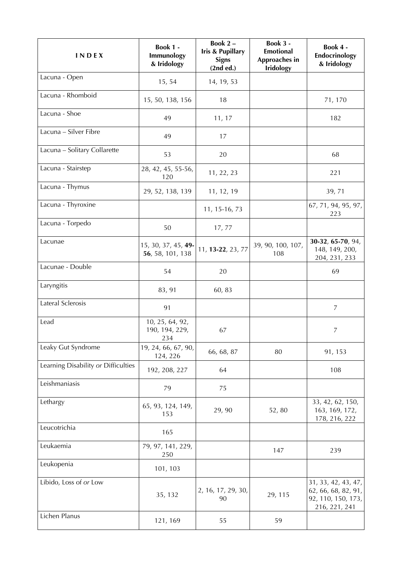| <b>INDEX</b>                        | Book 1 -<br>Immunology<br>& Iridology    | Book 2-<br><b>Iris &amp; Pupillary</b><br><b>Signs</b><br>(2nd ed.) | Book 3 -<br><b>Emotional</b><br>Approaches in<br><b>Iridology</b> | Book 4 -<br>Endocrinology<br>& Iridology                                          |
|-------------------------------------|------------------------------------------|---------------------------------------------------------------------|-------------------------------------------------------------------|-----------------------------------------------------------------------------------|
| Lacuna - Open                       | 15, 54                                   | 14, 19, 53                                                          |                                                                   |                                                                                   |
| Lacuna - Rhomboid                   | 15, 50, 138, 156                         | 18                                                                  |                                                                   | 71, 170                                                                           |
| Lacuna - Shoe                       | 49                                       | 11, 17                                                              |                                                                   | 182                                                                               |
| Lacuna - Silver Fibre               | 49                                       | 17                                                                  |                                                                   |                                                                                   |
| Lacuna - Solitary Collarette        | 53                                       | 20                                                                  |                                                                   | 68                                                                                |
| Lacuna - Stairstep                  | 28, 42, 45, 55-56,<br>120                | 11, 22, 23                                                          |                                                                   | 221                                                                               |
| Lacuna - Thymus                     | 29, 52, 138, 139                         | 11, 12, 19                                                          |                                                                   | 39, 71                                                                            |
| Lacuna - Thyroxine                  |                                          | 11, 15-16, 73                                                       |                                                                   | 67, 71, 94, 95, 97,<br>223                                                        |
| Lacuna - Torpedo                    | 50                                       | 17,77                                                               |                                                                   |                                                                                   |
| Lacunae                             | 15, 30, 37, 45, 49-<br>56, 58, 101, 138  | 11, 13-22, 23, 77                                                   | 39, 90, 100, 107,<br>108                                          | 30-32, 65-70, 94,<br>148, 149, 200,<br>204, 231, 233                              |
| Lacunae - Double                    | 54                                       | 20                                                                  |                                                                   | 69                                                                                |
| Laryngitis                          | 83, 91                                   | 60, 83                                                              |                                                                   |                                                                                   |
| Lateral Sclerosis                   | 91                                       |                                                                     |                                                                   | $\overline{7}$                                                                    |
| Lead                                | 10, 25, 64, 92,<br>190, 194, 229,<br>234 | 67                                                                  |                                                                   | 7                                                                                 |
| Leaky Gut Syndrome                  | 19, 24, 66, 67, 90,<br>124, 226          | 66, 68, 87                                                          | 80                                                                | 91, 153                                                                           |
| Learning Disability or Difficulties | 192, 208, 227                            | 64                                                                  |                                                                   | 108                                                                               |
| Leishmaniasis                       | 79                                       | 75                                                                  |                                                                   |                                                                                   |
| Lethargy                            | 65, 93, 124, 149,<br>153                 | 29, 90                                                              | 52,80                                                             | 33, 42, 62, 150,<br>163, 169, 172,<br>178, 216, 222                               |
| Leucotrichia                        | 165                                      |                                                                     |                                                                   |                                                                                   |
| Leukaemia                           | 79, 97, 141, 229,<br>250                 |                                                                     | 147                                                               | 239                                                                               |
| Leukopenia                          | 101, 103                                 |                                                                     |                                                                   |                                                                                   |
| Libido, Loss of or Low              | 35, 132                                  | 2, 16, 17, 29, 30,<br>90                                            | 29, 115                                                           | 31, 33, 42, 43, 47,<br>62, 66, 68, 82, 91,<br>92, 110, 150, 173,<br>216, 221, 241 |
| Lichen Planus                       | 121, 169                                 | 55                                                                  | 59                                                                |                                                                                   |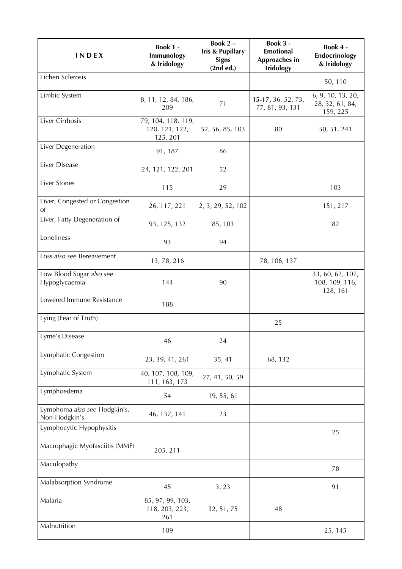| <b>INDEX</b>                                    | Book 1 -<br>Immunology<br>& Iridology            | Book 2-<br><b>Iris &amp; Pupillary</b><br><b>Signs</b><br>(2nd ed.) | Book 3 -<br><b>Emotional</b><br>Approaches in<br><b>Iridology</b> | Book 4 -<br>Endocrinology<br>& Iridology         |
|-------------------------------------------------|--------------------------------------------------|---------------------------------------------------------------------|-------------------------------------------------------------------|--------------------------------------------------|
| Lichen Sclerosis                                |                                                  |                                                                     |                                                                   | 50, 110                                          |
| Limbic System                                   | 8, 11, 12, 84, 186,<br>209                       | 71                                                                  | 15-17, 36, 52, 73,<br>77, 81, 93, 131                             | 6, 9, 10, 13, 20,<br>28, 32, 61, 84,<br>159, 225 |
| Liver Cirrhosis                                 | 79, 104, 118, 119,<br>120, 121, 122,<br>125, 201 | 52, 56, 85, 103                                                     | 80                                                                | 50, 51, 241                                      |
| Liver Degeneration                              | 91, 187                                          | 86                                                                  |                                                                   |                                                  |
| Liver Disease                                   | 24, 121, 122, 201                                | 52                                                                  |                                                                   |                                                  |
| Liver Stones                                    | 115                                              | 29                                                                  |                                                                   | 103                                              |
| Liver, Congested or Congestion<br><sub>of</sub> | 26, 117, 221                                     | 2, 3, 29, 52, 102                                                   |                                                                   | 151, 217                                         |
| Liver, Fatty Degeneration of                    | 93, 125, 132                                     | 85, 103                                                             |                                                                   | 82                                               |
| Loneliness                                      | 93                                               | 94                                                                  |                                                                   |                                                  |
| Loss also see Bereavement                       | 13, 78, 216                                      |                                                                     | 78, 106, 137                                                      |                                                  |
| Low Blood Sugar also see<br>Hypoglycaemia       | 144                                              | 90                                                                  |                                                                   | 33, 60, 62, 107,<br>108, 109, 116,<br>128, 161   |
| Lowered Immune Resistance                       | 188                                              |                                                                     |                                                                   |                                                  |
| Lying (Fear of Truth)                           |                                                  |                                                                     | 25                                                                |                                                  |
| Lyme's Disease                                  | 46                                               | 24                                                                  |                                                                   |                                                  |
| Lymphatic Congestion                            | 23, 39, 41, 261                                  | 35, 41                                                              | 68, 132                                                           |                                                  |
| Lymphatic System                                | 40, 107, 108, 109,<br>111, 163, 173              | 27, 41, 50, 59                                                      |                                                                   |                                                  |
| Lymphoedema                                     | 54                                               | 19, 55, 61                                                          |                                                                   |                                                  |
| Lymphoma also see Hodgkin's,<br>Non-Hodgkin's   | 46, 137, 141                                     | 23                                                                  |                                                                   |                                                  |
| Lymphocytic Hypophysitis                        |                                                  |                                                                     |                                                                   | 25                                               |
| Macrophagic Myofasciitis (MMF)                  | 205, 211                                         |                                                                     |                                                                   |                                                  |
| Maculopathy                                     |                                                  |                                                                     |                                                                   | 78                                               |
| Malabsorption Syndrome                          | 45                                               | 3, 23                                                               |                                                                   | 91                                               |
| Malaria                                         | 85, 97, 99, 103,<br>118, 203, 223,<br>261        | 32, 51, 75                                                          | 48                                                                |                                                  |
| Malnutrition                                    | 109                                              |                                                                     |                                                                   | 25, 145                                          |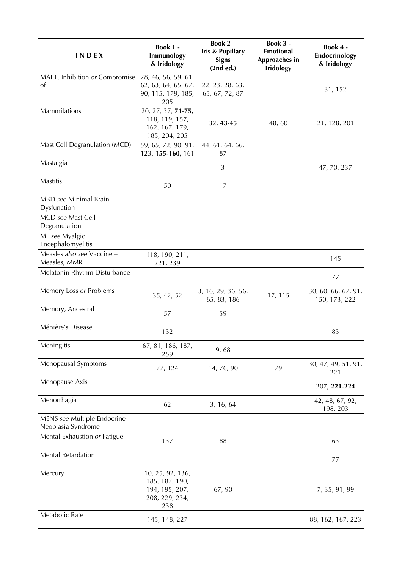| <b>INDEX</b>                                                               | <b>Book 1 -</b><br>Immunology<br>& Iridology                                  | Book 2-<br><b>Iris &amp; Pupillary</b><br><b>Signs</b><br>(2nd ed.) | Book 3 -<br><b>Emotional</b><br>Approaches in<br><b>Iridology</b> | Book 4 -<br>Endocrinology<br>& Iridology |
|----------------------------------------------------------------------------|-------------------------------------------------------------------------------|---------------------------------------------------------------------|-------------------------------------------------------------------|------------------------------------------|
| MALT, Inhibition or Compromise<br>of                                       | 28, 46, 56, 59, 61,<br>62, 63, 64, 65, 67,<br>90, 115, 179, 185,<br>205       | 22, 23, 28, 63,<br>65, 67, 72, 87                                   |                                                                   | 31, 152                                  |
| Mammilations                                                               | 20, 27, 37, 71-75,<br>118, 119, 157,<br>162, 167, 179,<br>185, 204, 205       | 32, 43-45                                                           | 48,60                                                             | 21, 128, 201                             |
| Mast Cell Degranulation (MCD)                                              | 59, 65, 72, 90, 91,<br>123, 155-160, 161                                      | 44, 61, 64, 66,<br>87                                               |                                                                   |                                          |
| Mastalgia                                                                  |                                                                               | 3                                                                   |                                                                   | 47, 70, 237                              |
| Mastitis                                                                   | 50                                                                            | 17                                                                  |                                                                   |                                          |
| MBD see Minimal Brain<br>Dysfunction<br>MCD see Mast Cell<br>Degranulation |                                                                               |                                                                     |                                                                   |                                          |
| ME see Myalgic<br>Encephalomyelitis                                        |                                                                               |                                                                     |                                                                   |                                          |
| Measles also see Vaccine -<br>Measles, MMR                                 | 118, 190, 211,<br>221, 239                                                    |                                                                     |                                                                   | 145                                      |
| Melatonin Rhythm Disturbance                                               |                                                                               |                                                                     |                                                                   | 77                                       |
| Memory Loss or Problems                                                    | 35, 42, 52                                                                    | 3, 16, 29, 36, 56,<br>65, 83, 186                                   | 17, 115                                                           | 30, 60, 66, 67, 91,<br>150, 173, 222     |
| Memory, Ancestral                                                          | 57                                                                            | 59                                                                  |                                                                   |                                          |
| Ménière's Disease                                                          | 132                                                                           |                                                                     |                                                                   | 83                                       |
| Meningitis                                                                 | 67, 81, 186, 187,<br>259                                                      | 9,68                                                                |                                                                   |                                          |
| Menopausal Symptoms                                                        | 77, 124                                                                       | 14, 76, 90                                                          | 79                                                                | 30, 47, 49, 51, 91,<br>221               |
| Menopause Axis                                                             |                                                                               |                                                                     |                                                                   | 207, 221-224                             |
| Menorrhagia                                                                | 62                                                                            | 3, 16, 64                                                           |                                                                   | 42, 48, 67, 92,<br>198, 203              |
| MENS see Multiple Endocrine<br>Neoplasia Syndrome                          |                                                                               |                                                                     |                                                                   |                                          |
| Mental Exhaustion or Fatigue                                               | 137                                                                           | 88                                                                  |                                                                   | 63                                       |
| Mental Retardation                                                         |                                                                               |                                                                     |                                                                   | 77                                       |
| Mercury                                                                    | 10, 25, 92, 136,<br>185, 187, 190,<br>194, 195, 207,<br>208, 229, 234,<br>238 | 67,90                                                               |                                                                   | 7, 35, 91, 99                            |
| Metabolic Rate                                                             | 145, 148, 227                                                                 |                                                                     |                                                                   | 88, 162, 167, 223                        |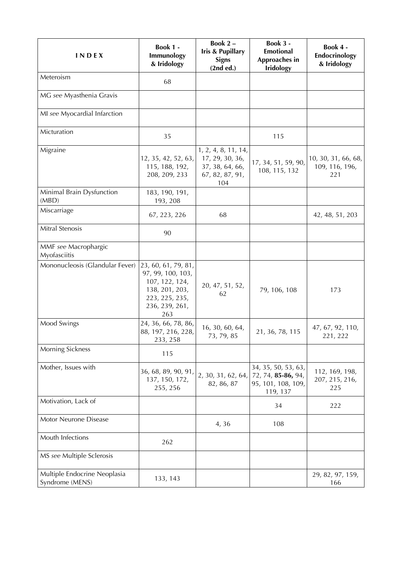| <b>INDEX</b>                                    | Book 1 -<br>Immunology<br>& Iridology                                                                                   | Book 2-<br><b>Iris &amp; Pupillary</b><br><b>Signs</b><br>(2nd ed.)                 | Book 3 -<br><b>Emotional</b><br>Approaches in<br><b>Iridology</b>           | Book 4 -<br>Endocrinology<br>& Iridology     |
|-------------------------------------------------|-------------------------------------------------------------------------------------------------------------------------|-------------------------------------------------------------------------------------|-----------------------------------------------------------------------------|----------------------------------------------|
| Meteroism                                       | 68                                                                                                                      |                                                                                     |                                                                             |                                              |
| MG see Myasthenia Gravis                        |                                                                                                                         |                                                                                     |                                                                             |                                              |
| MI see Myocardial Infarction                    |                                                                                                                         |                                                                                     |                                                                             |                                              |
| Micturation                                     | 35                                                                                                                      |                                                                                     | 115                                                                         |                                              |
| Migraine                                        | 12, 35, 42, 52, 63,<br>115, 188, 192,<br>208, 209, 233                                                                  | 1, 2, 4, 8, 11, 14,<br>17, 29, 30, 36,<br>37, 38, 64, 66,<br>67, 82, 87, 91,<br>104 | 17, 34, 51, 59, 90,<br>108, 115, 132                                        | 10, 30, 31, 66, 68,<br>109, 116, 196,<br>221 |
| Minimal Brain Dysfunction<br>(MBD)              | 183, 190, 191,<br>193, 208                                                                                              |                                                                                     |                                                                             |                                              |
| Miscarriage                                     | 67, 223, 226                                                                                                            | 68                                                                                  |                                                                             | 42, 48, 51, 203                              |
| Mitral Stenosis                                 | 90                                                                                                                      |                                                                                     |                                                                             |                                              |
| MMF see Macrophargic<br>Myofasciitis            |                                                                                                                         |                                                                                     |                                                                             |                                              |
| Mononucleosis (Glandular Fever)                 | 23, 60, 61, 79, 81,<br>97, 99, 100, 103,<br>107, 122, 124,<br>138, 201, 203,<br>223, 225, 235,<br>236, 239, 261,<br>263 | 20, 47, 51, 52,<br>62                                                               | 79, 106, 108                                                                | 173                                          |
| Mood Swings                                     | 24, 36, 66, 78, 86,<br>88, 197, 216, 228,<br>233, 258                                                                   | 16, 30, 60, 64,<br>73, 79, 85                                                       | 21, 36, 78, 115                                                             | 47, 67, 92, 110,<br>221, 222                 |
| Morning Sickness                                | 115                                                                                                                     |                                                                                     |                                                                             |                                              |
| Mother, Issues with                             | 36, 68, 89, 90, 91,<br>137, 150, 172,<br>255, 256                                                                       | 2, 30, 31, 62, 64,<br>82, 86, 87                                                    | 34, 35, 50, 53, 63,<br>72, 74, 85-86, 94,<br>95, 101, 108, 109,<br>119, 137 | 112, 169, 198,<br>207, 215, 216,<br>225      |
| Motivation, Lack of                             |                                                                                                                         |                                                                                     | 34                                                                          | 222                                          |
| Motor Neurone Disease                           |                                                                                                                         | 4,36                                                                                | 108                                                                         |                                              |
| Mouth Infections                                | 262                                                                                                                     |                                                                                     |                                                                             |                                              |
| MS see Multiple Sclerosis                       |                                                                                                                         |                                                                                     |                                                                             |                                              |
| Multiple Endocrine Neoplasia<br>Syndrome (MENS) | 133, 143                                                                                                                |                                                                                     |                                                                             | 29, 82, 97, 159,<br>166                      |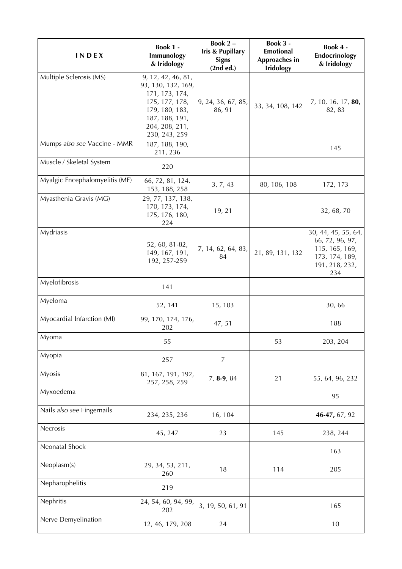| <b>INDEX</b>                   | <b>Book 1 -</b><br>Immunology<br>& Iridology                                                                                                        | Book 2-<br>Iris & Pupillary<br><b>Signs</b><br>(2nd ed.) | Book 3 -<br>Emotional<br>Approaches in<br><b>Iridology</b> | Book 4 -<br>Endocrinology<br>& Iridology                                                            |
|--------------------------------|-----------------------------------------------------------------------------------------------------------------------------------------------------|----------------------------------------------------------|------------------------------------------------------------|-----------------------------------------------------------------------------------------------------|
| Multiple Sclerosis (MS)        | 9, 12, 42, 46, 81,<br>93, 130, 132, 169,<br>171, 173, 174,<br>175, 177, 178,<br>179, 180, 183,<br>187, 188, 191,<br>204, 208, 211,<br>230, 243, 259 | 9, 24, 36, 67, 85,<br>86, 91                             | 33, 34, 108, 142                                           | 7, 10, 16, 17, 80,<br>82, 83                                                                        |
| Mumps also see Vaccine - MMR   | 187, 188, 190,<br>211, 236                                                                                                                          |                                                          |                                                            | 145                                                                                                 |
| Muscle / Skeletal System       | 220                                                                                                                                                 |                                                          |                                                            |                                                                                                     |
| Myalgic Encephalomyelitis (ME) | 66, 72, 81, 124,<br>153, 188, 258                                                                                                                   | 3, 7, 43                                                 | 80, 106, 108                                               | 172, 173                                                                                            |
| Myasthenia Gravis (MG)         | 29, 77, 137, 138,<br>170, 173, 174,<br>175, 176, 180,<br>224                                                                                        | 19, 21                                                   |                                                            | 32, 68, 70                                                                                          |
| Mydriasis                      | 52, 60, 81-82,<br>149, 167, 191,<br>192, 257-259                                                                                                    | 7, 14, 62, 64, 83,<br>84                                 | 21, 89, 131, 132                                           | 30, 44, 45, 55, 64,<br>66, 72, 96, 97,<br>115, 165, 169,<br>173, 174, 189,<br>191, 218, 232,<br>234 |
| Myelofibrosis                  | 141                                                                                                                                                 |                                                          |                                                            |                                                                                                     |
| Myeloma                        | 52, 141                                                                                                                                             | 15, 103                                                  |                                                            | 30,66                                                                                               |
| Myocardial Infarction (MI)     | 99, 170, 174, 176,<br>202                                                                                                                           | 47, 51                                                   |                                                            | 188                                                                                                 |
| Myoma                          | 55                                                                                                                                                  |                                                          | 53                                                         | 203, 204                                                                                            |
| Myopia                         | 257                                                                                                                                                 | $\overline{7}$                                           |                                                            |                                                                                                     |
| <b>Myosis</b>                  | 81, 167, 191, 192,<br>257, 258, 259                                                                                                                 | $7, 8-9, 84$                                             | 21                                                         | 55, 64, 96, 232                                                                                     |
| Myxoedema                      |                                                                                                                                                     |                                                          |                                                            | 95                                                                                                  |
| Nails also see Fingernails     | 234, 235, 236                                                                                                                                       | 16, 104                                                  |                                                            | 46-47, 67, 92                                                                                       |
| Necrosis                       | 45, 247                                                                                                                                             | 23                                                       | 145                                                        | 238, 244                                                                                            |
| Neonatal Shock                 |                                                                                                                                                     |                                                          |                                                            | 163                                                                                                 |
| Neoplasm(s)                    | 29, 34, 53, 211,<br>260                                                                                                                             | 18                                                       | 114                                                        | 205                                                                                                 |
| Nepharophelitis                | 219                                                                                                                                                 |                                                          |                                                            |                                                                                                     |
| Nephritis                      | 24, 54, 60, 94, 99,<br>202                                                                                                                          | 3, 19, 50, 61, 91                                        |                                                            | 165                                                                                                 |
| Nerve Demyelination            | 12, 46, 179, 208                                                                                                                                    | 24                                                       |                                                            | 10                                                                                                  |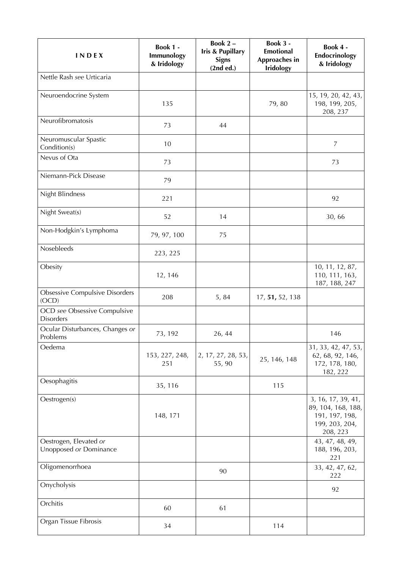| INDEX                                            | <b>Book 1 -</b><br>Immunology<br>& Iridology | Book 2-<br><b>Iris &amp; Pupillary</b><br><b>Signs</b><br>(2nd ed.) | Book 3 -<br><b>Emotional</b><br>Approaches in<br><b>Iridology</b> | Book 4 -<br>Endocrinology<br>& Iridology                                                 |
|--------------------------------------------------|----------------------------------------------|---------------------------------------------------------------------|-------------------------------------------------------------------|------------------------------------------------------------------------------------------|
| Nettle Rash see Urticaria                        |                                              |                                                                     |                                                                   |                                                                                          |
| Neuroendocrine System                            | 135                                          |                                                                     | 79,80                                                             | 15, 19, 20, 42, 43,<br>198, 199, 205,<br>208, 237                                        |
| Neurofibromatosis                                | 73                                           | 44                                                                  |                                                                   |                                                                                          |
| Neuromuscular Spastic<br>Condition(s)            | 10                                           |                                                                     |                                                                   | $\overline{7}$                                                                           |
| Nevus of Ota                                     | 73                                           |                                                                     |                                                                   | 73                                                                                       |
| Niemann-Pick Disease                             | 79                                           |                                                                     |                                                                   |                                                                                          |
| Night Blindness                                  | 221                                          |                                                                     |                                                                   | 92                                                                                       |
| Night Sweat(s)                                   | 52                                           | 14                                                                  |                                                                   | 30,66                                                                                    |
| Non-Hodgkin's Lymphoma                           | 79, 97, 100                                  | 75                                                                  |                                                                   |                                                                                          |
| Nosebleeds                                       | 223, 225                                     |                                                                     |                                                                   |                                                                                          |
| Obesity                                          | 12, 146                                      |                                                                     |                                                                   | 10, 11, 12, 87,<br>110, 111, 163,<br>187, 188, 247                                       |
| <b>Obsessive Compulsive Disorders</b><br>(OCD)   | 208                                          | 5, 84                                                               | 17, 51, 52, 138                                                   |                                                                                          |
| OCD see Obsessive Compulsive<br><b>Disorders</b> |                                              |                                                                     |                                                                   |                                                                                          |
| Ocular Disturbances, Changes or<br>Problems      | 73, 192                                      | 26, 44                                                              |                                                                   | 146                                                                                      |
| Oedema                                           | 153, 227, 248,<br>251                        | 2, 17, 27, 28, 53,<br>55, 90                                        | 25, 146, 148                                                      | 31, 33, 42, 47, 53,<br>62, 68, 92, 146,<br>172, 178, 180,<br>182, 222                    |
| Oesophagitis                                     | 35, 116                                      |                                                                     | 115                                                               |                                                                                          |
| Oestrogen(s)                                     | 148, 171                                     |                                                                     |                                                                   | 3, 16, 17, 39, 41,<br>89, 104, 168, 188,<br>191, 197, 198,<br>199, 203, 204,<br>208, 223 |
| Oestrogen, Elevated or<br>Unopposed or Dominance |                                              |                                                                     |                                                                   | 43, 47, 48, 49,<br>188, 196, 203,<br>221                                                 |
| Oligomenorrhoea                                  |                                              | 90                                                                  |                                                                   | 33, 42, 47, 62,<br>222                                                                   |
| Onycholysis                                      |                                              |                                                                     |                                                                   | 92                                                                                       |
| Orchitis                                         | 60                                           | 61                                                                  |                                                                   |                                                                                          |
| Organ Tissue Fibrosis                            | 34                                           |                                                                     | 114                                                               |                                                                                          |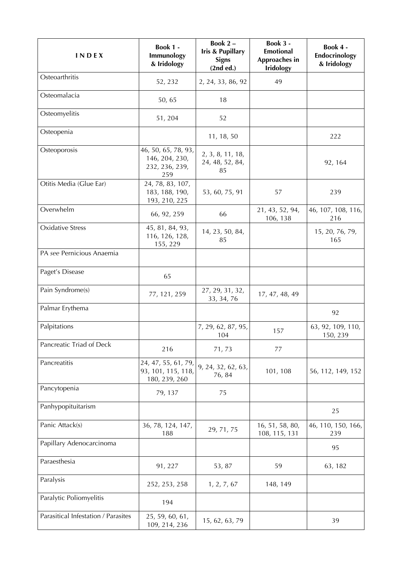| INDEX                               | Book 1 -<br>Immunology<br>& Iridology                          | Book 2-<br><b>Iris &amp; Pupillary</b><br><b>Signs</b><br>(2nd ed.) | Book 3 -<br><b>Emotional</b><br>Approaches in<br><b>Iridology</b> | Book 4 -<br>Endocrinology<br>& Iridology |
|-------------------------------------|----------------------------------------------------------------|---------------------------------------------------------------------|-------------------------------------------------------------------|------------------------------------------|
| Osteoarthritis                      | 52, 232                                                        | 2, 24, 33, 86, 92                                                   | 49                                                                |                                          |
| Osteomalacia                        | 50, 65                                                         | 18                                                                  |                                                                   |                                          |
| Osteomyelitis                       | 51, 204                                                        | 52                                                                  |                                                                   |                                          |
| Osteopenia                          |                                                                | 11, 18, 50                                                          |                                                                   | 222                                      |
| Osteoporosis                        | 46, 50, 65, 78, 93,<br>146, 204, 230,<br>232, 236, 239,<br>259 | 2, 3, 8, 11, 18,<br>24, 48, 52, 84,<br>85                           |                                                                   | 92, 164                                  |
| Otitis Media (Glue Ear)             | 24, 78, 83, 107,<br>183, 188, 190,<br>193, 210, 225            | 53, 60, 75, 91                                                      | 57                                                                | 239                                      |
| Overwhelm                           | 66, 92, 259                                                    | 66                                                                  | 21, 43, 52, 94,<br>106, 138                                       | 46, 107, 108, 116,<br>216                |
| <b>Oxidative Stress</b>             | 45, 81, 84, 93,<br>116, 126, 128,<br>155, 229                  | 14, 23, 50, 84,<br>85                                               |                                                                   | 15, 20, 76, 79,<br>165                   |
| PA see Pernicious Anaemia           |                                                                |                                                                     |                                                                   |                                          |
| Paget's Disease                     | 65                                                             |                                                                     |                                                                   |                                          |
| Pain Syndrome(s)                    | 77, 121, 259                                                   | 27, 29, 31, 32,<br>33, 34, 76                                       | 17, 47, 48, 49                                                    |                                          |
| Palmar Erythema                     |                                                                |                                                                     |                                                                   | 92                                       |
| Palpitations                        |                                                                | 7, 29, 62, 87, 95,<br>104                                           | 157                                                               | 63, 92, 109, 110,<br>150, 239            |
| Pancreatic Triad of Deck            | 216                                                            | 71,73                                                               | 77                                                                |                                          |
| Pancreatitis                        | 24, 47, 55, 61, 79,<br>93, 101, 115, 118,<br>180, 239, 260     | 9, 24, 32, 62, 63,<br>76, 84                                        | 101, 108                                                          | 56, 112, 149, 152                        |
| Pancytopenia                        | 79, 137                                                        | 75                                                                  |                                                                   |                                          |
| Panhypopituitarism                  |                                                                |                                                                     |                                                                   | 25                                       |
| Panic Attack(s)                     | 36, 78, 124, 147,<br>188                                       | 29, 71, 75                                                          | 16, 51, 58, 80,<br>108, 115, 131                                  | 46, 110, 150, 166,<br>239                |
| Papillary Adenocarcinoma            |                                                                |                                                                     |                                                                   | 95                                       |
| Paraesthesia                        | 91, 227                                                        | 53, 87                                                              | 59                                                                | 63, 182                                  |
| Paralysis                           | 252, 253, 258                                                  | 1, 2, 7, 67                                                         | 148, 149                                                          |                                          |
| Paralytic Poliomyelitis             | 194                                                            |                                                                     |                                                                   |                                          |
| Parasitical Infestation / Parasites | 25, 59, 60, 61,<br>109, 214, 236                               | 15, 62, 63, 79                                                      |                                                                   | 39                                       |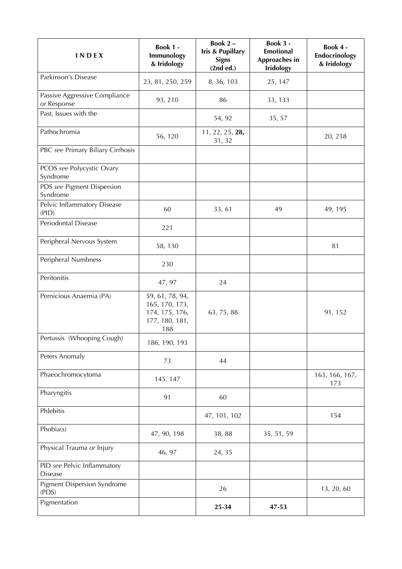| <b>INDEX</b>                                  | Book 1 -<br>Immunology<br>& Iridology                                        | Book 2-<br><b>Iris &amp; Pupillary</b><br><b>Signs</b><br>(2nd ed.) | Book 3 -<br><b>Emotional</b><br>Approaches in<br><b>Iridology</b> | Book 4 -<br>Endocrinology<br>& Iridology |
|-----------------------------------------------|------------------------------------------------------------------------------|---------------------------------------------------------------------|-------------------------------------------------------------------|------------------------------------------|
| Parkinson's Disease                           | 23, 81, 250, 259                                                             | 8, 36, 103                                                          | 25, 147                                                           |                                          |
| Passive Aggressive Compliance<br>or Response  | 93, 210                                                                      | 86                                                                  | 33, 133                                                           |                                          |
| Past, Issues with the                         |                                                                              | 54, 92                                                              | 35, 57                                                            |                                          |
| Pathochromia                                  | 56, 120                                                                      | 11, 22, 25, 28,<br>31, 32                                           |                                                                   | 20, 218                                  |
| PBC see Primary Biliary Cirrhosis             |                                                                              |                                                                     |                                                                   |                                          |
| PCOS see Polycystic Ovary<br>Syndrome         |                                                                              |                                                                     |                                                                   |                                          |
| PDS see Pigment Dispersion<br>Syndrome        |                                                                              |                                                                     |                                                                   |                                          |
| Pelvic Inflammatory Disease<br>(PID)          | 60                                                                           | 33, 61                                                              | 49                                                                | 49, 195                                  |
| Periodontal Disease                           | 221                                                                          |                                                                     |                                                                   |                                          |
| Peripheral Nervous System                     | 58, 130                                                                      |                                                                     |                                                                   | 81                                       |
| Peripheral Numbness                           | 230                                                                          |                                                                     |                                                                   |                                          |
| Peritonitis                                   | 47, 97                                                                       | 24                                                                  |                                                                   |                                          |
| Pernicious Anaemia (PA)                       | 59, 61, 78, 94,<br>165, 170, 173,<br>174, 175, 176,<br>177, 180, 181,<br>188 | 63, 75, 88                                                          |                                                                   | 91, 152                                  |
| Pertussis (Whooping Cough)                    | 186, 190, 193                                                                |                                                                     |                                                                   |                                          |
| Peters Anomaly                                | 73                                                                           | 44                                                                  |                                                                   |                                          |
| Phaeochromocytoma                             | 145, 147                                                                     |                                                                     |                                                                   | 163, 166, 167,<br>173                    |
| Pharyngitis                                   | 91                                                                           | 60                                                                  |                                                                   |                                          |
| Phlebitis                                     |                                                                              | 47, 101, 102                                                        |                                                                   | 154                                      |
| Phobia(s)                                     | 47, 90, 198                                                                  | 38,88                                                               | 35, 51, 59                                                        |                                          |
| Physical Trauma or Injury                     | 46, 97                                                                       | 24, 35                                                              |                                                                   |                                          |
| PID see Pelvic Inflammatory<br><b>Disease</b> |                                                                              |                                                                     |                                                                   |                                          |
| <b>Pigment Dispersion Syndrome</b><br>(PDS)   |                                                                              | 26                                                                  |                                                                   | 13, 20, 60                               |
| Pigmentation                                  |                                                                              | 25-34                                                               | 47-53                                                             |                                          |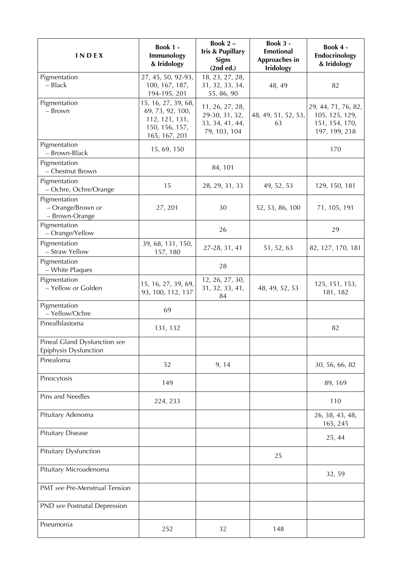| INDEX                                                 | <b>Book 1 -</b><br>Immunology<br>& Iridology                                                 | Book 2-<br><b>Iris &amp; Pupillary</b><br><b>Signs</b><br>(2nd ed.)  | Book 3 -<br><b>Emotional</b><br>Approaches in<br><b>Iridology</b> | Book 4 -<br>Endocrinology<br>& Iridology                                 |
|-------------------------------------------------------|----------------------------------------------------------------------------------------------|----------------------------------------------------------------------|-------------------------------------------------------------------|--------------------------------------------------------------------------|
| Pigmentation<br>- Black                               | 27, 45, 50, 92-93,<br>100, 167, 187,<br>194-195, 201                                         | 18, 23, 27, 28,<br>31, 32, 33, 34,<br>55, 86, 90                     | 48, 49                                                            | 82                                                                       |
| Pigmentation<br>- Brown                               | 15, 16, 27, 39, 68,<br>69, 73, 92, 100,<br>112, 121, 131,<br>150, 156, 157,<br>165, 167, 201 | 11, 26, 27, 28,<br>29-30, 31, 32,<br>33, 34, 41, 44,<br>79, 103, 104 | 48, 49, 51, 52, 53,<br>63                                         | 29, 44, 71, 76, 82,<br>105, 125, 129,<br>151, 154, 170,<br>197, 199, 218 |
| Pigmentation<br>- Brown-Black                         | 15, 69, 150                                                                                  |                                                                      |                                                                   | 170                                                                      |
| Pigmentation<br>- Chestnut Brown                      |                                                                                              | 84, 101                                                              |                                                                   |                                                                          |
| Pigmentation<br>- Ochre, Ochre/Orange                 | 15                                                                                           | 28, 29, 31, 33                                                       | 49, 52, 53                                                        | 129, 150, 181                                                            |
| Pigmentation<br>- Orange/Brown or<br>- Brown-Orange   | 27, 201                                                                                      | 30                                                                   | 52, 53, 86, 100                                                   | 71, 105, 191                                                             |
| Pigmentation<br>- Orange/Yellow                       |                                                                                              | 26                                                                   |                                                                   | 29                                                                       |
| Pigmentation<br>- Straw Yellow                        | 39, 68, 131, 150,<br>157, 180                                                                | 27-28, 31, 41                                                        | 51, 52, 63                                                        | 82, 127, 170, 181                                                        |
| Pigmentation<br>- White Plaques                       |                                                                                              | 28                                                                   |                                                                   |                                                                          |
| Pigmentation<br>- Yellow or Golden                    | 15, 16, 27, 39, 69,<br>93, 100, 112, 137                                                     | 12, 26, 27, 30,<br>31, 32, 33, 41,<br>84                             | 48, 49, 52, 53                                                    | 125, 151, 153,<br>181, 182                                               |
| Pigmentation<br>- Yellow/Ochre                        | 69                                                                                           |                                                                      |                                                                   |                                                                          |
| Pinealblastoma                                        | 131, 132                                                                                     |                                                                      |                                                                   | 82                                                                       |
| Pineal Gland Dysfunction see<br>Epiphysis Dysfunction |                                                                                              |                                                                      |                                                                   |                                                                          |
| Pinealoma                                             | 52                                                                                           | 9, 14                                                                |                                                                   | 30, 56, 66, 82                                                           |
| Pinocytosis                                           | 149                                                                                          |                                                                      |                                                                   | 89, 169                                                                  |
| Pins and Needles                                      | 224, 233                                                                                     |                                                                      |                                                                   | 110                                                                      |
| Pituitary Adenoma                                     |                                                                                              |                                                                      |                                                                   | 26, 38, 43, 48,<br>165, 245                                              |
| <b>Pituitary Disease</b>                              |                                                                                              |                                                                      |                                                                   | 25, 44                                                                   |
| Pituitary Dysfunction                                 |                                                                                              |                                                                      | 25                                                                |                                                                          |
| Pituitary Microadenoma                                |                                                                                              |                                                                      |                                                                   | 32, 59                                                                   |
| PMT see Pre-Menstrual Tension                         |                                                                                              |                                                                      |                                                                   |                                                                          |
| PND see Postnatal Depression                          |                                                                                              |                                                                      |                                                                   |                                                                          |
| Pneumonia                                             | 252                                                                                          | 32                                                                   | 148                                                               |                                                                          |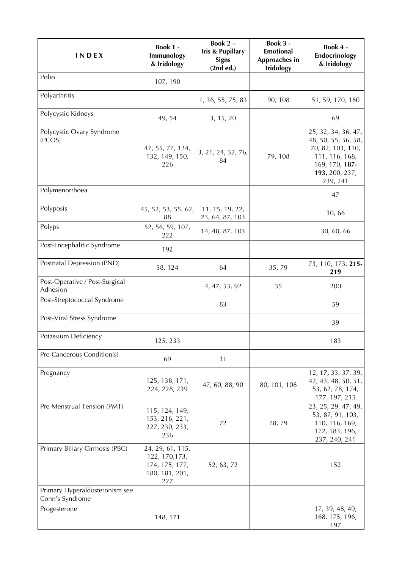| <b>INDEX</b>                                      | Book 1 -<br>Immunology<br>& Iridology                                         | Book 2-<br><b>Iris &amp; Pupillary</b><br><b>Signs</b><br>(2nd ed.) | Book 3 -<br><b>Emotional</b><br>Approaches in<br><b>Iridology</b> | Book 4 -<br>Endocrinology<br>& Iridology                                                                                          |
|---------------------------------------------------|-------------------------------------------------------------------------------|---------------------------------------------------------------------|-------------------------------------------------------------------|-----------------------------------------------------------------------------------------------------------------------------------|
| Polio                                             | 107, 190                                                                      |                                                                     |                                                                   |                                                                                                                                   |
| Polyarthritis                                     |                                                                               | 1, 36, 55, 75, 83                                                   | 90, 108                                                           | 51, 59, 170, 180                                                                                                                  |
| Polycystic Kidneys                                | 49, 54                                                                        | 3, 15, 20                                                           |                                                                   | 69                                                                                                                                |
| Polycystic Ovary Syndrome<br>(PCOS)               | 47, 55, 77, 124,<br>132, 149, 150,<br>226                                     | 3, 21, 24, 32, 76,<br>84                                            | 79, 108                                                           | 25, 32, 34, 36, 47,<br>48, 50, 55, 56, 58,<br>70, 82, 103, 110,<br>111, 116, 168,<br>169, 170, 187-<br>193, 200, 237,<br>239, 241 |
| Polymenorrhoea                                    |                                                                               |                                                                     |                                                                   | 47                                                                                                                                |
| Polyposis                                         | 45, 52, 53, 55, 62,<br>88                                                     | 11, 15, 19, 22,<br>23, 64, 87, 103                                  |                                                                   | 30,66                                                                                                                             |
| Polyps                                            | 52, 56, 59, 107,<br>222                                                       | 14, 48, 87, 103                                                     |                                                                   | 30, 60, 66                                                                                                                        |
| Post-Encephalitic Syndrome                        | 192                                                                           |                                                                     |                                                                   |                                                                                                                                   |
| Postnatal Depression (PND)                        | 58, 124                                                                       | 64                                                                  | 35,79                                                             | 73, 110, 173, 215-<br>219                                                                                                         |
| Post-Operative / Post-Surgical<br>Adhesion        |                                                                               | 4, 47, 53, 92                                                       | 35                                                                | 200                                                                                                                               |
| Post-Streptococcal Syndrome                       |                                                                               | 83                                                                  |                                                                   | 59                                                                                                                                |
| Post-Viral Stress Syndrome                        |                                                                               |                                                                     |                                                                   | 39                                                                                                                                |
| Potassium Deficiency                              | 125, 233                                                                      |                                                                     |                                                                   | 183                                                                                                                               |
| Pre-Cancerous Condition(s)                        | 69                                                                            | 31                                                                  |                                                                   |                                                                                                                                   |
| Pregnancy                                         | 125, 138, 171,<br>224, 228, 239                                               | 47, 60, 88, 90                                                      | 80, 101, 108                                                      | 12, 17, 33, 37, 39,<br>42, 43, 48, 50, 51,<br>53, 62, 78, 174,<br>177, 197, 215                                                   |
| Pre-Menstrual Tension (PMT)                       | 115, 124, 149,<br>153, 216, 221,<br>227, 230, 233,<br>236                     | 72                                                                  | 78,79                                                             | 23, 25, 29, 47, 49,<br>53, 87, 91, 103,<br>110, 116, 169,<br>172, 183, 196,<br>237, 240, 241                                      |
| Primary Biliary Cirrhosis (PBC)                   | 24, 29, 61, 115,<br>122, 170, 173,<br>174, 175, 177,<br>180, 181, 201,<br>227 | 52, 63, 72                                                          |                                                                   | 152                                                                                                                               |
| Primary Hyperaldosteronism see<br>Conn's Syndrome |                                                                               |                                                                     |                                                                   |                                                                                                                                   |
| Progesterone                                      | 148, 171                                                                      |                                                                     |                                                                   | 17, 39, 48, 49,<br>168, 175, 196,<br>197                                                                                          |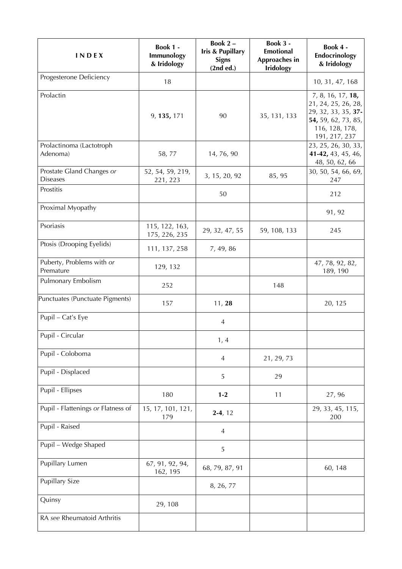| INDEX                                        | Book 1 -<br>Immunology<br>& Iridology | Book 2-<br><b>Iris &amp; Pupillary</b><br><b>Signs</b><br>(2nd ed.) | Book 3 -<br><b>Emotional</b><br>Approaches in<br><b>Iridology</b> | Book 4 -<br>Endocrinology<br>& Iridology                                                                                  |
|----------------------------------------------|---------------------------------------|---------------------------------------------------------------------|-------------------------------------------------------------------|---------------------------------------------------------------------------------------------------------------------------|
| Progesterone Deficiency                      | 18                                    |                                                                     |                                                                   | 10, 31, 47, 168                                                                                                           |
| Prolactin                                    | 9, 135, 171                           | 90                                                                  | 35, 131, 133                                                      | 7, 8, 16, 17, 18,<br>21, 24, 25, 26, 28,<br>29, 32, 33, 35, 37-<br>54, 59, 62, 73, 85,<br>116, 128, 178,<br>191, 217, 237 |
| Prolactinoma (Lactotroph<br>Adenoma)         | 58,77                                 | 14, 76, 90                                                          |                                                                   | 23, 25, 26, 30, 33,<br>41-42, 43, 45, 46,<br>48, 50, 62, 66                                                               |
| Prostate Gland Changes or<br><b>Diseases</b> | 52, 54, 59, 219,<br>221, 223          | 3, 15, 20, 92                                                       | 85, 95                                                            | 30, 50, 54, 66, 69,<br>247                                                                                                |
| Prostitis                                    |                                       | 50                                                                  |                                                                   | 212                                                                                                                       |
| Proximal Myopathy                            |                                       |                                                                     |                                                                   | 91, 92                                                                                                                    |
| Psoriasis                                    | 115, 122, 163,<br>175, 226, 235       | 29, 32, 47, 55                                                      | 59, 108, 133                                                      | 245                                                                                                                       |
| Ptosis (Drooping Eyelids)                    | 111, 137, 258                         | 7, 49, 86                                                           |                                                                   |                                                                                                                           |
| Puberty, Problems with or<br>Premature       | 129, 132                              |                                                                     |                                                                   | 47, 78, 92, 82,<br>189, 190                                                                                               |
| Pulmonary Embolism                           | 252                                   |                                                                     | 148                                                               |                                                                                                                           |
| Punctuates (Punctuate Pigments)              | 157                                   | 11, 28                                                              |                                                                   | 20, 125                                                                                                                   |
| Pupil - Cat's Eye                            |                                       | $\overline{4}$                                                      |                                                                   |                                                                                                                           |
| Pupil - Circular                             |                                       | 1, 4                                                                |                                                                   |                                                                                                                           |
| Pupil - Coloboma                             |                                       | $\overline{4}$                                                      | 21, 29, 73                                                        |                                                                                                                           |
| Pupil - Displaced                            |                                       | 5                                                                   | 29                                                                |                                                                                                                           |
| Pupil - Ellipses                             | 180                                   | $1 - 2$                                                             | 11                                                                | 27, 96                                                                                                                    |
| Pupil - Flattenings or Flatness of           | 15, 17, 101, 121,<br>179              | $2-4, 12$                                                           |                                                                   | 29, 33, 45, 115,<br>200                                                                                                   |
| Pupil - Raised                               |                                       | $\overline{4}$                                                      |                                                                   |                                                                                                                           |
| Pupil - Wedge Shaped                         |                                       | 5                                                                   |                                                                   |                                                                                                                           |
| Pupillary Lumen                              | 67, 91, 92, 94,<br>162, 195           | 68, 79, 87, 91                                                      |                                                                   | 60, 148                                                                                                                   |
| <b>Pupillary Size</b>                        |                                       | 8, 26, 77                                                           |                                                                   |                                                                                                                           |
| Quinsy                                       | 29, 108                               |                                                                     |                                                                   |                                                                                                                           |
| RA see Rheumatoid Arthritis                  |                                       |                                                                     |                                                                   |                                                                                                                           |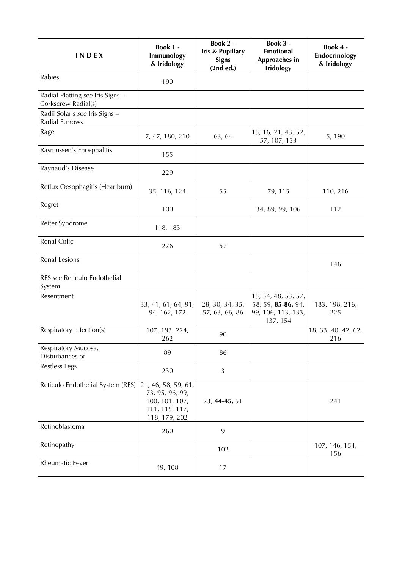| INDEX                                                   | Book 1 -<br>Immunology<br>& Iridology                                                       | Book $2 -$<br><b>Iris &amp; Pupillary</b><br><b>Signs</b><br>(2nd ed.) | <b>Book 3 -</b><br><b>Emotional</b><br>Approaches in<br><b>Iridology</b>    | Book 4 -<br>Endocrinology<br>& Iridology |
|---------------------------------------------------------|---------------------------------------------------------------------------------------------|------------------------------------------------------------------------|-----------------------------------------------------------------------------|------------------------------------------|
| Rabies                                                  | 190                                                                                         |                                                                        |                                                                             |                                          |
| Radial Platting see Iris Signs -<br>Corkscrew Radial(s) |                                                                                             |                                                                        |                                                                             |                                          |
| Radii Solaris see Iris Signs -<br>Radial Furrows        |                                                                                             |                                                                        |                                                                             |                                          |
| Rage                                                    | 7, 47, 180, 210                                                                             | 63, 64                                                                 | 15, 16, 21, 43, 52,<br>57, 107, 133                                         | 5, 190                                   |
| Rasmussen's Encephalitis                                | 155                                                                                         |                                                                        |                                                                             |                                          |
| Raynaud's Disease                                       | 229                                                                                         |                                                                        |                                                                             |                                          |
| Reflux Oesophagitis (Heartburn)                         | 35, 116, 124                                                                                | 55                                                                     | 79, 115                                                                     | 110, 216                                 |
| Regret                                                  | 100                                                                                         |                                                                        | 34, 89, 99, 106                                                             | 112                                      |
| Reiter Syndrome                                         | 118, 183                                                                                    |                                                                        |                                                                             |                                          |
| Renal Colic                                             | 226                                                                                         | 57                                                                     |                                                                             |                                          |
| Renal Lesions                                           |                                                                                             |                                                                        |                                                                             | 146                                      |
| RES see Reticulo Endothelial<br>System                  |                                                                                             |                                                                        |                                                                             |                                          |
| Resentment                                              | 33, 41, 61, 64, 91,<br>94, 162, 172                                                         | 28, 30, 34, 35,<br>57, 63, 66, 86                                      | 15, 34, 48, 53, 57,<br>58, 59, 85-86, 94,<br>99, 106, 113, 133,<br>137, 154 | 183, 198, 216,<br>225                    |
| Respiratory Infection(s)                                | 107, 193, 224,<br>262                                                                       | 90                                                                     |                                                                             | 18, 33, 40, 42, 62,<br>216               |
| Respiratory Mucosa,<br>Disturbances of                  | 89                                                                                          | 86                                                                     |                                                                             |                                          |
| Restless Legs                                           | 230                                                                                         | 3                                                                      |                                                                             |                                          |
| Reticulo Endothelial System (RES)                       | 21, 46, 58, 59, 61,<br>73, 95, 96, 99,<br>100, 101, 107,<br>111, 115, 117,<br>118, 179, 202 | 23, 44-45, 51                                                          |                                                                             | 241                                      |
| Retinoblastoma                                          | 260                                                                                         | 9                                                                      |                                                                             |                                          |
| Retinopathy                                             |                                                                                             | 102                                                                    |                                                                             | 107, 146, 154,<br>156                    |
| Rheumatic Fever                                         | 49, 108                                                                                     | 17                                                                     |                                                                             |                                          |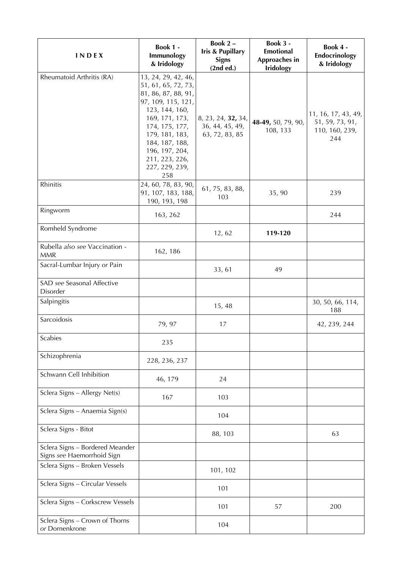| INDEX                                                         | Book 1 -<br>Immunology<br>& Iridology                                                                                                                                                                                                          | Book 2-<br><b>Iris &amp; Pupillary</b><br><b>Signs</b><br>(2nd ed.) | Book 3 -<br><b>Emotional</b><br>Approaches in<br><b>Iridology</b> | Book 4 -<br>Endocrinology<br>& Iridology                        |
|---------------------------------------------------------------|------------------------------------------------------------------------------------------------------------------------------------------------------------------------------------------------------------------------------------------------|---------------------------------------------------------------------|-------------------------------------------------------------------|-----------------------------------------------------------------|
| Rheumatoid Arthritis (RA)                                     | 13, 24, 29, 42, 46,<br>51, 61, 65, 72, 73,<br>81, 86, 87, 88, 91,<br>97, 109, 115, 121,<br>123, 144, 160,<br>169, 171, 173,<br>174, 175, 177,<br>179, 181, 183,<br>184, 187, 188,<br>196, 197, 204,<br>211, 223, 226,<br>227, 229, 239,<br>258 | 8, 23, 24, 32, 34,<br>36, 44, 45, 49,<br>63, 72, 83, 85             | 48-49, 50, 79, 90,<br>108, 133                                    | 11, 16, 17, 43, 49,<br>51, 59, 73, 91,<br>110, 160, 239,<br>244 |
| Rhinitis                                                      | 24, 60, 78, 83, 90,<br>91, 107, 183, 188,<br>190, 193, 198                                                                                                                                                                                     | 61, 75, 83, 88,<br>103                                              | 35, 90                                                            | 239                                                             |
| Ringworm                                                      | 163, 262                                                                                                                                                                                                                                       |                                                                     |                                                                   | 244                                                             |
| Romheld Syndrome                                              |                                                                                                                                                                                                                                                | 12, 62                                                              | 119-120                                                           |                                                                 |
| Rubella also see Vaccination -<br><b>MMR</b>                  | 162, 186                                                                                                                                                                                                                                       |                                                                     |                                                                   |                                                                 |
| Sacral-Lumbar Injury or Pain                                  |                                                                                                                                                                                                                                                | 33, 61                                                              | 49                                                                |                                                                 |
| SAD see Seasonal Affective<br>Disorder                        |                                                                                                                                                                                                                                                |                                                                     |                                                                   |                                                                 |
| Salpingitis                                                   |                                                                                                                                                                                                                                                | 15,48                                                               |                                                                   | 30, 50, 66, 114,<br>188                                         |
| Sarcoidosis                                                   | 79, 97                                                                                                                                                                                                                                         | 17                                                                  |                                                                   | 42, 239, 244                                                    |
| Scabies                                                       | 235                                                                                                                                                                                                                                            |                                                                     |                                                                   |                                                                 |
| Schizophrenia                                                 | 228, 236, 237                                                                                                                                                                                                                                  |                                                                     |                                                                   |                                                                 |
| Schwann Cell Inhibition                                       | 46, 179                                                                                                                                                                                                                                        | 24                                                                  |                                                                   |                                                                 |
| Sclera Signs - Allergy Net(s)                                 | 167                                                                                                                                                                                                                                            | 103                                                                 |                                                                   |                                                                 |
| Sclera Signs - Anaemia Sign(s)                                |                                                                                                                                                                                                                                                | 104                                                                 |                                                                   |                                                                 |
| Sclera Signs - Bitot                                          |                                                                                                                                                                                                                                                | 88, 103                                                             |                                                                   | 63                                                              |
| Sclera Signs - Bordered Meander<br>Signs see Haemorrhoid Sign |                                                                                                                                                                                                                                                |                                                                     |                                                                   |                                                                 |
| Sclera Signs - Broken Vessels                                 |                                                                                                                                                                                                                                                | 101, 102                                                            |                                                                   |                                                                 |
| Sclera Signs - Circular Vessels                               |                                                                                                                                                                                                                                                | 101                                                                 |                                                                   |                                                                 |
| Sclera Signs - Corkscrew Vessels                              |                                                                                                                                                                                                                                                | 101                                                                 | 57                                                                | 200                                                             |
| Sclera Signs - Crown of Thorns<br>or Dornenkrone              |                                                                                                                                                                                                                                                | 104                                                                 |                                                                   |                                                                 |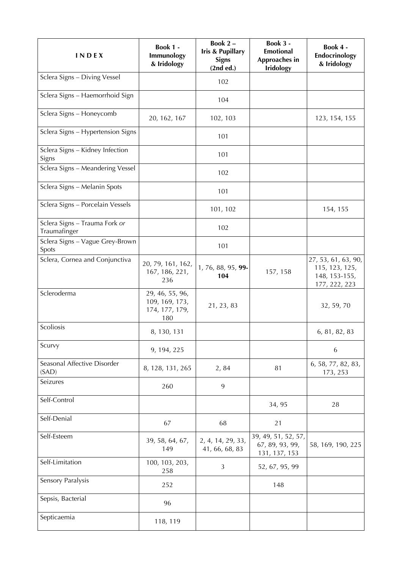| <b>INDEX</b>                                  | Book 1 -<br>Immunology<br>& Iridology                      | Book 2-<br>Iris & Pupillary<br><b>Signs</b><br>(2nd ed.) | Book 3 -<br><b>Emotional</b><br>Approaches in<br><b>Iridology</b> | Book 4 -<br>Endocrinology<br>& Iridology                                |
|-----------------------------------------------|------------------------------------------------------------|----------------------------------------------------------|-------------------------------------------------------------------|-------------------------------------------------------------------------|
| Sclera Signs - Diving Vessel                  |                                                            | 102                                                      |                                                                   |                                                                         |
| Sclera Signs - Haemorrhoid Sign               |                                                            | 104                                                      |                                                                   |                                                                         |
| Sclera Signs - Honeycomb                      | 20, 162, 167                                               | 102, 103                                                 |                                                                   | 123, 154, 155                                                           |
| Sclera Signs - Hypertension Signs             |                                                            | 101                                                      |                                                                   |                                                                         |
| Sclera Signs - Kidney Infection<br>Signs      |                                                            | 101                                                      |                                                                   |                                                                         |
| Sclera Signs - Meandering Vessel              |                                                            | 102                                                      |                                                                   |                                                                         |
| Sclera Signs - Melanin Spots                  |                                                            | 101                                                      |                                                                   |                                                                         |
| Sclera Signs - Porcelain Vessels              |                                                            | 101, 102                                                 |                                                                   | 154, 155                                                                |
| Sclera Signs - Trauma Fork or<br>Traumafinger |                                                            | 102                                                      |                                                                   |                                                                         |
| Sclera Signs - Vague Grey-Brown<br>Spots      |                                                            | 101                                                      |                                                                   |                                                                         |
| Sclera, Cornea and Conjunctiva                | 20, 79, 161, 162,<br>167, 186, 221,<br>236                 | 1, 76, 88, 95, 99-<br>104                                | 157, 158                                                          | 27, 53, 61, 63, 90,<br>115, 123, 125,<br>148, 153-155,<br>177, 222, 223 |
| Scleroderma                                   | 29, 46, 55, 96,<br>109, 169, 173,<br>174, 177, 179,<br>180 | 21, 23, 83                                               |                                                                   | 32, 59, 70                                                              |
| Scoliosis                                     | 8, 130, 131                                                |                                                          |                                                                   | 6, 81, 82, 83                                                           |
| Scurvy                                        | 9, 194, 225                                                |                                                          |                                                                   | 6                                                                       |
| Seasonal Affective Disorder<br>(SAD)          | 8, 128, 131, 265                                           | 2,84                                                     | 81                                                                | 6, 58, 77, 82, 83,<br>173, 253                                          |
| Seizures                                      | 260                                                        | $\overline{9}$                                           |                                                                   |                                                                         |
| Self-Control                                  |                                                            |                                                          | 34, 95                                                            | 28                                                                      |
| Self-Denial                                   | 67                                                         | 68                                                       | 21                                                                |                                                                         |
| Self-Esteem                                   | 39, 58, 64, 67,<br>149                                     | 2, 4, 14, 29, 33,<br>41, 66, 68, 83                      | 39, 49, 51, 52, 57,<br>67, 89, 93, 99,<br>131, 137, 153           | 58, 169, 190, 225                                                       |
| Self-Limitation                               | 100, 103, 203,<br>258                                      | 3                                                        | 52, 67, 95, 99                                                    |                                                                         |
| Sensory Paralysis                             | 252                                                        |                                                          | 148                                                               |                                                                         |
| Sepsis, Bacterial                             | 96                                                         |                                                          |                                                                   |                                                                         |
| Septicaemia                                   | 118, 119                                                   |                                                          |                                                                   |                                                                         |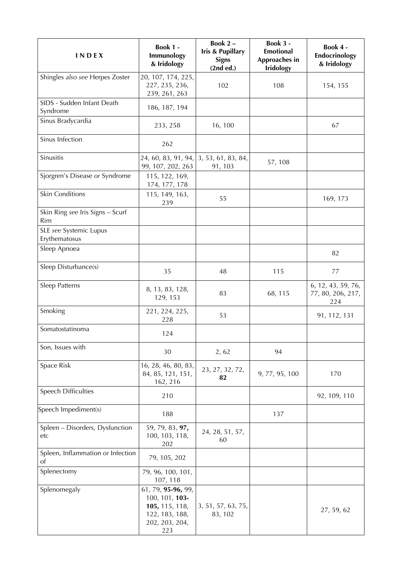| INDEX                                   | Book 1 -<br>Immunology<br>& Iridology                                                             | Book 2-<br>Iris & Pupillary<br><b>Signs</b><br>(2nd ed.) | Book 3 -<br><b>Emotional</b><br>Approaches in<br><b>Iridology</b> | Book 4 -<br>Endocrinology<br>& Iridology       |
|-----------------------------------------|---------------------------------------------------------------------------------------------------|----------------------------------------------------------|-------------------------------------------------------------------|------------------------------------------------|
| Shingles also see Herpes Zoster         | 20, 107, 174, 225,<br>227, 235, 236,<br>239, 261, 263                                             | 102                                                      | 108                                                               | 154, 155                                       |
| SIDS - Sudden Infant Death<br>Syndrome  | 186, 187, 194                                                                                     |                                                          |                                                                   |                                                |
| Sinus Bradycardia                       | 233, 258                                                                                          | 16, 100                                                  |                                                                   | 67                                             |
| Sinus Infection                         | 262                                                                                               |                                                          |                                                                   |                                                |
| Sinusitis                               | 24, 60, 83, 91, 94,<br>99, 107, 202, 263                                                          | 3, 53, 61, 83, 84,<br>91, 103                            | 57, 108                                                           |                                                |
| Sjorgren's Disease or Syndrome          | 115, 122, 169,<br>174, 177, 178                                                                   |                                                          |                                                                   |                                                |
| <b>Skin Conditions</b>                  | 115, 149, 163,<br>239                                                                             | 55                                                       |                                                                   | 169, 173                                       |
| Skin Ring see Iris Signs - Scurf<br>Rim |                                                                                                   |                                                          |                                                                   |                                                |
| SLE see Systemic Lupus<br>Erythematosus |                                                                                                   |                                                          |                                                                   |                                                |
| Sleep Apnoea                            |                                                                                                   |                                                          |                                                                   | 82                                             |
| Sleep Disturbance(s)                    | 35                                                                                                | 48                                                       | 115                                                               | 77                                             |
| Sleep Patterns                          | 8, 13, 83, 128,<br>129, 153                                                                       | 83                                                       | 68, 115                                                           | 6, 12, 43, 59, 76,<br>77, 80, 206, 217,<br>224 |
| Smoking                                 | 221, 224, 225,<br>228                                                                             | 53                                                       |                                                                   | 91, 112, 131                                   |
| Somatostatinoma                         | 124                                                                                               |                                                          |                                                                   |                                                |
| Son, Issues with                        | 30                                                                                                | 2, 62                                                    | 94                                                                |                                                |
| Space Risk                              | 16, 28, 46, 80, 83,<br>84, 85, 121, 151,<br>162, 216                                              | 23, 27, 32, 72,<br>82                                    | 9, 77, 95, 100                                                    | 170                                            |
| Speech Difficulties                     | 210                                                                                               |                                                          |                                                                   | 92, 109, 110                                   |
| Speech Impediment(s)                    | 188                                                                                               |                                                          | 137                                                               |                                                |
| Spleen - Disorders, Dysfunction<br>etc  | 59, 79, 83, 97,<br>100, 103, 118,<br>202                                                          | 24, 28, 51, 57,<br>60                                    |                                                                   |                                                |
| Spleen, Inflammation or Infection<br>Οt | 79, 105, 202                                                                                      |                                                          |                                                                   |                                                |
| Splenectomy                             | 79, 96, 100, 101,<br>107, 118                                                                     |                                                          |                                                                   |                                                |
| Splenomegaly                            | 61, 79, 95-96, 99,<br>100, 101, 103-<br>105, 115, 118,<br>122, 183, 188,<br>202, 203, 204,<br>223 | 3, 51, 57, 63, 75,<br>83, 102                            |                                                                   | 27, 59, 62                                     |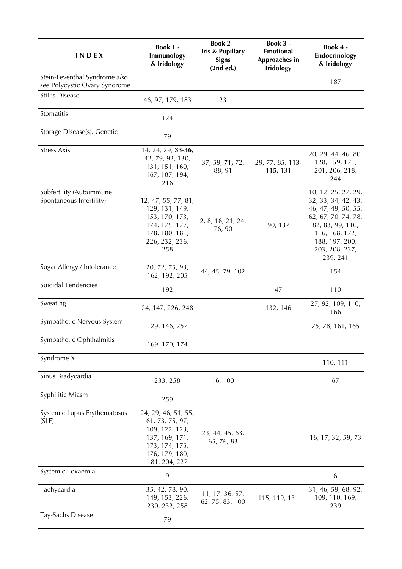| INDEX                                                          | Book 1 -<br>Immunology<br>& Iridology                                                                                           | Book 2-<br><b>Iris &amp; Pupillary</b><br><b>Signs</b><br>(2nd ed.) | Book 3 -<br><b>Emotional</b><br>Approaches in<br><b>Iridology</b> | Book 4 -<br>Endocrinology<br>& Iridology                                                                                                                                       |
|----------------------------------------------------------------|---------------------------------------------------------------------------------------------------------------------------------|---------------------------------------------------------------------|-------------------------------------------------------------------|--------------------------------------------------------------------------------------------------------------------------------------------------------------------------------|
| Stein-Leventhal Syndrome also<br>see Polycystic Ovary Syndrome |                                                                                                                                 |                                                                     |                                                                   | 187                                                                                                                                                                            |
| Still's Disease                                                | 46, 97, 179, 183                                                                                                                | 23                                                                  |                                                                   |                                                                                                                                                                                |
| Stomatitis                                                     | 124                                                                                                                             |                                                                     |                                                                   |                                                                                                                                                                                |
| Storage Disease(s), Genetic                                    | 79                                                                                                                              |                                                                     |                                                                   |                                                                                                                                                                                |
| <b>Stress Axis</b>                                             | 14, 24, 29, 33-36,<br>42, 79, 92, 130,<br>131, 151, 160,<br>167, 187, 194,<br>216                                               | 37, 59, 71, 72,<br>88, 91                                           | 29, 77, 85, 113-<br>115, 131                                      | 20, 29, 44, 46, 80,<br>128, 159, 171,<br>201, 206, 218,<br>244                                                                                                                 |
| Subfertility (Autoimmune<br>Spontaneous Infertility)           | 12, 47, 55, 77, 81,<br>129, 131, 149,<br>153, 170, 173,<br>174, 175, 177,<br>178, 180, 181,<br>226, 232, 236,<br>258            | 2, 8, 16, 21, 24,<br>76, 90                                         | 90, 137                                                           | 10, 12, 25, 27, 29,<br>32, 33, 34, 42, 43,<br>46, 47, 49, 50, 55,<br>62, 67, 70, 74, 78,<br>82, 83, 99, 110,<br>116, 168, 172,<br>188, 197, 200,<br>203, 208, 237,<br>239, 241 |
| Sugar Allergy / Intolerance                                    | 20, 72, 75, 93,<br>162, 192, 205                                                                                                | 44, 45, 79, 102                                                     |                                                                   | 154                                                                                                                                                                            |
| Suicidal Tendencies                                            | 192                                                                                                                             |                                                                     | 47                                                                | 110                                                                                                                                                                            |
| Sweating                                                       | 24, 147, 226, 248                                                                                                               |                                                                     | 132, 146                                                          | 27, 92, 109, 110,<br>166                                                                                                                                                       |
| Sympathetic Nervous System                                     | 129, 146, 257                                                                                                                   |                                                                     |                                                                   | 75, 78, 161, 165                                                                                                                                                               |
| Sympathetic Ophthalmitis                                       | 169, 170, 174                                                                                                                   |                                                                     |                                                                   |                                                                                                                                                                                |
| Syndrome X                                                     |                                                                                                                                 |                                                                     |                                                                   | 110, 111                                                                                                                                                                       |
| Sinus Bradycardia                                              | 233, 258                                                                                                                        | 16, 100                                                             |                                                                   | 67                                                                                                                                                                             |
| Syphilitic Miasm                                               | 259                                                                                                                             |                                                                     |                                                                   |                                                                                                                                                                                |
| Systemic Lupus Erythematosus<br>(SLE)                          | 24, 29, 46, 51, 55,<br>61, 73, 75, 97,<br>109, 122, 123,<br>137, 169, 171,<br>173, 174, 175,<br>176, 179, 180,<br>181, 204, 227 | 23, 44, 45, 63,<br>65, 76, 83                                       |                                                                   | 16, 17, 32, 59, 73                                                                                                                                                             |
| Systemic Toxaemia                                              | 9                                                                                                                               |                                                                     |                                                                   | 6                                                                                                                                                                              |
| Tachycardia                                                    | 35, 42, 78, 90,<br>149, 153, 226,<br>230, 232, 258                                                                              | 11, 17, 36, 57,<br>62, 75, 83, 100                                  | 115, 119, 131                                                     | 31, 46, 59, 68, 92,<br>109, 110, 169,<br>239                                                                                                                                   |
| Tay-Sachs Disease                                              | 79                                                                                                                              |                                                                     |                                                                   |                                                                                                                                                                                |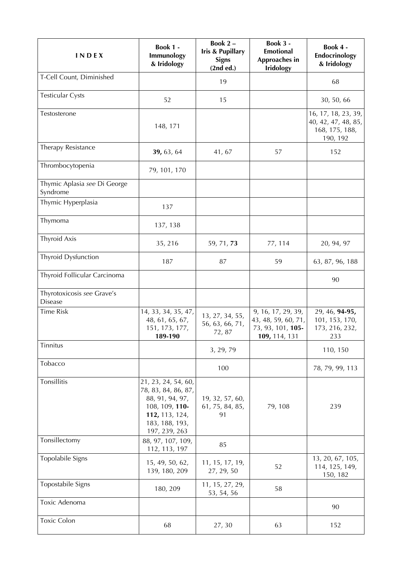| INDEX                                        | Book 1 -<br>Immunology<br>& Iridology                                                                                                | Book 2-<br><b>Iris &amp; Pupillary</b><br><b>Signs</b><br>(2nd ed.) | Book 3 -<br><b>Emotional</b><br>Approaches in<br><b>Iridology</b>               | Book 4 -<br>Endocrinology<br>& Iridology                                 |
|----------------------------------------------|--------------------------------------------------------------------------------------------------------------------------------------|---------------------------------------------------------------------|---------------------------------------------------------------------------------|--------------------------------------------------------------------------|
| T-Cell Count, Diminished                     |                                                                                                                                      | 19                                                                  |                                                                                 | 68                                                                       |
| <b>Testicular Cysts</b>                      | 52                                                                                                                                   | 15                                                                  |                                                                                 | 30, 50, 66                                                               |
| Testosterone                                 | 148, 171                                                                                                                             |                                                                     |                                                                                 | 16, 17, 18, 23, 39,<br>40, 42, 47, 48, 85,<br>168, 175, 188,<br>190, 192 |
| Therapy Resistance                           | 39, 63, 64                                                                                                                           | 41, 67                                                              | 57                                                                              | 152                                                                      |
| Thrombocytopenia                             | 79, 101, 170                                                                                                                         |                                                                     |                                                                                 |                                                                          |
| Thymic Aplasia see Di George<br>Syndrome     |                                                                                                                                      |                                                                     |                                                                                 |                                                                          |
| Thymic Hyperplasia                           | 137                                                                                                                                  |                                                                     |                                                                                 |                                                                          |
| Thymoma                                      | 137, 138                                                                                                                             |                                                                     |                                                                                 |                                                                          |
| <b>Thyroid Axis</b>                          | 35, 216                                                                                                                              | 59, 71, 73                                                          | 77, 114                                                                         | 20, 94, 97                                                               |
| <b>Thyroid Dysfunction</b>                   | 187                                                                                                                                  | 87                                                                  | 59                                                                              | 63, 87, 96, 188                                                          |
| Thyroid Follicular Carcinoma                 |                                                                                                                                      |                                                                     |                                                                                 | 90                                                                       |
| Thyrotoxicosis see Grave's<br><b>Disease</b> |                                                                                                                                      |                                                                     |                                                                                 |                                                                          |
| <b>Time Risk</b>                             | 14, 33, 34, 35, 47,<br>48, 61, 65, 67,<br>151, 173, 177,<br>189-190                                                                  | 13, 27, 34, 55,<br>56, 63, 66, 71,<br>72,87                         | 9, 16, 17, 29, 39,<br>43, 48, 59, 60, 71,<br>73, 93, 101, 105-<br>109, 114, 131 | 29, 46, 94-95,<br>101, 153, 170,<br>173, 216, 232,<br>233                |
| Tinnitus                                     |                                                                                                                                      | 3, 29, 79                                                           |                                                                                 | 110, 150                                                                 |
| Tobacco                                      |                                                                                                                                      | 100                                                                 |                                                                                 | 78, 79, 99, 113                                                          |
| Tonsillitis                                  | 21, 23, 24, 54, 60,<br>78, 83, 84, 86, 87,<br>88, 91, 94, 97,<br>108, 109, 110-<br>112, 113, 124,<br>183, 188, 193,<br>197, 239, 263 | 19, 32, 57, 60,<br>61, 75, 84, 85,<br>91                            | 79, 108                                                                         | 239                                                                      |
| Tonsillectomy                                | 88, 97, 107, 109,<br>112, 113, 197                                                                                                   | 85                                                                  |                                                                                 |                                                                          |
| Topolabile Signs                             | 15, 49, 50, 62,<br>139, 180, 209                                                                                                     | 11, 15, 17, 19,<br>27, 29, 50                                       | 52                                                                              | 13, 20, 67, 105,<br>114, 125, 149,<br>150, 182                           |
| Topostabile Signs                            | 180, 209                                                                                                                             | 11, 15, 27, 29,<br>53, 54, 56                                       | 58                                                                              |                                                                          |
| Toxic Adenoma                                |                                                                                                                                      |                                                                     |                                                                                 | 90                                                                       |
| <b>Toxic Colon</b>                           | 68                                                                                                                                   | 27, 30                                                              | 63                                                                              | 152                                                                      |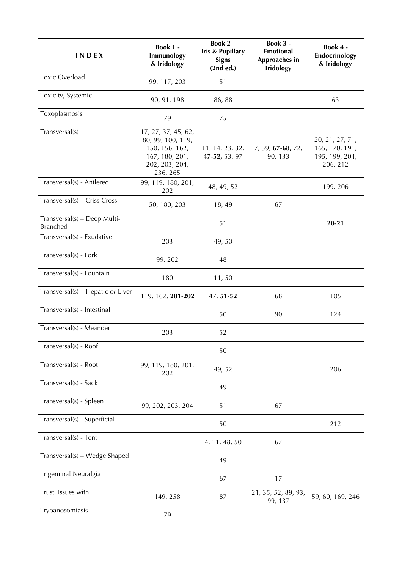| INDEX                                           | <b>Book 1 -</b><br>Immunology<br>& Iridology                                                               | Book 2-<br><b>Iris &amp; Pupillary</b><br><b>Signs</b><br>(2nd ed.) | Book 3 -<br><b>Emotional</b><br>Approaches in<br><b>Iridology</b> | Book 4 -<br>Endocrinology<br>& Iridology                        |
|-------------------------------------------------|------------------------------------------------------------------------------------------------------------|---------------------------------------------------------------------|-------------------------------------------------------------------|-----------------------------------------------------------------|
| <b>Toxic Overload</b>                           | 99, 117, 203                                                                                               | 51                                                                  |                                                                   |                                                                 |
| Toxicity, Systemic                              | 90, 91, 198                                                                                                | 86, 88                                                              |                                                                   | 63                                                              |
| Toxoplasmosis                                   | 79                                                                                                         | 75                                                                  |                                                                   |                                                                 |
| Transversal(s)                                  | 17, 27, 37, 45, 62,<br>80, 99, 100, 119,<br>150, 156, 162,<br>167, 180, 201,<br>202, 203, 204,<br>236, 265 | 11, 14, 23, 32,<br>47-52, 53, 97                                    | 7, 39, 67-68, 72,<br>90, 133                                      | 20, 21, 27, 71,<br>165, 170, 191,<br>195, 199, 204,<br>206, 212 |
| Transversal(s) - Antlered                       | 99, 119, 180, 201,<br>202                                                                                  | 48, 49, 52                                                          |                                                                   | 199, 206                                                        |
| $Transversal(s) - Criss-Cross$                  | 50, 180, 203                                                                                               | 18, 49                                                              | 67                                                                |                                                                 |
| Transversal(s) - Deep Multi-<br><b>Branched</b> |                                                                                                            | 51                                                                  |                                                                   | $20 - 21$                                                       |
| Transversal(s) - Exudative                      | 203                                                                                                        | 49,50                                                               |                                                                   |                                                                 |
| Transversal(s) - Fork                           | 99, 202                                                                                                    | 48                                                                  |                                                                   |                                                                 |
| Transversal(s) - Fountain                       | 180                                                                                                        | 11,50                                                               |                                                                   |                                                                 |
| Transversal(s) – Hepatic or Liver               | 119, 162, 201-202                                                                                          | 47, 51-52                                                           | 68                                                                | 105                                                             |
| Transversal(s) - Intestinal                     |                                                                                                            | 50                                                                  | 90                                                                | 124                                                             |
| Transversal(s) - Meander                        | 203                                                                                                        | 52                                                                  |                                                                   |                                                                 |
| Transversal(s) - Roof                           |                                                                                                            | 50                                                                  |                                                                   |                                                                 |
| Transversal(s) - Root                           | 99, 119, 180, 201,<br>202                                                                                  | 49, 52                                                              |                                                                   | 206                                                             |
| Transversal(s) - Sack                           |                                                                                                            | 49                                                                  |                                                                   |                                                                 |
| Transversal(s) - Spleen                         | 99, 202, 203, 204                                                                                          | 51                                                                  | 67                                                                |                                                                 |
| Transversal(s) - Superficial                    |                                                                                                            | 50                                                                  |                                                                   | 212                                                             |
| Transversal(s) - Tent                           |                                                                                                            | 4, 11, 48, 50                                                       | 67                                                                |                                                                 |
| Transversal(s) - Wedge Shaped                   |                                                                                                            | 49                                                                  |                                                                   |                                                                 |
| Trigeminal Neuralgia                            |                                                                                                            | 67                                                                  | 17                                                                |                                                                 |
| Trust, Issues with                              | 149, 258                                                                                                   | 87                                                                  | 21, 35, 52, 89, 93,<br>99, 137                                    | 59, 60, 169, 246                                                |
| Trypanosomiasis                                 | 79                                                                                                         |                                                                     |                                                                   |                                                                 |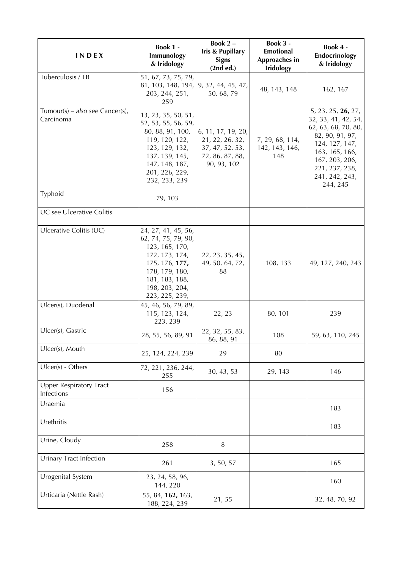| <b>INDEX</b>                                 | <b>Book 1 -</b><br>Immunology<br>& Iridology                                                                                                                              | Book 2-<br><b>Iris &amp; Pupillary</b><br><b>Signs</b><br>(2nd ed.)                        | Book 3 -<br><b>Emotional</b><br>Approaches in<br><b>Iridology</b> | Book 4 -<br>Endocrinology<br>& Iridology                                                                                                                                                  |
|----------------------------------------------|---------------------------------------------------------------------------------------------------------------------------------------------------------------------------|--------------------------------------------------------------------------------------------|-------------------------------------------------------------------|-------------------------------------------------------------------------------------------------------------------------------------------------------------------------------------------|
| Tuberculosis / TB                            | 51, 67, 73, 75, 79,<br>81, 103, 148, 194,<br>203, 244, 251,<br>259                                                                                                        | 9, 32, 44, 45, 47,<br>50, 68, 79                                                           | 48, 143, 148                                                      | 162, 167                                                                                                                                                                                  |
| Tumour(s) – also see Cancer(s),<br>Carcinoma | 13, 23, 35, 50, 51,<br>52, 53, 55, 56, 59,<br>80, 88, 91, 100,<br>119, 120, 122,<br>123, 129, 132,<br>137, 139, 145,<br>147, 148, 187,<br>201, 226, 229,<br>232, 233, 239 | 6, 11, 17, 19, 20,<br>21, 22, 26, 32,<br>37, 47, 52, 53,<br>72, 86, 87, 88,<br>90, 93, 102 | 7, 29, 68, 114,<br>142, 143, 146,<br>148                          | 5, 23, 25, 26, 27,<br>32, 33, 41, 42, 54,<br>62, 63, 68, 70, 80,<br>82, 90, 91, 97,<br>124, 127, 147,<br>163, 165, 166,<br>167, 203, 206,<br>221, 237, 238,<br>241, 242, 243,<br>244, 245 |
| Typhoid                                      | 79, 103                                                                                                                                                                   |                                                                                            |                                                                   |                                                                                                                                                                                           |
| UC see Ulcerative Colitis                    |                                                                                                                                                                           |                                                                                            |                                                                   |                                                                                                                                                                                           |
| Ulcerative Colitis (UC)                      | 24, 27, 41, 45, 56,<br>62, 74, 75, 79, 90,<br>123, 165, 170,<br>172, 173, 174,<br>175, 176, 177,<br>178, 179, 180,<br>181, 183, 188,<br>198, 203, 204,<br>223, 225, 239,  | 22, 23, 35, 45,<br>49, 50, 64, 72,<br>88                                                   | 108, 133                                                          | 49, 127, 240, 243                                                                                                                                                                         |
| Ulcer(s), Duodenal                           | 45, 46, 56, 79, 89,<br>115, 123, 124,<br>223, 239                                                                                                                         | 22, 23                                                                                     | 80, 101                                                           | 239                                                                                                                                                                                       |
| Ulcer(s), Gastric                            | 28, 55, 56, 89, 91                                                                                                                                                        | 22, 32, 55, 83,<br>86, 88, 91                                                              | 108                                                               | 59, 63, 110, 245                                                                                                                                                                          |
| Ulcer(s), Mouth                              | 25, 124, 224, 239                                                                                                                                                         | 29                                                                                         | 80                                                                |                                                                                                                                                                                           |
| $Ulcer(s)$ - Others                          | 72, 221, 236, 244,<br>255                                                                                                                                                 | 30, 43, 53                                                                                 | 29, 143                                                           | 146                                                                                                                                                                                       |
| <b>Upper Respiratory Tract</b><br>Infections | 156                                                                                                                                                                       |                                                                                            |                                                                   |                                                                                                                                                                                           |
| Uraemia                                      |                                                                                                                                                                           |                                                                                            |                                                                   | 183                                                                                                                                                                                       |
| Urethritis                                   |                                                                                                                                                                           |                                                                                            |                                                                   | 183                                                                                                                                                                                       |
| Urine, Cloudy                                | 258                                                                                                                                                                       | $\, 8$                                                                                     |                                                                   |                                                                                                                                                                                           |
| <b>Urinary Tract Infection</b>               | 261                                                                                                                                                                       | 3, 50, 57                                                                                  |                                                                   | 165                                                                                                                                                                                       |
| Urogenital System                            | 23, 24, 58, 96,<br>144, 220                                                                                                                                               |                                                                                            |                                                                   | 160                                                                                                                                                                                       |
| Urticaria (Nettle Rash)                      | 55, 84, 162, 163,<br>188, 224, 239                                                                                                                                        | 21,55                                                                                      |                                                                   | 32, 48, 70, 92                                                                                                                                                                            |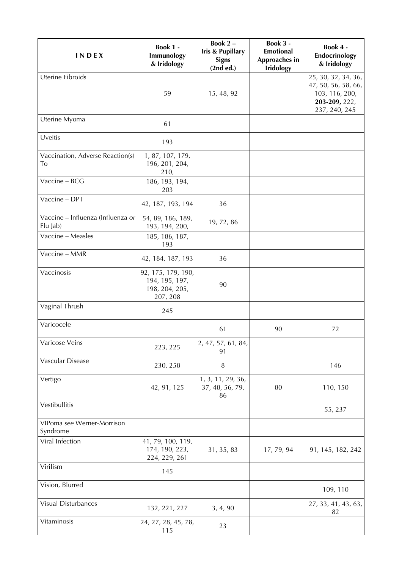| INDEX                                         | Book 1 -<br>Immunology<br>& Iridology                              | Book $2 -$<br><b>Iris &amp; Pupillary</b><br><b>Signs</b><br>(2nd ed.) | Book 3 -<br><b>Emotional</b><br>Approaches in<br><b>Iridology</b> | Book 4 -<br>Endocrinology<br>& Iridology                                                       |
|-----------------------------------------------|--------------------------------------------------------------------|------------------------------------------------------------------------|-------------------------------------------------------------------|------------------------------------------------------------------------------------------------|
| Uterine Fibroids                              | 59                                                                 | 15, 48, 92                                                             |                                                                   | 25, 30, 32, 34, 36,<br>47, 50, 56, 58, 66,<br>103, 116, 200,<br>203-209, 222,<br>237, 240, 245 |
| Uterine Myoma                                 | 61                                                                 |                                                                        |                                                                   |                                                                                                |
| Uveitis                                       | 193                                                                |                                                                        |                                                                   |                                                                                                |
| Vaccination, Adverse Reaction(s)<br>To        | 1, 87, 107, 179,<br>196, 201, 204,<br>210,                         |                                                                        |                                                                   |                                                                                                |
| Vaccine - BCG                                 | 186, 193, 194,<br>203                                              |                                                                        |                                                                   |                                                                                                |
| Vaccine - DPT                                 | 42, 187, 193, 194                                                  | 36                                                                     |                                                                   |                                                                                                |
| Vaccine - Influenza (Influenza or<br>Flu Jab) | 54, 89, 186, 189,<br>193, 194, 200,                                | 19, 72, 86                                                             |                                                                   |                                                                                                |
| Vaccine - Measles                             | 185, 186, 187,<br>193                                              |                                                                        |                                                                   |                                                                                                |
| Vaccine - MMR                                 | 42, 184, 187, 193                                                  | 36                                                                     |                                                                   |                                                                                                |
| Vaccinosis                                    | 92, 175, 179, 190,<br>194, 195, 197,<br>198, 204, 205,<br>207, 208 | 90                                                                     |                                                                   |                                                                                                |
| Vaginal Thrush                                | 245                                                                |                                                                        |                                                                   |                                                                                                |
| Varicocele                                    |                                                                    | 61                                                                     | 90                                                                | 72                                                                                             |
| Varicose Veins                                | 223, 225                                                           | 2, 47, 57, 61, 84,<br>91                                               |                                                                   |                                                                                                |
| Vascular Disease                              | 230, 258                                                           | $\, 8$                                                                 |                                                                   | 146                                                                                            |
| Vertigo                                       | 42, 91, 125                                                        | 1, 3, 11, 29, 36,<br>37, 48, 56, 79,<br>86                             | 80                                                                | 110, 150                                                                                       |
| Vestibullitis                                 |                                                                    |                                                                        |                                                                   | 55, 237                                                                                        |
| VIPoma see Werner-Morrison<br>Syndrome        |                                                                    |                                                                        |                                                                   |                                                                                                |
| Viral Infection                               | 41, 79, 100, 119,<br>174, 190, 223,<br>224, 229, 261               | 31, 35, 83                                                             | 17, 79, 94                                                        | 91, 145, 182, 242                                                                              |
| Virilism                                      | 145                                                                |                                                                        |                                                                   |                                                                                                |
| Vision, Blurred                               |                                                                    |                                                                        |                                                                   | 109, 110                                                                                       |
| Visual Disturbances                           | 132, 221, 227                                                      | 3, 4, 90                                                               |                                                                   | 27, 33, 41, 43, 63,<br>82                                                                      |
| Vitaminosis                                   | 24, 27, 28, 45, 78,<br>115                                         | 23                                                                     |                                                                   |                                                                                                |